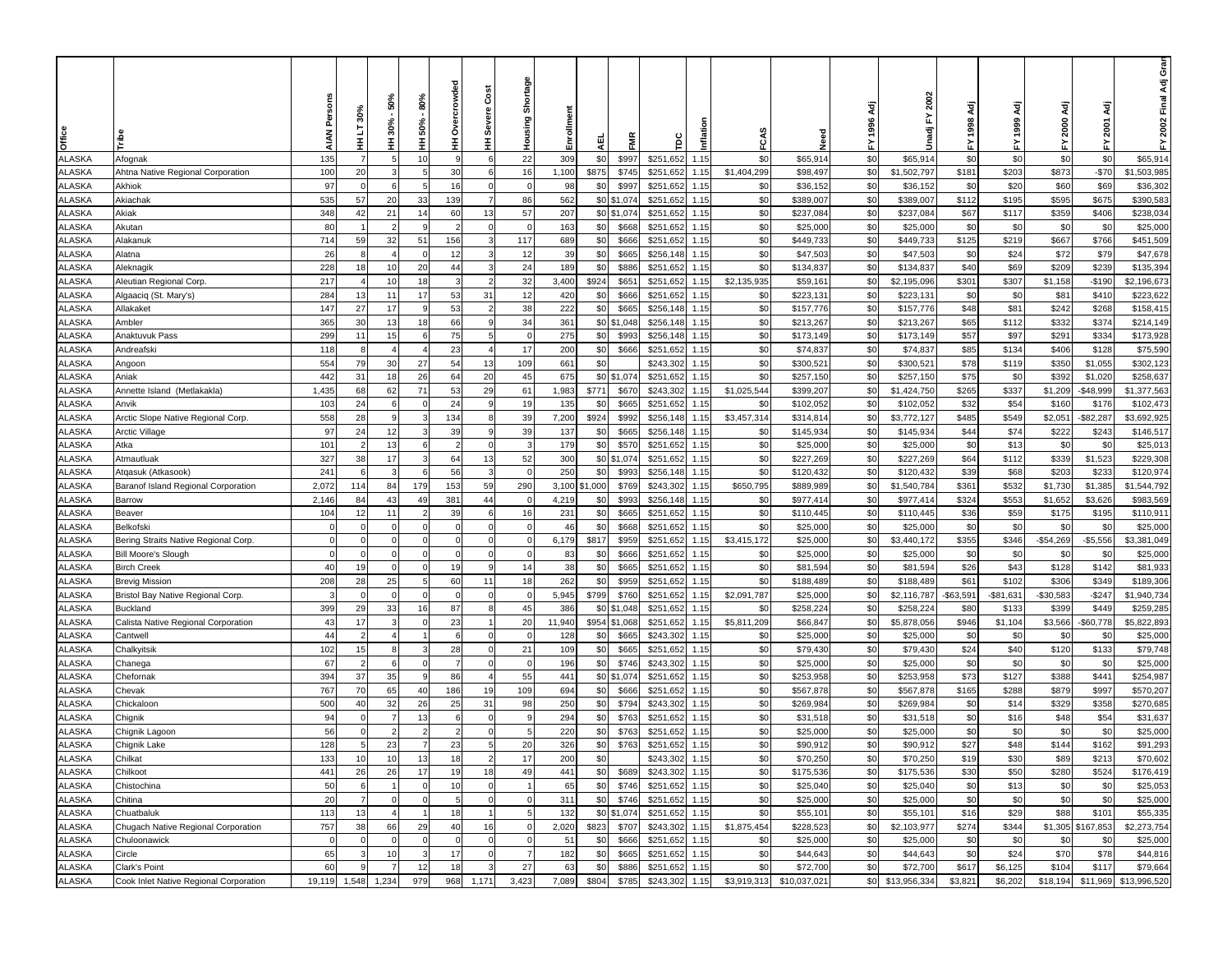|                               |                                                      |             | š0%<br>ā       | 50%<br>$30% -$ | 80%<br>50% | crowded<br>e<br>S | Cost<br>Severe | Shortage       | Enrollmen    |              |                |                        |              |                    |                        | 1996 Adj   | 2002<br>놊                |               | ਟ੍ਰ<br>1999   | ਟ੍ਰੋ<br>2000     | ਟ੍ਰ<br>2001           | ອັ<br>ອັ<br>Ādj<br>2002 Final |
|-------------------------------|------------------------------------------------------|-------------|----------------|----------------|------------|-------------------|----------------|----------------|--------------|--------------|----------------|------------------------|--------------|--------------------|------------------------|------------|--------------------------|---------------|---------------|------------------|-----------------------|-------------------------------|
| Office                        |                                                      |             | Ŧ              | Ξ              | Ξ          | Ŧ                 | Ξ              | Housing        |              | 핒            | Ë              | ξ                      | Inflat       | FCA                | Veed                   | 놊          | Unadj                    | 놊             |               | ≿                | 놊                     | 놊                             |
| <b>ALASKA</b>                 | Afognak                                              | 135         |                | 5              | 10         | <b>q</b>          |                | 22             | 309          | \$0          | \$997          | \$251,652              | 1.15         | \$0                | \$65,914               | \$0        | \$65,914                 | \$0           | \$0           | \$0              | \$0                   | \$65,914                      |
| ALASKA                        | Ahtna Native Regional Corporation                    | 100         | 20             | 3              | 5          | 30                | 6              | 16             | 1,100        | \$875        | \$745          | \$251,652              | 1.15         | \$1,404,299        | \$98,497               | \$0        | \$1,502,797              | \$181         | \$203         | \$873            | $-$70$                | \$1,503,985                   |
| <b>ILASKA</b>                 | Akhiok                                               | 97          | $\Omega$       | 6              | -5         | 16                | $\mathbf{0}$   | $\overline{0}$ | 98           | \$0          | \$997          | \$251,652              | 1.15         | \$0                | \$36,152               | \$0        | \$36,152                 | \$0           | \$20          | \$60             | \$69                  | \$36,302                      |
| <b>LASKA</b>                  | Akiachak                                             | 535         | 57             | 20             | 33         | 139               |                | 86             | 562          |              | \$0 \$1,074    | \$251,652              | 1.15         | \$0                | \$389,007              | \$0        | \$389,007                | \$112         | \$195         | \$595            | \$675                 | \$390,583                     |
| <b>ILASKA</b>                 | Akiak                                                | 348         | 42             | 21             | 14         | 60                | 13             | 57             | 207          |              | \$0 \$1,074    | \$251,652              | 1.15         | \$0                | \$237,084              | \$0        | \$237,084                | \$67          | \$117         | \$359            | \$406                 | \$238,034                     |
| <b>LASKA</b>                  | Akutan                                               | 80          |                |                |            |                   |                |                | 163          | \$0          | \$668          | \$251,652              | 1.15         | \$0                | \$25,000               | \$0        | \$25,000                 | \$0           | \$0           | \$0              | \$0                   | \$25,000                      |
| <b>ILASKA</b>                 | Alakanuk                                             | 714         | 59             | 32             | 51         | 156               |                | 117            | 689          | \$0          | \$666          | \$251,652              | 1.15         | \$0                | \$449,733              | \$0        | \$449,733                | \$125         | \$219         | \$667            | \$766                 | \$451,509                     |
| ALASKA                        | Alatna                                               | 26          |                |                |            | 12                |                | 12             | 39           | \$0          | \$665          | \$256,148              | 1.15         | \$0                | \$47,503               | \$0        | \$47,503                 | \$0           | \$24          | \$72             | \$79                  | \$47,678                      |
| ALASKA                        | Aleknagik                                            | 228         | 18             | 10             | 20         | 44                |                | 24             | 189          | \$0          | \$886          | \$251,652              | 1.15         | \$0                | \$134,837              | \$0        | \$134,837                | \$40          | \$69          | \$209            | \$239                 | \$135,394                     |
| ALASKA                        | Aleutian Regional Corp.                              | 217         |                | 10             | 18         |                   | $\overline{2}$ | 32             | 3,400        | \$924        | \$651          | \$251,652              | 1.15         | \$2,135,935        | \$59,161               | \$0        | \$2,195,096              | \$301         | \$307         | \$1,158          | $-$190$               | \$2,196,673                   |
| ALASKA                        | Algaaciq (St. Mary's)                                | 284         | 13             | 11             | 17         | 53                | 31             | 12             | 420          | \$0          | \$666          | \$251,652              | 1.15         | \$0                | \$223,131              | \$0        | \$223,131                | \$0           | \$0           | \$81             | \$410                 | \$223,622                     |
| ALASKA                        | Allakaket                                            | 147         | 27             | 17             |            | 53                |                | 38             | 222          | \$0          | \$665          | \$256,148              | 1.15         | \$0                | \$157,776              | \$0        | \$157,776                | \$48          | \$81          | \$242            | \$268                 | \$158,415                     |
| ALASKA                        | Ambler                                               | 365         | 30             | 13             | 18         | 66                | 9              | 34             | 361          |              | \$0 \$1,048    | \$256,148              | 1.15         | \$0                | \$213,267              | \$0        | \$213,267                | \$65          | \$112         | \$332            | \$374                 | \$214,149                     |
| ALASKA                        | Anaktuvuk Pass                                       | 299         | 11             | 15             | -6         | 75                | 5              | $\Omega$       | 275          | \$0          | \$993          | \$256,148              | 1.15         | \$0                | \$173,149              | \$0        | \$173,149                | \$57          | \$97          | \$291            | \$334                 | \$173,928                     |
| <b>ILASKA</b>                 | Andreafski                                           | 118         | 8              |                |            | 23                |                | 17             | 200          | \$0          | \$666          | \$251,652              | 1.15         | \$0                | \$74,837               | \$0        | \$74,837                 | \$85          | \$134         | \$406            | \$128                 | \$75,590                      |
| <b>LASKA</b>                  | Angoon                                               | 554         | 79             | 30             | 27         | 54                | 13             | 109            | 661          | \$0          |                | \$243,302              | 1.15         | \$0                | \$300,521              | \$0        | \$300,521                | \$78          | \$119         | \$350            | \$1,055               | \$302,123                     |
| <b>LASKA</b>                  | Aniak                                                | 442         | 31             | 18             | 26         | 64                | 20             | 45             | 675          |              | \$0 \$1,074    | \$251,652              | 1.15         | \$0                | \$257,150              | \$0        | \$257,150                | \$75          | \$0           | \$392            | \$1,020               | \$258,637                     |
| <b>LASKA</b>                  | Annette Island (Metlakakla)                          | 1,435       | 68             | 62             | 71         | 53                | 29             | 61             | 1,983        | \$771        | \$670          | \$243,302              | 1.15         | \$1,025,544        | \$399,207              | \$0        | \$1,424,750              | \$265         | \$337         | \$1,209          | $-$48,999$            | \$1,377,563                   |
| <b>ILASKA</b>                 | Anvik                                                | 103         | 24<br>28       |                |            | 24                |                | 19<br>39       | 135          | \$0          | \$665          | \$251,652              | 1.15         | \$0                | \$102,052              | \$0        | \$102,052                | \$32<br>\$485 | \$54          | \$160            | \$176                 | \$102,473                     |
| <b>\LASKA</b><br><b>LASKA</b> | Arctic Slope Native Regional Corp.<br>Arctic Village | 558<br>97   | 24             | 12             |            | 134<br>39         |                | 39             | 7,200<br>137 | \$924<br>\$0 | \$992<br>\$665 | \$256,148<br>\$256,148 | 1.15<br>1.15 | \$3,457,314<br>\$0 | \$314,814<br>\$145,934 | \$0<br>\$0 | \$3,772,127<br>\$145,934 | \$44          | \$549<br>\$74 | \$2,051<br>\$222 | $-$ \$82,287<br>\$243 | \$3,692,925<br>\$146,517      |
| ALASKA                        | Atka                                                 | 101         |                | 13             |            |                   | $\overline{0}$ | -3             | 179          | \$0          | \$570          | \$251,652              | 1.15         | \$0                | \$25,000               | \$0        | \$25,000                 | \$0           | \$13          | \$0              | \$0                   | \$25,013                      |
| ALASKA                        | Atmautluak                                           | 327         | 38             | 17             |            | 64                | 13             | 52             | 300          | \$0          | \$1,074        | \$251,652              | 1.15         | \$0                | \$227,269              | \$0        | \$227,269                | \$64          | \$112         | \$339            | \$1,523               | \$229,308                     |
| ALASKA                        | Atqasuk (Atkasook)                                   | 241         | 6              |                |            | 56                |                | $\Omega$       | 250          | \$0          | \$993          | \$256,148              | 1.15         | \$0                | \$120,432              | \$0        | \$120,432                | \$39          | \$68          | \$203            | \$233                 | \$120,974                     |
| ALASKA                        | Baranof Island Regional Corporation                  | 2,072       | 114            | 84             | 179        | 153               | 59             | 290            | 3,100        | \$1,000      | \$769          | \$243,302              | 1.15         | \$650,795          | \$889,989              | \$0        | \$1,540,784              | \$361         | \$532         | \$1,730          | \$1,385               | \$1,544,792                   |
| ALASKA                        | Barrow                                               | 2,146       | 84             | 43             | 49         | 381               | 44             | $\Omega$       | 4,219        | \$0          | \$993          | \$256,148              | 1.15         | \$0                | \$977,414              | \$0        | \$977,414                | \$324         | \$553         | \$1,652          | \$3,626               | \$983,569                     |
| ALASKA                        | Beaver                                               | 104         | 12             | 11             |            | 39                | 6              | 16             | 231          | \$0          | \$665          | \$251,652              | 1.15         | \$0                | \$110,445              | \$0        | \$110,445                | \$36          | \$59          | \$175            | \$195                 | \$110,911                     |
| <b>LASKA</b>                  | Belkofski                                            | $\mathbf 0$ | $\Omega$       | $\Omega$       | O          | $\Omega$          | $\mathbf 0$    | $^{\circ}$     | 46           | \$0          | \$668          | \$251,652              | 1.15         | \$0                | \$25,000               | \$0        | \$25,000                 | \$0           | \$0           | \$0              | \$0                   | \$25,000                      |
| <b>LASKA</b>                  | Bering Straits Native Regional Corp                  | $\Omega$    |                |                |            |                   | $\Omega$       | O              | 6,179        | \$817        | \$959          | \$251,652              | 1.15         | \$3,415,172        | \$25,000               | \$0        | \$3,440,172              | \$355         | \$346         | $-$54,269$       | $-$5,556$             | \$3,381,049                   |
| <b>LASKA</b>                  | Bill Moore's Slough                                  | $\Omega$    |                |                |            |                   | $\Omega$       |                | 83           | \$0          | \$666          | \$251,652              | 1.15         | \$0                | \$25,000               | \$0        | \$25,000                 | \$0           | \$0           | \$0              | \$0                   | \$25,000                      |
| <b>LASKA</b>                  | Birch Creek                                          | 40          | 19             |                |            | 19                |                | 14             | 38           | \$0          | \$665          | \$251,652              | 1.15         | \$0                | \$81,594               | \$0        | \$81,594                 | \$26          | \$43          | \$128            | \$142                 | \$81,933                      |
| <b>ILASKA</b>                 | Brevig Mission                                       | 208         | 28             | 25             |            | 60                | 11             | 18             | 262          | \$0          | \$959          | \$251,652              | 1.15         | \$0                | \$188,489              | \$0        | \$188,489                | \$61          | \$102         | \$306            | \$349                 | \$189,306                     |
| <b>ILASKA</b>                 | Bristol Bay Native Regional Corp.                    |             |                |                |            |                   |                |                | 5,945        | \$799        | \$760          | \$251,652              | 1.15         | \$2,091,787        | \$25,000               | \$0        | \$2,116,787              | $-$ \$63,591  | $-$ \$81,631  | $-$30,583$       | $-$247$               | \$1,940,734                   |
| ALASKA                        | Buckland                                             | 399         | 29             | 33             | 16         | 87                | 8              | 45             | 386          | \$0          | \$1,048        | \$251,652              | 1.15         | \$0                | \$258,224              | \$0        | \$258,224                | \$80          | \$133         | \$399            | \$449                 | \$259,28                      |
| ALASKA                        | Calista Native Regional Corporation                  | 43          | 17             |                |            | 23                |                | 20             | 11,940       | \$954        | \$1,068        | \$251,652              | 1.15         | \$5,811,209        | \$66,847               | \$0        | \$5,878,056              | \$946         | \$1,104       | \$3,566          | $-$60,778$            | \$5,822,893                   |
| ALASKA                        | Cantwell                                             | 44          | $\overline{2}$ |                |            | 6                 | $\mathbf{0}$   | $\Omega$       | 128          | \$0          | \$665          | \$243,302              | 1.15         | \$0                | \$25,000               | \$0        | \$25,000                 | \$0           | \$0           | \$0              | \$0                   | \$25,000                      |
| ALASKA                        | Chalkyitsik                                          | 102         | 15             | 8              |            | 28                | $\Omega$       | 21             | 109          | \$0          | \$665          | \$251,652              | 1.15         | \$0                | \$79,430               | \$0        | \$79,430                 | \$24          | \$40          | \$120            | \$133                 | \$79,748                      |
| ALASKA                        | Chanega                                              | 67          |                |                |            | $\overline{7}$    | $\Omega$       | $\Omega$       | 196          | \$0          | \$746          | \$243,302              | 1.15         | \$0                | \$25,000               | \$0        | \$25,000                 | \$0           | \$0           | \$0              | \$0                   | \$25,000                      |
| ALASKA                        | Chefornak                                            | 394         | 37             | 35             |            | 86                | $\overline{4}$ | 55             | 441          |              | \$0 \$1,074    | \$251,652              | 1.15         | \$0                | \$253,958              | \$0        | \$253,958                | \$73          | \$127         | \$388            | \$441                 | \$254,987                     |
| <b>LASKA</b>                  | Chevak                                               | 767         | 70             | 65             | 40         | 186               | 19             | 109            | 694          | \$0          | \$666          | \$251,652              | 1.15         | \$0                | \$567,878              | \$0        | \$567,878                | \$165         | \$288         | \$879            | \$997                 | \$570,207                     |
| <b>ILASKA</b>                 | Chickaloon                                           | 500         | 40             | 32             | 26         | 25                | 31             | 98             | 250          | \$0          | \$794          | \$243,302              | 1.15         | \$0                | \$269,984              | \$0        | \$269,984                | \$0           | \$14          | \$329            | \$358                 | \$270,685                     |
| <b>LASKA</b>                  | Chignik                                              | 94<br>56    |                |                | 13         |                   |                |                | 294          | \$0          | \$763          | \$251,652              | 1.15         | \$0<br>\$0         | \$31,518               | \$0<br>\$0 | \$31,518                 | \$0<br>\$0    | \$16          | \$48<br>\$0      | \$54<br>\$0           | \$31,637                      |
| <b>LASKA</b><br><b>ALASKA</b> | Chignik Lagoon<br>Chignik Lake                       | 128         |                | 23             |            | 23                |                | 20             | 220<br>326   | \$0<br>\$0   | \$763<br>\$763 | \$251,652<br>\$251,652 | 1.15<br>1.15 | \$0                | \$25,000<br>\$90,912   | \$0        | \$25,000<br>\$90,912     | \$27          | \$0<br>\$48   | \$144            | \$162                 | \$25,000<br>\$91,293          |
| ALASKA                        | Chilkat                                              | 133         | 10             | 10             | 13         | 18                | $\overline{2}$ | 17             | 200          | \$0          |                | \$243,302 1.15         |              | \$0                | \$70,250               | \$0        | \$70,250                 | \$19          | \$30          | \$89             | \$213                 | \$70,602                      |
| <b>ALASKA</b>                 | Chilkoot                                             | 441         | 26             | 26             | 17         | 19                | 18             | 49             | 441          | \$0          | \$689          | \$243,302              | 1.15         | \$0                | \$175,536              | \$0        | \$175,536                | \$30          | \$50          | \$280            | \$524                 | \$176,419                     |
| <b>ALASKA</b>                 | Chistochina                                          | 50          | 6              |                |            | 10                | $\mathbf 0$    |                | 65           | \$0          | \$746          | \$251,652              | 1.15         | \$0                | \$25,040               | \$0        | \$25,040                 | \$0           | \$13          | \$0              | \$0                   | \$25,053                      |
| <b>ALASKA</b>                 | Chitina                                              | 20          | $\overline{7}$ | $\Omega$       |            | 5                 | $\overline{0}$ |                | 311          | \$0          | \$746          | \$251,652              | 1.15         | \$0                | \$25,000               | \$0        | \$25,000                 | \$0           | \$0           | \$0              | \$0                   | \$25,000                      |
| ALASKA                        | Chuatbaluk                                           | 113         | 13             |                |            | 18                |                |                | 132          |              | \$0 \$1,074    | \$251,652              | 1.15         | \$0                | \$55,101               | \$0        | \$55,101                 | \$16          | \$29          | \$88             | \$101                 | \$55,335                      |
| <b>ALASKA</b>                 | Chugach Native Regional Corporation                  | 757         | 38             | 66             | 29         | 40                | 16             | $\Omega$       | 2,020        | \$823        | \$707          | \$243,302              | 1.15         | \$1,875,454        | \$228,523              | \$0        | \$2,103,977              | \$274         | \$344         |                  | \$1,305 \$167,853     | \$2,273,754                   |
| ALASKA                        | Chuloonawick                                         | $\mathbf 0$ | $\mathbf 0$    | $\Omega$       |            |                   | $\Omega$       | $\Omega$       | 51           | \$0          | \$666          | \$251,652              | 1.15         | \$0                | \$25,000               | \$0        | \$25,000                 | \$0           | \$0           | \$0              | \$0                   | \$25,000                      |
| ALASKA                        | Circle                                               | 65          | 3              | 10             |            | 17                | $\Omega$       | $\overline{7}$ | 182          | \$0          | \$665          | \$251,652              | 1.15         | \$0                | \$44,643               | \$0        | \$44,643                 | \$0           | \$24          | \$70             | \$78                  | \$44,816                      |
| ALASKA                        | Clark's Point                                        | 60          | 9              | $\overline{7}$ | 12         | 18                | -3             | 27             | 63           | \$0          | \$886          | \$251,652              | 1.15         | \$0                | \$72,700               | \$0        | \$72,700                 | \$617         | \$6,125       | \$104            | \$117                 | \$79,664                      |
| ALASKA                        | Cook Inlet Native Regional Corporation               | 19,119      | 1,548          | 1,234          | 979        | 968               | 1,171          | 3,423          | 7,089        | \$804        | \$785          | \$243,302              | 1.15         | \$3,919,313        | \$10,037,021           |            | \$0 \$13,956,334         | \$3,821       | \$6,202       | \$18,194         |                       | \$11,969 \$13,996,520         |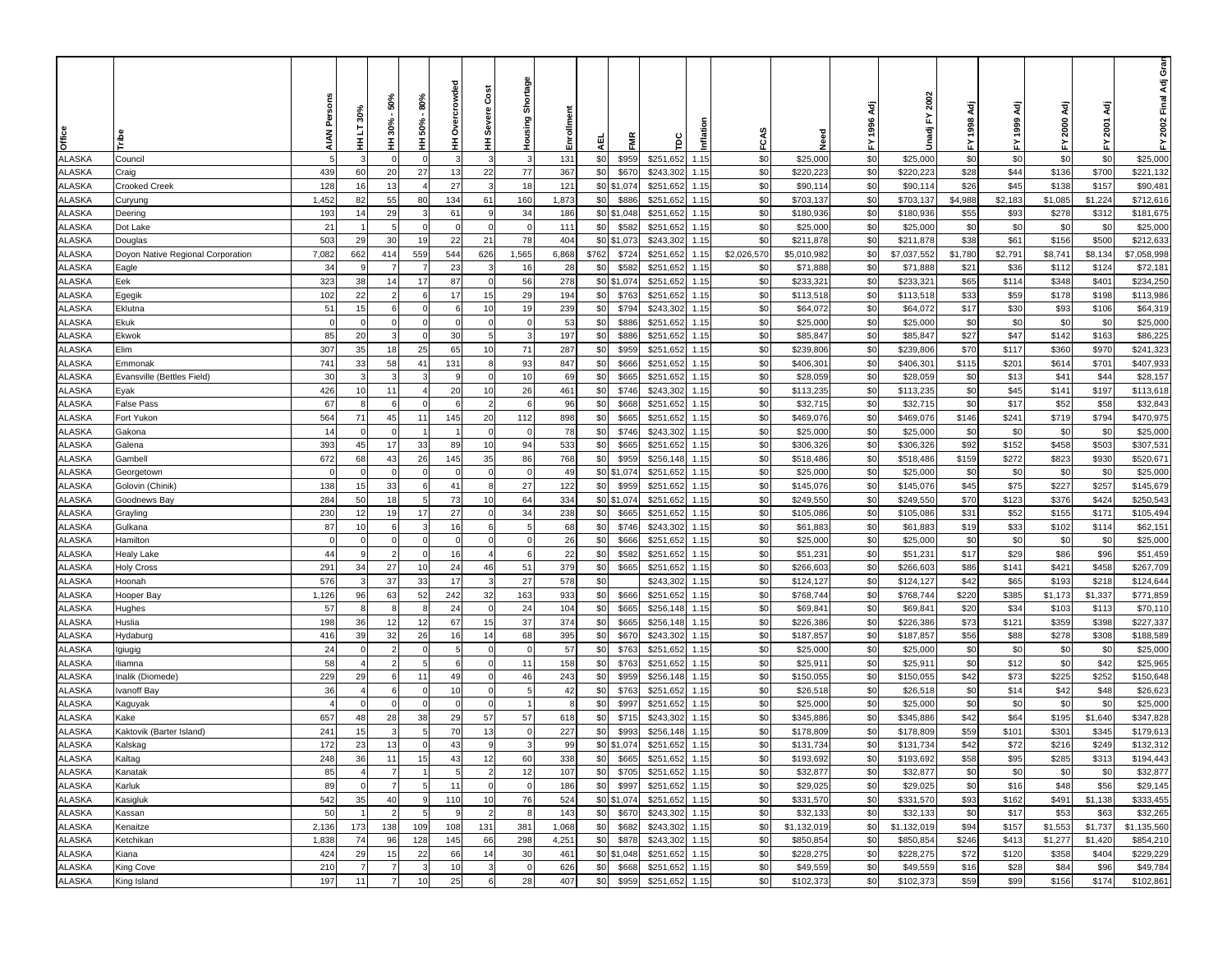| Office                  |                                   |                | 30%<br>ā<br>Ŧ  | 50%<br>30%-<br>Ξ | 80%<br>50%<br>Ξ | 용<br>crow<br>®<br>⊘<br>王 | Cost<br><b>Severe</b><br>Ξ | Shortage<br>Housing | Enrollmen | 핒          | Ë              |                        | Inflat       | FCA         | Veed                 | 1996 Adj<br>놊 | 2002<br>놊<br>Unadj   | ፚ           | इ<br>1999   | ਟ੍ਰੋ<br>2000<br>≿ | ਟ੍ਰ<br>2001<br>≿ | Gran<br>2002 Final Adj<br>놊 |
|-------------------------|-----------------------------------|----------------|----------------|------------------|-----------------|--------------------------|----------------------------|---------------------|-----------|------------|----------------|------------------------|--------------|-------------|----------------------|---------------|----------------------|-------------|-------------|-------------------|------------------|-----------------------------|
| <b>ALASKA</b>           | Council                           | 5              |                |                  | $\sqrt{ }$      |                          |                            | $\cdot$ 3           | 131       | \$0        | \$959          | \$251,652              | 1.15         | \$0         | \$25,000             | \$0           | \$25,000             | \$0         | \$0         | \$0               | \$0              | \$25,000                    |
| <b>ALASKA</b>           | Craig                             | 439            | 60             | 20               | 27              | 13                       | 22                         | 77                  | 367       | \$0        | \$670          | \$243,302              | 1.15         | \$0         | \$220,223            | \$0           | \$220,223            | \$28        | \$44        | \$136             | \$700            | \$221,132                   |
| ALASKA                  | Crooked Creek                     | 128            | 16             | 13               | $\overline{4}$  | 27                       | -3                         | 18                  | 121       |            | \$0 \$1,074    | \$251,652              | 1.15         | \$0         | \$90,114             | \$0           | \$90,114             | \$26        | \$45        | \$138             | \$157            | \$90,481                    |
| ALASKA                  | Curyung                           | 1,452          | 82             | 55               | 80              | 134                      | 61                         | 160                 | 1,873     | \$0        | \$886          | \$251,652              | 1.15         | \$0         | \$703,137            | \$0           | \$703,137            | \$4,988     | \$2,183     | \$1,085           | \$1,224          | \$712,616                   |
| ALASKA                  | Deering                           | 193            | 14             | 29               |                 | 61                       |                            | 34                  | 186       |            | \$0 \$1,048    | \$251,652              | 1.15         | \$0         | \$180,936            | \$0           | \$180,936            | \$55        | \$93        | \$278             | \$312            | \$181,675                   |
| ALASKA                  | Dot Lake                          | 21             |                |                  |                 |                          | $\Omega$                   | $\sqrt{ }$          | 111       | \$0        | \$582          | \$251,652              | 1.15         | \$0         | \$25,000             | \$0           | \$25,000             | \$0         | \$0         | \$0               | \$0              | \$25,000                    |
| ALASKA                  | Douglas                           | 503            | 29             | 30               | 19              | 22                       | 21                         | 78                  | 404       |            | \$0 \$1,073    | \$243,302              | 1.15         | \$0         | \$211,878            | \$0           | \$211,878            | \$38        | \$61        | \$156             | \$500            | \$212,633                   |
| ALASKA                  | Doyon Native Regional Corporation | 7,082          | 662            | 414              | 559             | 544                      | 626                        | 1,565               | 6,868     | \$762      | \$724          | \$251,652              | 1.15         | \$2,026,570 | \$5,010,982          | \$0           | \$7,037,552          | \$1,780     | \$2,791     | \$8,741           | \$8,134          | \$7,058,998                 |
| ALASKA                  | Eagle                             | 34             |                |                  |                 | 23                       |                            | 16                  | 28        | \$0        | \$582          | \$251,652              | 1.15         | \$0         | \$71,888             | \$0           | \$71,888             | \$21        | \$36        | \$112             | \$124            | \$72,18                     |
| <b>ALASKA</b>           | Eek                               | 323            | 38             | 14               | 17              | 87                       | $\overline{0}$             | 56                  | 278       |            | \$0 \$1,074    | \$251,652              | 1.15         | \$0         | \$233,32             | \$0           | \$233,321            | \$65        | \$114       | \$348             | \$401            | \$234,250                   |
| <b>ALASKA</b>           | Egegik                            | 102            | 22             | $\overline{2}$   | 6               | 17                       | 15                         | 29                  | 194       | \$0        | \$763          | \$251,652              | 1.15         | \$0         | \$113,518            | \$0           | \$113,518            | \$33        | \$59        | \$178             | \$198            | \$113,986                   |
| <b>ALASKA</b>           | Eklutna                           | 51             | 15             | 6                | $\sqrt{ }$      | 6                        | 10                         | 19                  | 239       | \$0        | \$794          | \$243,302              | 1.15         | \$0         | \$64,072             | \$0           | \$64,072             | \$17        | \$30        | \$93              | \$106            | \$64,319                    |
| <b>ALASKA</b>           | Ekuk                              | $\Omega$       | $\mathbf 0$    | $\Omega$         | $\sqrt{ }$      | $\Omega$                 | $\Omega$                   | $\Omega$            | 53        | \$0        | \$886          | \$251,652              | 1.15         | \$0         | \$25,000             | \$0           | \$25,000             | \$0         | \$0         | \$0               | \$0              | \$25,000                    |
| <b>ALASKA</b>           | Ekwok                             | 85             | 20             | 3                |                 | 30                       | 5                          | 3                   | 197       | \$0        | \$886          | \$251,652              | 1.15         | \$0         | \$85,847             | \$0           | \$85,847             | \$27        | \$47        | \$142             | \$163            | \$86,225                    |
| ALASKA                  | Elim                              | 307            | 35             | 18               | 25              | 65                       | 10                         | 71                  | 287       | \$0        | \$959          | \$251,652              | 1.15         | \$0         | \$239,806            | \$0           | \$239,806            | \$70        | \$117       | \$360             | \$970            | \$241,323                   |
| ALASKA                  | Emmonak                           | 741            | 33             | 58               | 41              | 131                      | 8                          | 93                  | 847       | \$0        | \$666          | \$251,652              | 1.15         | \$0         | \$406,301            | \$0           | \$406,301            | \$115       | \$201       | \$614             | \$701            | \$407,933                   |
| ALASKA                  | Evansville (Bettles Field)        | 30             |                |                  |                 |                          | $\Omega$                   | 10                  | 69        | \$0        | \$665          | \$251,652              | 1.15         | \$0         | \$28,059             | \$0           | \$28,059             | \$0         | \$13        | \$41              | \$44             | \$28,157                    |
| <b>ILASKA</b>           | Eyak                              | 426            | 10             | 11               |                 | 20                       | 10                         | 26                  | 461       | \$0        | \$746          | \$243,302              | 1.15         | \$0         | \$113,235            | \$0           | \$113,235            | \$0         | \$45        | \$141             | \$197            | \$113,618                   |
| ALASKA                  | False Pass                        | 67             |                |                  |                 |                          |                            |                     | 96        | \$0        | \$668          | \$251,652              | 1.15         | \$0         | \$32,715             | \$0           | \$32,715             | \$0         | \$17        | \$52              | \$58             | \$32,843                    |
| ALASKA                  | Fort Yukon                        | 564            | 71             | 45               | 11              | 145                      | 20                         | 112                 | 898       | \$0        | \$665          | \$251,652              | 1.15         | \$0         | \$469,076            | \$0           | \$469,076            | \$146       | \$241       | \$719             | \$794            | \$470,975                   |
| ALASKA                  | Gakona                            | 14             |                |                  |                 |                          | $\Omega$                   | $\Omega$            | 78        | \$0        | \$746          | \$243,302              | 1.15         | \$0         | \$25,000             | \$0           | \$25,000             | \$0         | \$0         | \$0               | \$0              | \$25,000                    |
| <b>ALASKA</b>           | Galena                            | 393            | 45             | 17               | 33              | 89                       | 10                         | 94                  | 533       | \$0        | \$665          | \$251,652              | 1.15         | \$0         | \$306,326            | \$0           | \$306,326            | \$92        | \$152       | \$458             | \$503            | \$307,53                    |
| ALASKA                  | Gambell                           | 672            | 68             | 43               | 26              | 145                      | 35                         | 86                  | 768       | \$0        | \$959          | \$256,148              | 1.15         | \$0         | \$518,486            | \$0           | \$518,486            | \$159       | \$272       | \$823             | \$930            | \$520,67                    |
| <b>ALASKA</b>           | Georgetown                        | $\Omega$       | $\Omega$       | $\Omega$         |                 |                          | $\overline{0}$             | $\Omega$            | 49        |            | \$0 \$1,074    | \$251,652              | 1.15         | \$0         | \$25,000             | \$0           | \$25,000             | \$0         | \$0         | \$0               | \$0              | \$25,000                    |
| <b>ALASKA</b>           | Golovin (Chinik)                  | 138            | 15             | 33               | 6               | 41                       | 8                          | 27                  | 122       | \$0        | \$959          | \$251,652              | 1.15         | \$0         | \$145,076            | \$0           | \$145,076            | \$45        | \$75        | \$227             | \$257            | \$145,679                   |
| ALASKA                  | Goodnews Bay                      | 284            | 50             | 18               | 5               | 73                       | 10                         | 64                  | 334       |            | \$0 \$1,074    | \$251,652              | 1.15         | \$0         | \$249,550            | \$0           | \$249,550            | \$70        | \$123       | \$376             | \$424            | \$250,543                   |
| ALASKA                  | Grayling                          | 230            | 12             | 19               | 17<br>3         | 27                       | $\overline{0}$             | 34<br>5             | 238       | \$0        | \$665          | \$251,652              | 1.15         | \$0<br>\$0  | \$105,086            | \$0           | \$105,086            | \$31        | \$52        | \$155             | \$171            | \$105,494                   |
| ALASKA                  | Gulkana                           | 87<br>$\Omega$ | 10             | 6                |                 | 16                       | 6                          |                     | 68        | \$0        | \$746          | \$243,302              | 1.15         | \$0         | \$61,883             | \$0           | \$61,883             | \$19        | \$33        | \$102             | \$114            | \$62,151                    |
| <b>ILASKA</b><br>ALASKA | Hamilton<br><b>Healy Lake</b>     | 44             |                | $\Omega$         |                 | 16                       | $\Omega$                   | O<br>6              | 26<br>22  | \$0<br>\$0 | \$666<br>\$582 | \$251,652<br>\$251,652 | 1.15<br>1.15 | \$0         | \$25,000<br>\$51,231 | \$0<br>\$0    | \$25,000<br>\$51,231 | \$0<br>\$17 | \$0<br>\$29 | \$0<br>\$86       | \$0<br>\$96      | \$25,000<br>\$51,459        |
| <b>ILASKA</b>           | <b>Holy Cross</b>                 | 291            | 34             | 27               | 10              | 24                       | 46                         | 51                  | 379       | \$0        | \$665          | \$251,652              | 1.15         | \$0         | \$266,603            | \$0           | \$266,603            | \$86        | \$141       | \$421             | \$458            | \$267,709                   |
| ALASKA                  | Hoonah                            | 576            |                | 37               | 33              | 17                       |                            | 27                  | 578       | \$0        |                | \$243,302              | 1.15         | \$0         | \$124,127            | \$0           | \$124,127            | \$42        | \$65        | \$193             | \$218            | \$124,644                   |
| ALASKA                  | Hooper Bay                        | 1,126          | 96             | 63               | 52              | 242                      | 32                         | 163                 | 933       | \$0        | \$666          | \$251,652              | 1.15         | \$0         | \$768,744            | \$0           | \$768,744            | \$220       | \$385       | \$1,173           | \$1,337          | \$771,859                   |
| ALASKA                  | Hughes                            | 57             |                |                  |                 | 24                       |                            | 24                  | 104       | \$0        | \$665          | \$256,148              | 1.15         | \$0         | \$69,841             | \$0           | \$69,841             | \$20        | \$34        | \$103             | \$113            | \$70,110                    |
| ALASKA                  | Huslia                            | 198            | 36             | 12               | 12              | 67                       | 15                         | 37                  | 374       | \$0        | \$665          | \$256,148              | 1.15         | \$0         | \$226,386            | \$0           | \$226,386            | \$73        | \$121       | \$359             | \$398            | \$227,337                   |
| ALASKA                  | Hydaburg                          | 416            | 39             | 32               | 26              | 16                       | 14                         | 68                  | 395       | \$0        | \$670          | \$243,302              | 1.15         | \$0         | \$187,857            | \$0           | \$187,857            | \$56        | \$88        | \$278             | \$308            | \$188,589                   |
| <b>ALASKA</b>           | Igiugig                           | 24             | $\Omega$       | $\overline{2}$   | $\sqrt{ }$      | 5                        | $\Omega$                   | $\Omega$            | 57        | \$0        | \$763          | \$251,652              | 1.15         | \$0         | \$25,000             | \$0           | \$25,000             | \$0         | \$0         | \$0               | \$0              | \$25,000                    |
| <b>ALASKA</b>           | Iliamna                           | 58             |                |                  | 5               | 6                        | $\Omega$                   | 11                  | 158       | \$0        | \$763          | \$251,652              | 1.15         | \$0         | \$25,911             | \$0           | \$25,911             | \$0         | \$12        | \$0               | \$42             | \$25,965                    |
| <b>ALASKA</b>           | Inalik (Diomede)                  | 229            | 29             | 6                | 11              | 49                       | $\overline{0}$             | 46                  | 243       | \$0        | \$959          | \$256,148              | 1.15         | \$0         | \$150,055            | \$0           | \$150,055            | \$42        | \$73        | \$225             | \$252            | \$150,648                   |
| <b>ILASKA</b>           | vanoff Bay                        | 36             |                | 6                | $\Omega$        | 10                       | $\Omega$                   | .5                  | 42        | \$0        | \$763          | \$251,652              | 1.15         | \$0         | \$26,518             | \$0           | \$26,518             | \$0         | \$14        | \$42              | \$48             | \$26,623                    |
| ALASKA                  | Kaguyak                           | 4              |                |                  |                 | $\Omega$                 | $\overline{0}$             |                     | 8         | \$0        | \$997          | \$251,652              | 1.15         | \$0         | \$25,000             | \$0           | \$25,000             | \$0         | \$0         | \$0               | \$0              | \$25,000                    |
| <b>ILASKA</b>           | Kake                              | 657            | 48             | 28               | 38              | 29                       | 57                         | 57                  | 618       | \$0        | \$715          | \$243,302              | 1.15         | \$0         | \$345,886            | \$0           | \$345,886            | \$42        | \$64        | \$195             | \$1,640          | \$347,828                   |
| ALASKA                  | Kaktovik (Barter Island)          | 241            | 15             |                  |                 | 70                       | 13                         |                     | 227       | \$0        | \$993          | \$256,148              | 1.15         | \$0         | \$178,809            | \$0           | \$178,809            | \$59        | \$101       | \$301             | \$345            | \$179,613                   |
| ALASKA                  | Kalskag                           | 172            | 23             | 13               |                 | 43                       |                            | 3                   | 99        | \$0        | \$1,074        | \$251,652              | 1.15         | \$0         | \$131,734            | \$0           | \$131,734            | \$42        | \$72        | \$216             | \$249            | \$132,312                   |
| ALASKA                  | Kaltag                            | 248            | 36             | 11               | 15              | 43                       | 12                         | 60                  | 338       | \$0        | \$665          | \$251,652 1.15         |              | \$0         | \$193,692            | \$0           | \$193,692            | \$58        | \$95        | \$285             | \$313            | \$194,443                   |
| ALASKA                  | Kanatak                           | 85             |                | $\overline{7}$   |                 | 5                        | $\overline{2}$             | 12                  | 107       | \$0        | \$705          | \$251,652              | 1.15         | \$0         | \$32,877             | \$0           | \$32,877             | \$0         | \$0         | \$0               | \$0              | \$32,877                    |
| ALASKA                  | Karluk                            | 89             | 0              | $\overline{7}$   | 5               | 11                       | $\mathsf{O}$               | $\overline{0}$      | 186       | \$0        | \$997          | \$251,652              | 1.15         | \$0         | \$29,025             | \$0           | \$29,025             | \$0         | \$16        | \$48              | \$56             | \$29,145                    |
| <b>ALASKA</b>           | Kasigluk                          | 542            | 35             | 40               |                 | 110                      | 10                         | 76                  | 524       |            | \$0 \$1,074    | \$251,652              | 1.15         | \$0         | \$331,570            | \$0           | \$331,570            | \$93        | \$162       | \$491             | \$1,138          | \$333,455                   |
| ALASKA                  | Kassan                            | 50             |                | $\overline{2}$   |                 |                          | $\overline{2}$             | 8                   | 143       | \$0        | \$670          | \$243,302              | 1.15         | \$0         | \$32,133             | \$0           | \$32,133             | \$0         | \$17        | \$53              | \$63             | \$32,265                    |
| ALASKA                  | Kenaitze                          | 2,136          | 173            | 138              | 109             | 108                      | 131                        | 381                 | 1,068     | \$0        | \$682          | \$243,302              | 1.15         | \$0         | \$1,132,019          | \$0           | \$1,132,019          | \$94        | \$157       | \$1,553           | \$1,737          | \$1,135,560                 |
| ALASKA                  | Ketchikan                         | 1,838          | 74             | 96               | 128             | 145                      | 66                         | 298                 | 4,251     | \$0        | \$878          | \$243,302              | 1.15         | \$0         | \$850,854            | \$0           | \$850,854            | \$246       | \$413       | \$1,277           | \$1,420          | \$854,210                   |
| ALASKA                  | Kiana                             | 424            | 29             | 15               | 22              | 66                       | 14                         | 30                  | 461       |            | \$0 \$1,048    | \$251,652              | 1.15         | \$0         | \$228,275            | \$0           | \$228,275            | \$72        | \$120       | \$358             | \$404            | \$229,229                   |
| ALASKA                  | King Cove                         | 210            | $\overline{7}$ | $\overline{7}$   | -3              | 10                       | $\mathbf{3}$               | $\mathbf 0$         | 626       | \$0        | \$668          | \$251,652              | 1.15         | \$0         | \$49,559             | \$0           | \$49,559             | \$16        | \$28        | \$84              | \$96             | \$49,784                    |
| ALASKA                  | King Island                       | 197            | 11             | $\overline{7}$   | 10              | 25                       | 6                          | 28                  | 407       | \$0        | \$959          | \$251,652              | 1.15         | \$0         | \$102,373            | \$0           | \$102,373            | \$59        | \$99        | \$156             | \$174            | \$102,861                   |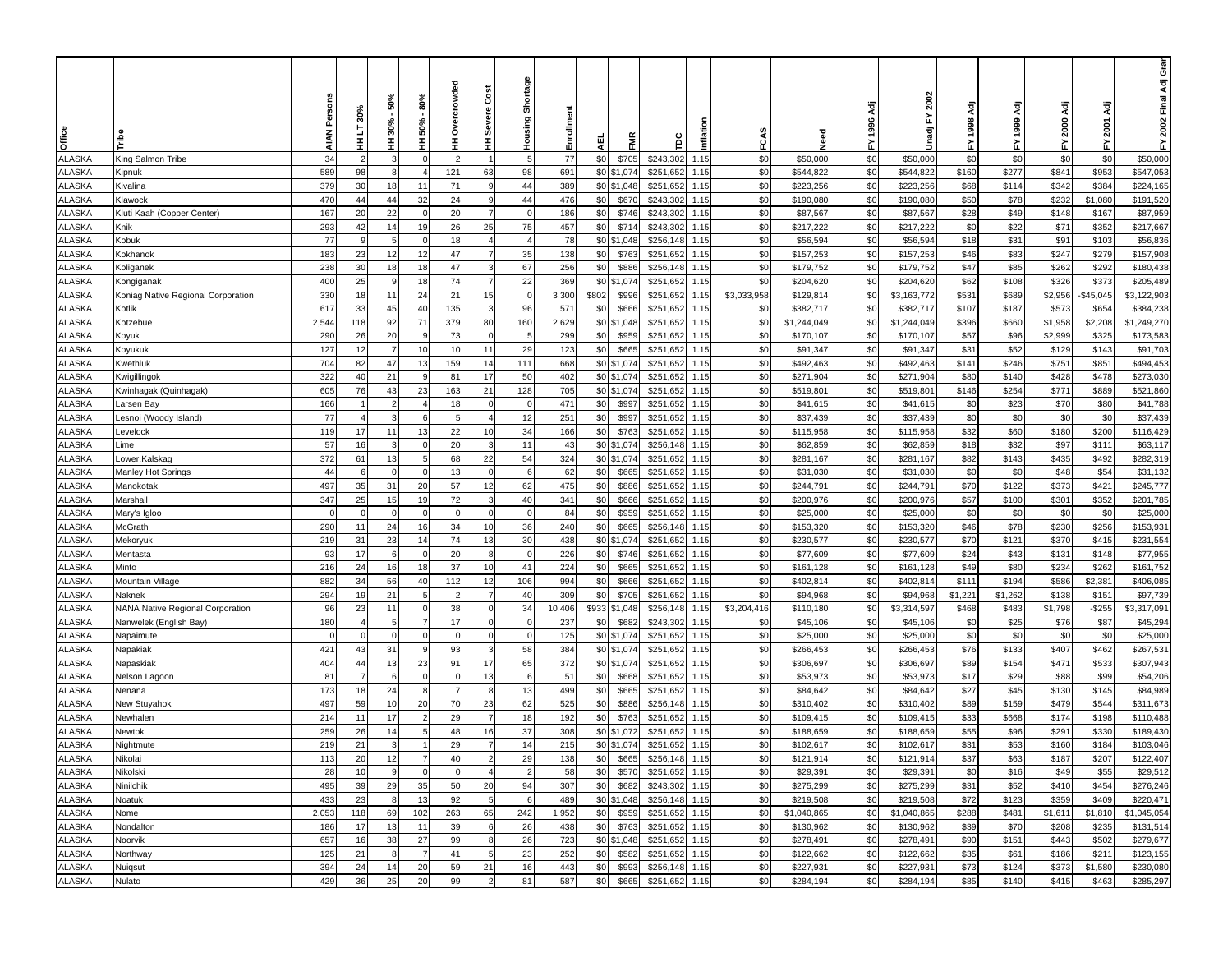| Office                         |                                    | <b>AIAN</b> | 30%<br>ā<br>Ŧ  | 50%<br>$30% -$<br>Ξ | 80%<br>50%<br>Ξ | crowded<br>®<br>⊘<br>Ŧ | Cost<br><b>Severe</b><br>Ξ | Shortage<br>Housing | Enrollmen  | 핒          | Ë              | ě                      | Inflati      | FCAS        | Veed                   | 1996 Adj<br>놊 | 2002<br>ŗ<br>Unadji    | 놊             | इ<br>1999     | ਟ੍ਰੋ<br>2000<br>≿ | इ<br>2001<br>놊   | ອັ<br>ອັ<br>2002 Final Adj<br>놊 |
|--------------------------------|------------------------------------|-------------|----------------|---------------------|-----------------|------------------------|----------------------------|---------------------|------------|------------|----------------|------------------------|--------------|-------------|------------------------|---------------|------------------------|---------------|---------------|-------------------|------------------|---------------------------------|
| ALASKA                         | King Salmon Tribe                  | 34          |                | 3                   | $\sqrt{ }$      |                        |                            | .5                  | 77         | \$0        | \$705          | \$243,302              | 1.15         | \$0         | \$50,000               | \$0           | \$50,000               | \$0           | \$0           | \$0               | \$0              | \$50,000                        |
| ALASKA                         | Kipnuk                             | 589         | 98             | 8                   |                 | 121                    | 63                         | 98                  | 691        |            | \$0 \$1,074    | \$251,652              | 1.15         | \$0         | \$544,822              | \$0           | \$544,822              | \$160         | \$277         | \$841             | \$953            | \$547,053                       |
| <b>ILASKA</b>                  | Kivalina                           | 379         | 30             | 18                  | 11              | 71                     | 9                          | 44                  | 389        |            | \$0 \$1,048    | \$251,652              | 1.15         | \$0         | \$223,256              | \$0           | \$223,256              | \$68          | \$114         | \$342             | \$384            | \$224,165                       |
| <b>LASKA</b>                   | Klawock                            | 470         | 44             | 44                  | 32              | 24                     | 9                          | 44                  | 476        | \$0        | \$670          | \$243,302              | 1.15         | \$0         | \$190,080              | \$0           | \$190,080              | \$50          | \$78          | \$232             | \$1,080          | \$191,520                       |
| <b>ILASKA</b>                  | Kluti Kaah (Copper Center)         | 167         | 20             | 22                  |                 | 20                     |                            | $\sqrt{ }$          | 186        | \$0        | \$746          | \$243,302              | 1.15         | \$0         | \$87,567               | \$0           | \$87,567               | \$28          | \$49          | \$148             | \$167            | \$87,959                        |
| <b>LASKA</b>                   | Knik                               | 293         | 42             | 14                  | 19              | 26                     | 25                         | 75                  | 457        | \$0        | \$714          | \$243,302              | 1.15         | \$0         | \$217,222              | \$0           | \$217,222              | \$0           | \$22          | \$71              | \$352            | \$217,667                       |
| <b>ILASKA</b>                  | Kobuk                              | 77          |                |                     |                 | 18                     |                            |                     | 78         | \$0        | \$1,048        | \$256,148              | 1.15         | \$0         | \$56,594               | \$0           | \$56,594               | \$18          | \$31          | \$91              | \$103            | \$56,836                        |
| ALASKA                         | Kokhanok                           | 183         | 23             | 12                  | 12              | 47                     |                            | 35                  | 138        | \$0        | \$763          | \$251,652              | 1.15         | \$0         | \$157,253              | \$0           | \$157,253              | \$46          | \$83          | \$247             | \$279            | \$157,908                       |
| ALASKA                         | Koliganek                          | 238         | 30             | 18                  | 18              | 47                     |                            | 67                  | 256        | \$0        | \$886          | \$256,148              | 1.15         | \$0         | \$179,752              | \$0           | \$179,752              | \$47          | \$85          | \$262             | \$292            | \$180,438                       |
| ALASKA                         | Kongiganak                         | 400         | 25             | -9                  | 18              | 74                     | $\overline{7}$             | 22                  | 369        |            | \$0 \$1,074    | \$251,652              | 1.15         | \$0         | \$204,620              | \$0           | \$204,620              | \$62          | \$108         | \$326             | \$373            | \$205,489                       |
| ALASKA                         | Koniag Native Regional Corporation | 330         | 18             | 11                  | 24              | 21                     | 15                         | $\Omega$            | 3,300      | \$802      | \$996          | \$251,652              | 1.15         | \$3,033,958 | \$129,81               | \$0           | \$3,163,772            | \$531         | \$689         | \$2,956           | $-$45,045$       | \$3,122,903                     |
| ALASKA                         | Kotlik                             | 617         | 33             | 45                  | 40              | 135                    | 3                          | 96                  | 571        | \$0        | \$666          | \$251,652              | 1.15         | \$0         | \$382,717              | \$0           | \$382,717              | \$107         | \$187         | \$573             | \$654            | \$384,238                       |
| ALASKA                         | Kotzebue                           | 2,544       | 118            | 92                  | 71              | 379                    | 80                         | 160                 | 2,629      |            | \$0 \$1,048    | \$251,652              | 1.15         | \$0         | \$1,244,049            | \$0           | \$1,244,049            | \$396         | \$660         | \$1,958           | \$2,208          | \$1,249,270                     |
| ALASKA                         | Koyuk                              | 290         | 26             | 20                  | - g             | 73                     | $\Omega$                   | -5                  | 299        | \$0        | \$959          | \$251,652              | 1.15         | \$0         | \$170,107              | \$0           | \$170,107              | \$57          | \$96          | \$2,999           | \$325            | \$173,583                       |
| <b>ILASKA</b>                  | Koyukuk                            | 127         | 12             | $\overline{7}$      | 10              | 10                     | 11                         | 29                  | 123        | \$0        | \$665          | \$251,652              | 1.15         | \$0         | \$91,347               | \$0           | \$91,347               | \$31          | \$52          | \$129             | \$143            | \$91,703                        |
| <b>ILASKA</b>                  | Kwethluk                           | 704         | 82             | 47                  | 13              | 159                    | 14                         | 111                 | 668        |            | \$0 \$1,074    | \$251,652              | 1.15         | \$0         | \$492,463              | \$0           | \$492,463              | \$141         | \$246         | \$751             | \$851            | \$494,453                       |
| <b>LASKA</b>                   | Kwigillingok                       | 322         | 40             | 21                  |                 | 81                     | 17                         | 50                  | 402        |            | \$0 \$1,074    | \$251,652              | 1.15         | \$0         | \$271,904              | \$0           | \$271,904              | \$80          | \$140         | \$428             | \$478            | \$273,030                       |
| <b>LASKA</b>                   | Kwinhagak (Quinhagak)              | 605         | 76             | 43                  | 23              | 163                    | 21                         | 128                 | 705        |            | \$0 \$1,074    | \$251,652              | 1.15         | \$0         | \$519,801              | \$0           | \$519,801              | \$146         | \$254         | \$771             | \$889            | \$521,860                       |
| <b>ILASKA</b>                  | arsen Bay.                         | 166         |                |                     |                 |                        |                            |                     | 471        | \$0        | \$997          | \$251,652              | 1.15         | \$0         | \$41,615               | \$0           | \$41,615               | \$0           | \$23          | \$70              | \$80             | \$41,788                        |
| ALASKA                         | esnoi (Woody Island).              | 77          |                |                     |                 |                        |                            | 12                  | 251        | \$0        | \$997          | \$251,652              | 1.15         | \$0         | \$37,439               | \$0           | \$37,439               | \$0           | \$0           | \$0               | \$0              | \$37,439                        |
| ALASKA                         | _evelock                           | 119         | 17             | 11                  | 13              | 22                     | 10                         | 34                  | 166        | \$0        | \$763          | \$251,652              | 1.15         | \$0         | \$115,958              | \$0           | \$115,958              | \$32          | \$60          | \$180             | \$200            | \$116,429                       |
| ALASKA                         | _ime                               | 57          | 16             | -3                  |                 | 20                     | 3                          | 11                  | 43         |            | \$0 \$1,074    | \$256,148              | 1.15         | \$0         | \$62,859               | \$0           | \$62,859               | \$18          | \$32          | \$97              | \$111            | \$63,117                        |
| ALASKA                         | Lower.Kalskag                      | 372         | 61             | 13                  |                 | 68                     | 22                         | 54                  | 324        |            | \$0 \$1,074    | \$251,652              | 1.15         | \$0         | \$281,167              | \$0           | \$281,167              | \$82          | \$143         | \$435             | \$492            | \$282,319                       |
| ALASKA                         | Manley Hot Springs                 | 44          | 6              | $\Omega$            |                 | 13                     | $\Omega$                   | 6                   | 62         | \$0        | \$665          | \$251,652              | 1.15         | \$0         | \$31,030               | \$0           | \$31,030               | \$0           | \$0           | \$48              | \$54             | \$31,132                        |
| ALASKA                         | Manokotak                          | 497         | 35             | 31                  | 20              | 57                     | 12                         | 62                  | 475        | \$0        | \$886          | \$251,652              | 1.15         | \$0         | \$244,791              | \$0           | \$244,791              | \$70          | \$122         | \$373             | \$421            | \$245,777                       |
| ALASKA                         | Marshall                           | 347         | 25             | 15                  | 19              | 72                     | 3                          | 40                  | 341        | \$0        | \$666          | \$251,652              | 1.15         | \$0         | \$200,976              | \$0           | \$200,976              | \$57          | \$100         | \$301             | \$352            | \$201,785                       |
| <b>ILASKA</b>                  | Mary's Igloo                       | $\Omega$    | $\Omega$       | $\Omega$            | $\Omega$        | $\Omega$               | $\Omega$                   | $\Omega$            | 84         | \$0        | \$959          | \$251,652              | 1.15         | \$0         | \$25,000               | \$0           | \$25,000               | \$0           | \$0           | \$0               | \$0              | \$25,000                        |
| <b>LASKA</b>                   | McGrath                            | 290         | 11             | 24                  | 16              | 34                     | 10                         | 36                  | 240        | \$0        | \$665          | \$256,148              | 1.15         | \$0         | \$153,320              | \$0           | \$153,320              | \$46          | \$78          | \$230             | \$256            | \$153,931                       |
| <b>LASKA</b><br><b>LASKA</b>   | Mekoryuk                           | 219<br>93   | 31<br>17       | 23                  | 14              | 74                     | 13<br>8                    | 30<br>$\Omega$      | 438        | \$0        | \$0 \$1,074    | \$251,652              | 1.15         | \$0<br>\$0  | \$230,577              | \$0<br>\$0    | \$230,577              | \$70<br>\$24  | \$121         | \$370             | \$415            | \$231,554                       |
|                                | Mentasta                           |             |                |                     |                 | 20                     |                            |                     | 226        |            | \$746          | \$251,652              | 1.15         |             | \$77,609               |               | \$77,609               |               | \$43          | \$131             | \$148            | \$77,955                        |
| <b>ILASKA</b><br><b>ILASKA</b> | Minto<br>Mountain Village          | 216<br>882  | 24<br>34       | 16<br>56            | 18<br>40        | 37<br>112              | 10                         | 41                  | 224        | \$0<br>\$0 | \$665<br>\$666 | \$251,652<br>\$251,652 | 1.15         | \$0<br>\$0  | \$161,128<br>\$402,814 | \$0<br>\$0    | \$161,128<br>\$402,814 | \$49<br>\$111 | \$80<br>\$194 | \$234<br>\$586    | \$262<br>\$2,381 | \$161,752<br>\$406,085          |
| ALASKA                         | Naknek                             | 294         | 19             | 21                  |                 |                        | 12                         | 106<br>40           | 994<br>309 | \$0        | \$705          | \$251,652              | 1.15<br>1.15 | \$0         | \$94,968               | \$0           | \$94,968               | \$1,221       | \$1,262       | \$138             | \$151            | \$97,739                        |
| ALASKA                         | NANA Native Regional Corporation   | 96          | 23             | 11                  |                 | 38                     | $\mathbf 0$                | 34                  | 10,406     | \$933      | \$1,048        | \$256,148              | 1.15         | \$3,204,416 | \$110,180              | \$0           | \$3,314,597            | \$468         | \$483         | \$1,798           | $-$ \$255        | \$3,317,091                     |
| ALASKA                         | Nanwelek (English Bay)             | 180         |                | -5                  |                 | 17                     | $\overline{0}$             |                     | 237        | \$0        | \$682          | \$243,302              | 1.15         | \$0         | \$45,106               | \$0           | \$45,106               | \$0           | \$25          | \$76              | \$87             | \$45,294                        |
| ALASKA                         | Napaimute                          | $\Omega$    | $\Omega$       | $\Omega$            |                 | $\Omega$               | $\mathbf{0}$               | $\Omega$            | 125        |            | \$0 \$1,074    | \$251,652              | 1.15         | \$0         | \$25,000               | \$0           | \$25,000               | \$0           | \$0           | \$0               | \$0              | \$25,000                        |
| ALASKA                         | Napakiak                           | 421         | 43             | 31                  |                 | 93                     | 3                          | 58                  | 384        |            | \$0 \$1,074    | \$251,652              | 1.15         | \$0         | \$266,453              | \$0           | \$266,453              | \$76          | \$133         | \$407             | \$462            | \$267,53                        |
| ALASKA                         | Napaskiak                          | 404         | 44             | 13                  | 23              | 91                     | 17                         | 65                  | 372        |            | \$0 \$1,074    | \$251,652              | 1.15         | \$0         | \$306,697              | \$0           | \$306,697              | \$89          | \$154         | \$471             | \$533            | \$307,943                       |
| ALASKA                         | Nelson Lagoon                      | 81          | $\overline{7}$ | 6                   | $\Omega$        | $\Omega$               | 13                         | 6                   | 51         | \$0        | \$668          | \$251,652              | 1.15         | \$0         | \$53,973               | \$0           | \$53,973               | \$17          | \$29          | \$88              | \$99             | \$54,206                        |
| <b>ILASKA</b>                  | Nenana                             | 173         | 18             | 24                  | 8               | $\overline{7}$         | -8                         | 13                  | 499        | \$0        | \$665          | \$251,652              | 1.15         | \$0         | \$84,642               | \$0           | \$84,642               | \$27          | \$45          | \$130             | \$145            | \$84,989                        |
| <b>LASKA</b>                   | New Stuyahok                       | 497         | 59             | 10                  | 20              | 70                     | 23                         | 62                  | 525        | \$0        | \$886          | \$256,148              | 1.15         | \$0         | \$310,402              | \$0           | \$310,402              | \$89          | \$159         | \$479             | \$544            | \$311,673                       |
| <b>LASKA</b>                   | Newhalen                           | 214         | 11             | 17                  |                 | 29                     |                            | 18                  | 192        | \$0        | \$763          | \$251,652              | 1.15         | \$0         | \$109,415              | \$0           | \$109,415              | \$33          | \$668         | \$174             | \$198            | \$110,488                       |
| <b>ILASKA</b>                  | Newtok                             | 259         | 26             | 14                  |                 | 48                     | 16                         | 37                  | 308        | \$0        | \$1,072        | \$251,652              | 1.15         | \$0         | \$188,659              | \$0           | \$188,659              | \$55          | \$96          | \$291             | \$330            | \$189,430                       |
| <b>ALASKA</b>                  | Nightmute                          | 219         | 21             |                     |                 | 29                     |                            | 14                  | 215        | \$0        | \$1,074        | \$251,652              | 1.15         | \$0         | \$102,617              | \$0           | \$102,617              | \$31          | \$53          | \$160             | \$184            | \$103,046                       |
| ALASKA                         | Nikolai                            | 113         | 20             | 12                  | $\overline{7}$  | 40                     | $\overline{2}$             | 29                  | 138        | \$0        | \$665          | \$256,148 1.15         |              | \$0         | \$121,914              | \$0           | \$121,914              | \$37          | \$63          | \$187             | \$207            | \$122,407                       |
| ALASKA                         | Nikolski                           | 28          | 10             | 9                   | $\Omega$        |                        |                            | $\overline{2}$      | 58         | \$0        | \$570          | \$251,652              | 1.15         | \$0         | \$29,391               | \$0           | \$29,391               | \$0           | \$16          | \$49              | \$55             | \$29,512                        |
| ALASKA                         | Ninilchik                          | 495         | 39             | 29                  | 35              | 50                     | 20                         | 94                  | 307        | \$0        | \$682          | \$243,302              | 1.15         | \$0         | \$275,299              | \$0           | \$275,299              | \$31          | \$52          | \$410             | \$454            | \$276,246                       |
| <b>ALASKA</b>                  | Noatuk                             | 433         | 23             | -8                  | 13              | 92                     | 5                          | -6                  | 489        |            | \$0 \$1,048    | \$256,148              | 1.15         | \$0         | \$219,508              | \$0           | \$219,508              | \$72          | \$123         | \$359             | \$409            | \$220,471                       |
| ALASKA                         | Nome                               | 2,053       | 118            | 69                  | 102             | 263                    | 65                         | 242                 | 1,952      | \$0        | \$959          | \$251,652              | 1.15         | \$0         | \$1,040,865            | \$0           | \$1,040,865            | \$288         | \$481         | \$1,611           | \$1,810          | \$1,045,054                     |
| <b>ALASKA</b>                  | Nondalton                          | 186         | 17             | 13                  | 11              | 39                     | 6                          | 26                  | 438        | \$0        | \$763          | \$251,652 1.15         |              | \$0         | \$130,962              | \$0           | \$130,962              | \$39          | \$70          | \$208             | \$235            | \$131,514                       |
| ALASKA                         | Noorvik                            | 657         | 16             | 38                  | 27              | 99                     | 8                          | 26                  | 723        |            | \$0 \$1,048    | \$251,652              | 1.15         | \$0         | \$278,491              | \$0           | \$278,491              | \$90          | \$151         | \$443             | \$502            | \$279,677                       |
| ALASKA                         | Northway                           | 125         | 21             | -8                  |                 | 41                     | 5                          | 23                  | 252        | \$0        | \$582          | \$251,652              | 1.15         | \$0         | \$122,662              | \$0           | \$122,662              | \$35          | \$61          | \$186             | \$211            | \$123,155                       |
| ALASKA                         | Nuigsut                            | 394         | 24             | 14                  | 20              | 59                     | 21                         | 16                  | 443        | \$0        | \$993          | \$256,148              | 1.15         | \$0         | \$227,931              | \$0           | \$227,931              | \$73          | \$124         | \$373             | \$1,580          | \$230,080                       |
| ALASKA                         | Nulato                             | 429         | 36             | 25                  | 20              | 99                     | $\overline{2}$             | 81                  | 587        | \$0        | \$665          | \$251,652              | 1.15         | \$0         | \$284,194              | \$0           | \$284,194              | \$85          | \$140         | \$415             | \$463            | \$285,297                       |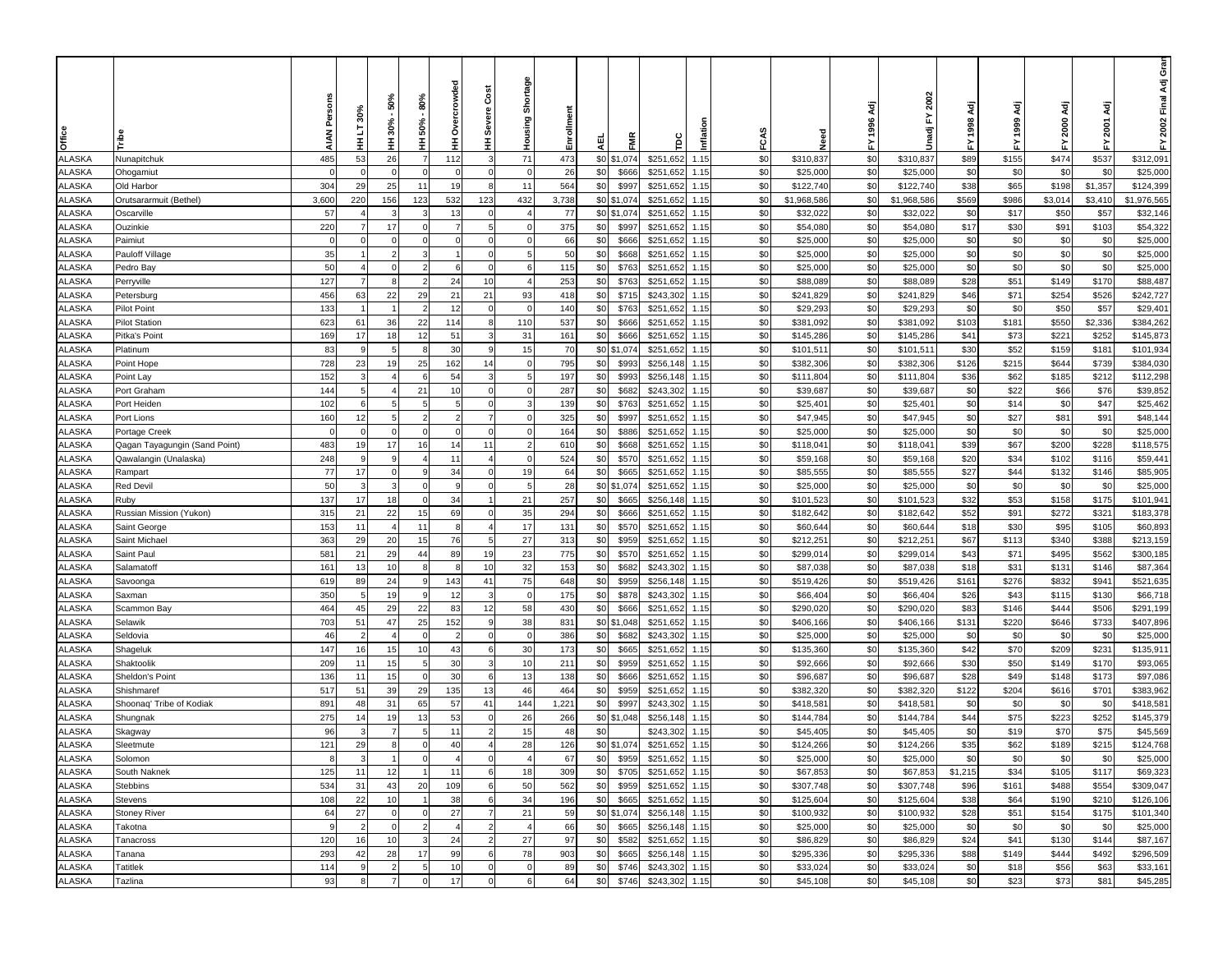| 71<br>\$0<br>485<br>53<br>26<br>112<br>473<br>\$0 \$1,074<br>\$251,652<br>1.15<br>\$0<br>\$310,837<br>\$310,837<br>\$89<br>\$155<br>\$474<br>\$537<br>\$312,091<br><b>ALASKA</b><br>Nunapitchuk<br>-7<br>3<br>$\overline{0}$<br>26<br>\$0<br>\$0<br>\$0<br>\$0<br>\$0<br>\$0<br>\$0<br>\$25,000<br>ALASKA<br>$\overline{0}$<br>\$666<br>\$251,652<br>\$25,000<br>Ohogamiut<br>$\Omega$<br>$\Omega$<br>$\Omega$<br>$\Omega$<br>1.15<br>\$25,000<br>$\Omega$<br>304<br>29<br>25<br>11<br>564<br>\$0<br>\$997<br>\$251,652<br>\$0<br>\$0<br>\$122,740<br>\$38<br>\$65<br>\$198<br>\$1,357<br>\$124,399<br><b>ILASKA</b><br>11<br>19<br>8<br>\$122,740<br>Old Harbor<br>1.15<br>\$0 \$1,074<br><b>LASKA</b><br>3,600<br>220<br>123<br>432<br>3,738<br>\$251,652<br>\$0<br>\$0<br>\$1,968,586<br>\$569<br>\$1,976,565<br>156<br>123<br>532<br>1.15<br>\$1,968,586<br>\$986<br>\$3,014<br>\$3,410<br>Orutsararmuit (Bethel)<br>57<br>77<br>\$0 \$1,074<br>\$0<br>\$0<br>\$50<br>\$57<br>\$32,146<br><b>ILASKA</b><br>\$251,652<br>1.15<br>\$32,022<br>\$32,022<br>\$0<br>\$17<br>Oscarville<br>13<br>3<br><b>LASKA</b><br>220<br>17<br>375<br>\$0<br>\$0<br>\$0<br>\$17<br>\$30<br>\$103<br>\$54,322<br>Ouzinkie<br>\$997<br>\$251,652<br>1.15<br>\$54,080<br>\$54,080<br>\$91<br>\$0<br>\$0<br>\$0<br><b>ILASKA</b><br>66<br>\$666<br>\$251,652<br>\$0<br>\$25,000<br>\$0<br>\$0<br>\$0<br>\$25,000<br>Paimiut<br>$\Omega$<br>1.15<br>\$25,000<br>35<br>ALASKA<br>50<br>\$0<br>1.15<br>\$0<br>\$0<br>\$0<br>\$0<br>\$0<br>\$0<br>\$25,000<br>\$668<br>\$251,652<br>\$25,000<br>Pauloff Village<br>$\Omega$<br>\$25,000<br>\$0<br>\$0<br>\$0<br>ALASKA<br>50<br>115<br>1.15<br>\$0<br>\$0<br>\$0<br>\$0<br>\$25,000<br>$\Omega$<br>$\Omega$<br>\$763<br>\$251,652<br>\$25,000<br>\$25,000<br>Pedro Bay<br>ALASKA<br>127<br>10<br>253<br>\$0<br>\$0<br>\$0<br>\$28<br>\$51<br>\$170<br>\$88,487<br>$\overline{7}$<br>24<br>\$763<br>\$251,652<br>1.15<br>\$88,089<br>\$149<br>Perryville<br>-8<br>\$88,089<br>ALASKA<br>456<br>63<br>22<br>29<br>21<br>93<br>418<br>\$0<br>\$715<br>\$0<br>\$0<br>\$241,829<br>\$46<br>\$71<br>\$254<br>\$526<br>\$242,727<br>21<br>\$243,302<br>1.15<br>\$241,829<br>Petersburg<br>133<br>140<br>\$0<br>\$763<br>\$0<br>\$0<br>\$29,293<br>\$0<br>\$0<br>\$50<br>\$57<br>\$29,401<br>ALASKA<br><b>Pilot Point</b><br>12<br>$\Omega$<br>$\Omega$<br>\$251,652<br>1.15<br>\$29,293<br>\$0<br>\$0<br>\$550<br>ALASKA<br><b>Pilot Station</b><br>623<br>61<br>36<br>22<br>114<br>110<br>537<br>\$666<br>\$251,652<br>1.15<br>\$0<br>\$381,092<br>\$103<br>\$181<br>\$2,336<br>\$384,262<br>-8<br>\$381,092<br>\$0<br>\$0<br>\$41<br>\$73<br>\$221<br>\$252<br>\$145,873<br>ALASKA<br>169<br>17<br>18<br>51<br>31<br>161<br>\$666<br>\$251,652<br>\$0<br>\$145,286<br>Pitka's Point<br>12<br>1.15<br>\$145,286<br>3<br>\$0 \$1,074<br>\$0<br>83<br>30<br>15<br>70<br>\$251,652<br>\$0<br>\$101,511<br>\$30<br>\$52<br>\$159<br>\$181<br>\$101,934<br><b>ILASKA</b><br>9<br>1.15<br>Platinum<br>9<br>5<br>8<br>\$101,51'<br>728<br>23<br>795<br>\$0<br>\$0<br>\$0<br>\$644<br>\$739<br>\$384,030<br><b>ILASKA</b><br>19<br>25<br>162<br>14<br>\$993<br>\$256,148<br>\$382,306<br>\$126<br>\$215<br>$\Omega$<br>1.15<br>\$382,306<br>Point Hope<br><b>LASKA</b><br>152<br>\$0<br>\$993<br>\$256,148<br>\$0<br>\$0<br>\$36<br>\$212<br>\$112,298<br>54<br>197<br>1.15<br>\$111,804<br>\$62<br>\$185<br>Point Lay<br>5<br>\$111,804<br>144<br>287<br>\$0<br>\$0<br>\$0<br>\$76<br>\$39,852<br><b>LASKA</b><br>21<br>\$682<br>\$243,302<br>1.15<br>\$0<br>\$39,687<br>\$39,687<br>\$22<br>\$66<br>Port Graham<br>10<br>$\Omega$<br>\$0<br>\$0<br>\$0<br>\$0<br><b>ILASKA</b><br>Port Heiden<br>102<br>139<br>\$763<br>\$251,652<br>1.15<br>\$25,401<br>\$14<br>\$0<br>\$47<br>\$25,462<br>\$25,401<br>-6<br>12<br>\$0<br>\$0<br>\$0<br>\$0<br>\$81<br>\$48,144<br>ALASKA<br>160<br>325<br>\$997<br>\$251,652<br>1.15<br>\$47,945<br>\$47,945<br>\$27<br>\$91<br>Port Lions<br>ALASKA<br>\$0<br>\$251,652<br>\$0<br>\$0<br>\$0<br>\$0<br>\$0<br>\$0<br>\$25,000<br>$\Omega$<br>$\Omega$<br>164<br>\$886<br>1.15<br>\$25,000<br>\$25,000<br>Portage Creek<br>$\Omega$<br>$\Omega$<br>ALASKA<br>483<br>19<br>17<br>11<br>\$0<br>\$668<br>\$0<br>\$0<br>\$118,041<br>\$39<br>\$67<br>\$200<br>\$228<br>\$118,575<br>16<br>14<br>$\overline{2}$<br>610<br>\$251,652<br>1.15<br>\$118,041<br>Qagan Tayagungin (Sand Point)<br>ALASKA<br>248<br>\$0<br>\$0<br>\$0<br>\$20<br>\$34<br>\$102<br>\$59,44<br>9<br>11<br>524<br>\$570<br>\$251,652<br>1.15<br>\$59,168<br>\$116<br>Qawalangin (Unalaska)<br>9<br>$\Omega$<br>\$59,168<br>$\overline{4}$<br>77<br>ALASKA<br>17<br>34<br>19<br>\$0<br>\$665<br>\$0<br>\$0<br>\$27<br>\$132<br>\$146<br>\$85,905<br>$\Omega$<br>$\Omega$<br>64<br>\$251,652<br>1.15<br>\$85,555<br>\$85,555<br>\$44<br>Rampart<br>\$0<br>50<br>28<br>\$0<br>\$0<br>\$25,000<br>\$0<br>\$0<br>\$0<br>\$0<br>\$25,000<br>ALASKA<br><b>Red Devil</b><br>5<br>\$1,074<br>\$251,652<br>1.15<br>\$25,000<br>3<br>3<br>$\sqrt{ }$<br><b>q</b><br>$\Omega$<br>137<br>21<br>\$0<br>\$0<br>\$0<br>\$32<br>\$175<br>ALASKA<br>Ruby<br>17<br>18<br>34<br>257<br>\$665<br>\$256,148<br>1.15<br>\$101,523<br>\$101,523<br>\$53<br>\$158<br>\$101,94<br>$\overline{1}$<br>$\sqrt{ }$<br>35<br>\$0<br>315<br>21<br>22<br>69<br>\$251,652<br>\$0<br>\$0<br>\$52<br>\$91<br>\$272<br>\$321<br>\$183,378<br>ALASKA<br>15<br>$\overline{0}$<br>294<br>\$666<br>\$182,642<br>Russian Mission (Yukon)<br>1.15<br>\$182,642<br><b>LASKA</b><br>153<br>11<br>17<br>131<br>\$0<br>\$570<br>\$251,652<br>\$0<br>\$0<br>\$60,644<br>\$18<br>\$30<br>\$95<br>\$105<br>\$60,893<br>11<br>$\overline{4}$<br>1.15<br>\$60,644<br>Saint George<br>8<br>\$0<br>363<br>29<br>27<br>\$959<br>\$251,652<br>\$0<br>\$0<br>\$212,251<br>\$67<br>\$340<br>\$388<br>\$213,159<br><b>LASKA</b><br>20<br>15<br>76<br>313<br>\$212,25<br>\$113<br>Saint Michael<br>1.15<br><b>LASKA</b><br>581<br>23<br>\$0<br>\$0<br>\$43<br>\$300,185<br>Saint Paul<br>21<br>29<br>44<br>89<br>19<br>775<br>\$570<br>\$251,652<br>1.15<br>\$0<br>\$299,014<br>\$299,014<br>\$71<br>\$495<br>\$562<br>161<br>32<br>\$0<br>\$0<br>\$0<br>\$18<br>\$31<br>\$131<br>\$146<br>\$87,364<br><b>ILASKA</b><br>13<br>10<br>10<br>153<br>\$682<br>\$243,302<br>1.15<br>\$87,038<br>\$87,038<br>Salamatoff<br>75<br>\$0<br>\$0<br>\$0<br>\$832<br><b>ILASKA</b><br>619<br>89<br>24<br>143<br>41<br>648<br>\$959<br>\$256,148<br>\$519,426<br>\$161<br>\$276<br>\$941<br>\$521,635<br>Savoonga<br>1.15<br>\$519,426<br>\$0<br>350<br>19<br>12<br>175<br>1.15<br>\$0<br>\$0<br>\$26<br>\$115<br>\$130<br>ALASKA<br>\$878<br>\$243,302<br>\$66,404<br>\$43<br>\$66,718<br>Saxman<br>\$66,404<br>\$0<br>ALASKA<br>45<br>22<br>12<br>58<br>\$0<br>\$290,020<br>\$83<br>\$146<br>\$444<br>\$506<br>\$291,199<br>464<br>29<br>83<br>430<br>\$666<br>\$251,652<br>1.15<br>\$0<br>\$290,020<br>Scammon Bay<br>38<br>ALASKA<br>703<br>51<br>47<br>25<br>152<br>831<br>\$0 \$1,048<br>\$0<br>\$0<br>\$131<br>\$646<br>\$733<br>\$407,896<br>Selawik<br>9<br>\$251,652<br>1.15<br>\$406,166<br>\$220<br>\$406,166<br>ALASKA<br>46<br>\$0<br>\$0<br>\$0<br>\$0<br>\$25,000<br>$\overline{2}$<br>$\overline{0}$<br>$\Omega$<br>386<br>\$682<br>\$243,302<br>1.15<br>\$25,000<br>\$25,000<br>\$0<br>\$0<br>\$0<br>Seldovia<br>$\sqrt{ }$<br>2<br>30<br>\$0<br>\$0<br>147<br>16<br>173<br>\$665<br>\$251,652<br>1.15<br>\$0<br>\$135,360<br>\$42<br>\$70<br>\$209<br>\$231<br>\$135,91<br>ALASKA<br>15<br>10<br>43<br>6<br>\$135,360<br>Shageluk<br>\$0<br>\$0<br>\$30<br>ALASKA<br>209<br>11<br>15<br>30<br>10<br>211<br>\$959<br>\$251,652<br>1.15<br>\$0<br>\$92,666<br>\$50<br>\$149<br>\$170<br>\$93,065<br>Shaktoolik<br>3<br>\$92,666<br>136<br>13<br>\$0<br>\$0<br>\$0<br>\$28<br>\$148<br>\$173<br>ALASKA<br>11<br>15<br>30<br>138<br>\$666<br>\$251,652<br>1.15<br>\$96,687<br>\$49<br>\$97,086<br>Sheldon's Point<br>6<br>\$96,687<br>-0<br>517<br>51<br>13<br>46<br>\$0<br>\$251,652<br>\$0<br>\$122<br>\$204<br>\$616<br>\$701<br>\$383,962<br><b>ILASKA</b><br>39<br>29<br>135<br>464<br>\$959<br>\$0<br>\$382,320<br>\$382,320<br>Shishmaref<br>1.15<br><b>LASKA</b><br>891<br>48<br>31<br>144<br>1,221<br>\$0<br>\$0<br>\$0<br>\$0<br>\$0<br>\$0<br>\$418,581<br>65<br>57<br>41<br>\$997<br>\$243,302<br>1.15<br>\$418,581<br>\$418,581<br>\$0<br>Shoonaq' Tribe of Kodiak<br>275<br>53<br>26<br>\$0 \$1,048<br>\$0<br>\$0<br>\$44<br>\$75<br>\$223<br>\$252<br>\$145,379<br><b>LASKA</b><br>14<br>19<br>13<br>266<br>\$256,148<br>\$144,784<br>1.15<br>\$144,784<br>Shungnak<br>96<br>\$0<br>\$0<br>\$0<br>\$0<br>\$70<br>\$75<br>\$45,569<br><b>ILASKA</b><br>15<br>48<br>\$243,302<br>1.15<br>\$45,405<br>\$45,405<br>\$19<br>Skagway<br>11<br>\$35<br>121<br>28<br>126<br>\$0<br>\$0<br>\$0<br>\$62<br>\$189<br>\$215<br><b>ALASKA</b><br>29<br>40<br>\$1,074<br>\$251,652<br>1.15<br>\$124,266<br>\$124,266<br>\$124,768<br>Sleetmute<br>\$251,652 1.15<br>\$25,000<br>ALASKA<br>Solomon<br>$\mathbf{3}$<br>$\overline{1}$<br>$\mathbf 0$<br>$\overline{4}$<br>$\mathbf 0$<br>$\overline{4}$<br>67<br>\$0<br>\$959<br>\$0<br>\$25,000<br>\$0<br>\$25,000<br>\$0<br>\$0<br>\$0<br>\$0<br>8<br>125<br>12<br>6<br>18<br><b>ALASKA</b><br>11<br>11<br>309<br>\$0<br>\$251,652<br>1.15<br>\$0<br>\$0<br>\$67,853<br>\$1,215<br>\$34<br>\$105<br>\$117<br>\$69,323<br>South Naknek<br>\$705<br>\$67,853<br>43<br>50<br>\$0<br>Stebbins<br>534<br>31<br>20<br>109<br>6<br>562<br>\$0<br>\$959<br>\$251,652<br>1.15<br>\$0<br>\$307,748<br>\$307,748<br>\$96<br>\$161<br>\$488<br>\$554<br>\$309,047<br>\$0<br><b>ALASKA</b><br>108<br>22<br>10<br>38<br>34<br>\$665<br>\$251,652<br>1.15<br>\$0<br>\$0<br>\$125,604<br>\$38<br>\$190<br>\$210<br>\$126,106<br>Stevens<br>6<br>196<br>\$125,604<br>\$64<br>64<br>27<br>27<br>21<br>\$0 \$1,074<br>\$256,148<br>\$0<br>\$28<br>ALASKA<br>$\mathbf 0$<br>$\overline{7}$<br>59<br>1.15<br>\$0<br>\$100,932<br>\$100,932<br>\$51<br>\$154<br>\$175<br>\$101,340<br><b>Stoney River</b><br>$\sqrt{ }$<br><b>ALASKA</b><br>66<br>\$0<br>\$665<br>\$256,148<br>\$0<br>\$0<br>\$0<br>\$0<br>\$0<br>\$0<br>Takotna<br>9<br>$\overline{2}$<br>$\mathbf 0$<br>$\overline{4}$<br>$\overline{4}$<br>1.15<br>\$25,000<br>\$25,000<br>\$25,000<br>2<br>$\overline{2}$<br>27<br>\$0<br>\$251,652<br>\$0<br>ALASKA<br>120<br>16<br>10<br>24<br>97<br>\$582<br>1.15<br>\$0<br>\$86,829<br>\$86,829<br>\$24<br>\$41<br>\$130<br>\$144<br>\$87,167<br>Tanacross<br>-3<br>$\overline{2}$<br>78<br>293<br>42<br>28<br>17<br>99<br>\$0<br>\$665<br>\$0<br>\$0<br>\$88<br>ALASKA<br>6<br>903<br>\$256,148<br>1.15<br>\$295,336<br>\$295,336<br>\$149<br>\$444<br>\$492<br>\$296,509<br>Tanana<br>\$243,302 1.15<br>\$0<br>\$0<br>\$33,161<br>ALASKA<br>Tatitlek<br>114<br>-5<br>10<br>$\mathbf 0$<br>89<br>\$0<br>\$746<br>\$33,024<br>\$33,024<br>\$0<br>\$18<br>\$56<br>\$63<br>9<br>$\overline{2}$<br>$\mathbf 0$<br>93<br>ALASKA<br>17<br>$\mathbf 0$<br>6<br>64<br>\$0<br>\$746<br>\$243,302 1.15<br>\$0<br>\$0<br>\$45,108<br>\$0<br>\$23<br>\$73<br>\$81<br>\$45,285<br>Tazlina<br>8<br>$\overline{7}$<br>\$45,108<br>$\Omega$ | Office        |  | 30%<br>E<br>Ŧ | 50%<br>$30% -$<br>Ξ | 80%<br>50%<br>Ŧ | crowded<br>ँ<br>१<br>Ŧ | Cost<br><b>Severe</b><br>Ξ | Shortage<br>Housing | Enrollmen | 핒 | ENR | ě | Inflati | FCAS | Need<br>2 | 1996 Adj<br>놊 | 2002<br>ŗ<br>Unadji | 1998<br>놊 | इ<br>1999 | ਟ੍ਰ<br>2000<br>놊 | इ<br>2001<br>놊 | Gran<br>2002 Final Adj<br>놊 |
|-------------------------------------------------------------------------------------------------------------------------------------------------------------------------------------------------------------------------------------------------------------------------------------------------------------------------------------------------------------------------------------------------------------------------------------------------------------------------------------------------------------------------------------------------------------------------------------------------------------------------------------------------------------------------------------------------------------------------------------------------------------------------------------------------------------------------------------------------------------------------------------------------------------------------------------------------------------------------------------------------------------------------------------------------------------------------------------------------------------------------------------------------------------------------------------------------------------------------------------------------------------------------------------------------------------------------------------------------------------------------------------------------------------------------------------------------------------------------------------------------------------------------------------------------------------------------------------------------------------------------------------------------------------------------------------------------------------------------------------------------------------------------------------------------------------------------------------------------------------------------------------------------------------------------------------------------------------------------------------------------------------------------------------------------------------------------------------------------------------------------------------------------------------------------------------------------------------------------------------------------------------------------------------------------------------------------------------------------------------------------------------------------------------------------------------------------------------------------------------------------------------------------------------------------------------------------------------------------------------------------------------------------------------------------------------------------------------------------------------------------------------------------------------------------------------------------------------------------------------------------------------------------------------------------------------------------------------------------------------------------------------------------------------------------------------------------------------------------------------------------------------------------------------------------------------------------------------------------------------------------------------------------------------------------------------------------------------------------------------------------------------------------------------------------------------------------------------------------------------------------------------------------------------------------------------------------------------------------------------------------------------------------------------------------------------------------------------------------------------------------------------------------------------------------------------------------------------------------------------------------------------------------------------------------------------------------------------------------------------------------------------------------------------------------------------------------------------------------------------------------------------------------------------------------------------------------------------------------------------------------------------------------------------------------------------------------------------------------------------------------------------------------------------------------------------------------------------------------------------------------------------------------------------------------------------------------------------------------------------------------------------------------------------------------------------------------------------------------------------------------------------------------------------------------------------------------------------------------------------------------------------------------------------------------------------------------------------------------------------------------------------------------------------------------------------------------------------------------------------------------------------------------------------------------------------------------------------------------------------------------------------------------------------------------------------------------------------------------------------------------------------------------------------------------------------------------------------------------------------------------------------------------------------------------------------------------------------------------------------------------------------------------------------------------------------------------------------------------------------------------------------------------------------------------------------------------------------------------------------------------------------------------------------------------------------------------------------------------------------------------------------------------------------------------------------------------------------------------------------------------------------------------------------------------------------------------------------------------------------------------------------------------------------------------------------------------------------------------------------------------------------------------------------------------------------------------------------------------------------------------------------------------------------------------------------------------------------------------------------------------------------------------------------------------------------------------------------------------------------------------------------------------------------------------------------------------------------------------------------------------------------------------------------------------------------------------------------------------------------------------------------------------------------------------------------------------------------------------------------------------------------------------------------------------------------------------------------------------------------------------------------------------------------------------------------------------------------------------------------------------------------------------------------------------------------------------------------------------------------------------------------------------------------------------------------------------------------------------------------------------------------------------------------------------------------------------------------------------------------------------------------------------------------------------------------------------------------------------------------------------------------------------------------------------------------------------------------------------------------------------------------------------------------------------------------------------------------------------------------------------------------------------------------------------------------------------------------------------------------------------------------------------------------------------------------------------------------------------------------------------------------------------------------------------------------------------------------------------------------------------------------------------------------------------------------------------------------------------------------------------------------------------------------------------------------------------------------------------------------------------------------------------------------------------------------------------------------------------------------------------------------------------------------------------------------------------------------------------------------------------------------------------------------------------------------------------------------------------------------------------------------------------------------------------------------------------------------------------------------------------------------------------------------------------------------------------------------------------------------------------------------------------------------------------------------------------------------------------------------------------------------------------------------------------------------------------------------------------------------------------------------------------------------------------------------------------------------------------------------------------------------------------------------------------------------------------------------------------------------------------------------------------------------------------------------------------------------------------------------------------------------------------------------------------------------------------------------------------------------------------------------------------------------------------------------------------------------------------------------------------------------------------------------------------------------------------------------------------------------------------------------------------------------------------------------------------------------------------------------------------------------------------------------------------------------------------------------------------------------------------------------------------------------------------------------------------------------------------------------------------------------------------------------------------------------------------------------------------------------------------------------------------------------------------------------------------------------------------------------------------------------------------------------------------------------------------------------------------------------------------------------------------------------------------------------------------------------------------|---------------|--|---------------|---------------------|-----------------|------------------------|----------------------------|---------------------|-----------|---|-----|---|---------|------|-----------|---------------|---------------------|-----------|-----------|------------------|----------------|-----------------------------|
|                                                                                                                                                                                                                                                                                                                                                                                                                                                                                                                                                                                                                                                                                                                                                                                                                                                                                                                                                                                                                                                                                                                                                                                                                                                                                                                                                                                                                                                                                                                                                                                                                                                                                                                                                                                                                                                                                                                                                                                                                                                                                                                                                                                                                                                                                                                                                                                                                                                                                                                                                                                                                                                                                                                                                                                                                                                                                                                                                                                                                                                                                                                                                                                                                                                                                                                                                                                                                                                                                                                                                                                                                                                                                                                                                                                                                                                                                                                                                                                                                                                                                                                                                                                                                                                                                                                                                                                                                                                                                                                                                                                                                                                                                                                                                                                                                                                                                                                                                                                                                                                                                                                                                                                                                                                                                                                                                                                                                                                                                                                                                                                                                                                                                                                                                                                                                                                                                                                                                                                                                                                                                                                                                                                                                                                                                                                                                                                                                                                                                                                                                                                                                                                                                                                                                                                                                                                                                                                                                                                                                                                                                                                                                                                                                                                                                                                                                                                                                                                                                                                                                                                                                                                                                                                                                                                                                                                                                                                                                                                                                                                                                                                                                                                                                                                                                                                                                                                                                                                                                                                                                                                                                                                                                                                                                                                                                                                                                                                                                                                                                                                                                                                                                                                                                                                                                                                                                                                                                                                                                                                                                                                                                                                                                                                                                                                                                                                                                                                                                                                                                                                                                                                                                                                                                                                                                                                                                                                                                                                                                                                                                                                                                                                                                                                                                                                                                                                                                                                                                                                                                                                                                                                                                                                                                         |               |  |               |                     |                 |                        |                            |                     |           |   |     |   |         |      |           |               |                     |           |           |                  |                |                             |
|                                                                                                                                                                                                                                                                                                                                                                                                                                                                                                                                                                                                                                                                                                                                                                                                                                                                                                                                                                                                                                                                                                                                                                                                                                                                                                                                                                                                                                                                                                                                                                                                                                                                                                                                                                                                                                                                                                                                                                                                                                                                                                                                                                                                                                                                                                                                                                                                                                                                                                                                                                                                                                                                                                                                                                                                                                                                                                                                                                                                                                                                                                                                                                                                                                                                                                                                                                                                                                                                                                                                                                                                                                                                                                                                                                                                                                                                                                                                                                                                                                                                                                                                                                                                                                                                                                                                                                                                                                                                                                                                                                                                                                                                                                                                                                                                                                                                                                                                                                                                                                                                                                                                                                                                                                                                                                                                                                                                                                                                                                                                                                                                                                                                                                                                                                                                                                                                                                                                                                                                                                                                                                                                                                                                                                                                                                                                                                                                                                                                                                                                                                                                                                                                                                                                                                                                                                                                                                                                                                                                                                                                                                                                                                                                                                                                                                                                                                                                                                                                                                                                                                                                                                                                                                                                                                                                                                                                                                                                                                                                                                                                                                                                                                                                                                                                                                                                                                                                                                                                                                                                                                                                                                                                                                                                                                                                                                                                                                                                                                                                                                                                                                                                                                                                                                                                                                                                                                                                                                                                                                                                                                                                                                                                                                                                                                                                                                                                                                                                                                                                                                                                                                                                                                                                                                                                                                                                                                                                                                                                                                                                                                                                                                                                                                                                                                                                                                                                                                                                                                                                                                                                                                                                                                                                                         |               |  |               |                     |                 |                        |                            |                     |           |   |     |   |         |      |           |               |                     |           |           |                  |                |                             |
|                                                                                                                                                                                                                                                                                                                                                                                                                                                                                                                                                                                                                                                                                                                                                                                                                                                                                                                                                                                                                                                                                                                                                                                                                                                                                                                                                                                                                                                                                                                                                                                                                                                                                                                                                                                                                                                                                                                                                                                                                                                                                                                                                                                                                                                                                                                                                                                                                                                                                                                                                                                                                                                                                                                                                                                                                                                                                                                                                                                                                                                                                                                                                                                                                                                                                                                                                                                                                                                                                                                                                                                                                                                                                                                                                                                                                                                                                                                                                                                                                                                                                                                                                                                                                                                                                                                                                                                                                                                                                                                                                                                                                                                                                                                                                                                                                                                                                                                                                                                                                                                                                                                                                                                                                                                                                                                                                                                                                                                                                                                                                                                                                                                                                                                                                                                                                                                                                                                                                                                                                                                                                                                                                                                                                                                                                                                                                                                                                                                                                                                                                                                                                                                                                                                                                                                                                                                                                                                                                                                                                                                                                                                                                                                                                                                                                                                                                                                                                                                                                                                                                                                                                                                                                                                                                                                                                                                                                                                                                                                                                                                                                                                                                                                                                                                                                                                                                                                                                                                                                                                                                                                                                                                                                                                                                                                                                                                                                                                                                                                                                                                                                                                                                                                                                                                                                                                                                                                                                                                                                                                                                                                                                                                                                                                                                                                                                                                                                                                                                                                                                                                                                                                                                                                                                                                                                                                                                                                                                                                                                                                                                                                                                                                                                                                                                                                                                                                                                                                                                                                                                                                                                                                                                                                                                         |               |  |               |                     |                 |                        |                            |                     |           |   |     |   |         |      |           |               |                     |           |           |                  |                |                             |
|                                                                                                                                                                                                                                                                                                                                                                                                                                                                                                                                                                                                                                                                                                                                                                                                                                                                                                                                                                                                                                                                                                                                                                                                                                                                                                                                                                                                                                                                                                                                                                                                                                                                                                                                                                                                                                                                                                                                                                                                                                                                                                                                                                                                                                                                                                                                                                                                                                                                                                                                                                                                                                                                                                                                                                                                                                                                                                                                                                                                                                                                                                                                                                                                                                                                                                                                                                                                                                                                                                                                                                                                                                                                                                                                                                                                                                                                                                                                                                                                                                                                                                                                                                                                                                                                                                                                                                                                                                                                                                                                                                                                                                                                                                                                                                                                                                                                                                                                                                                                                                                                                                                                                                                                                                                                                                                                                                                                                                                                                                                                                                                                                                                                                                                                                                                                                                                                                                                                                                                                                                                                                                                                                                                                                                                                                                                                                                                                                                                                                                                                                                                                                                                                                                                                                                                                                                                                                                                                                                                                                                                                                                                                                                                                                                                                                                                                                                                                                                                                                                                                                                                                                                                                                                                                                                                                                                                                                                                                                                                                                                                                                                                                                                                                                                                                                                                                                                                                                                                                                                                                                                                                                                                                                                                                                                                                                                                                                                                                                                                                                                                                                                                                                                                                                                                                                                                                                                                                                                                                                                                                                                                                                                                                                                                                                                                                                                                                                                                                                                                                                                                                                                                                                                                                                                                                                                                                                                                                                                                                                                                                                                                                                                                                                                                                                                                                                                                                                                                                                                                                                                                                                                                                                                                                                         |               |  |               |                     |                 |                        |                            |                     |           |   |     |   |         |      |           |               |                     |           |           |                  |                |                             |
|                                                                                                                                                                                                                                                                                                                                                                                                                                                                                                                                                                                                                                                                                                                                                                                                                                                                                                                                                                                                                                                                                                                                                                                                                                                                                                                                                                                                                                                                                                                                                                                                                                                                                                                                                                                                                                                                                                                                                                                                                                                                                                                                                                                                                                                                                                                                                                                                                                                                                                                                                                                                                                                                                                                                                                                                                                                                                                                                                                                                                                                                                                                                                                                                                                                                                                                                                                                                                                                                                                                                                                                                                                                                                                                                                                                                                                                                                                                                                                                                                                                                                                                                                                                                                                                                                                                                                                                                                                                                                                                                                                                                                                                                                                                                                                                                                                                                                                                                                                                                                                                                                                                                                                                                                                                                                                                                                                                                                                                                                                                                                                                                                                                                                                                                                                                                                                                                                                                                                                                                                                                                                                                                                                                                                                                                                                                                                                                                                                                                                                                                                                                                                                                                                                                                                                                                                                                                                                                                                                                                                                                                                                                                                                                                                                                                                                                                                                                                                                                                                                                                                                                                                                                                                                                                                                                                                                                                                                                                                                                                                                                                                                                                                                                                                                                                                                                                                                                                                                                                                                                                                                                                                                                                                                                                                                                                                                                                                                                                                                                                                                                                                                                                                                                                                                                                                                                                                                                                                                                                                                                                                                                                                                                                                                                                                                                                                                                                                                                                                                                                                                                                                                                                                                                                                                                                                                                                                                                                                                                                                                                                                                                                                                                                                                                                                                                                                                                                                                                                                                                                                                                                                                                                                                                                                         |               |  |               |                     |                 |                        |                            |                     |           |   |     |   |         |      |           |               |                     |           |           |                  |                |                             |
|                                                                                                                                                                                                                                                                                                                                                                                                                                                                                                                                                                                                                                                                                                                                                                                                                                                                                                                                                                                                                                                                                                                                                                                                                                                                                                                                                                                                                                                                                                                                                                                                                                                                                                                                                                                                                                                                                                                                                                                                                                                                                                                                                                                                                                                                                                                                                                                                                                                                                                                                                                                                                                                                                                                                                                                                                                                                                                                                                                                                                                                                                                                                                                                                                                                                                                                                                                                                                                                                                                                                                                                                                                                                                                                                                                                                                                                                                                                                                                                                                                                                                                                                                                                                                                                                                                                                                                                                                                                                                                                                                                                                                                                                                                                                                                                                                                                                                                                                                                                                                                                                                                                                                                                                                                                                                                                                                                                                                                                                                                                                                                                                                                                                                                                                                                                                                                                                                                                                                                                                                                                                                                                                                                                                                                                                                                                                                                                                                                                                                                                                                                                                                                                                                                                                                                                                                                                                                                                                                                                                                                                                                                                                                                                                                                                                                                                                                                                                                                                                                                                                                                                                                                                                                                                                                                                                                                                                                                                                                                                                                                                                                                                                                                                                                                                                                                                                                                                                                                                                                                                                                                                                                                                                                                                                                                                                                                                                                                                                                                                                                                                                                                                                                                                                                                                                                                                                                                                                                                                                                                                                                                                                                                                                                                                                                                                                                                                                                                                                                                                                                                                                                                                                                                                                                                                                                                                                                                                                                                                                                                                                                                                                                                                                                                                                                                                                                                                                                                                                                                                                                                                                                                                                                                                                                         |               |  |               |                     |                 |                        |                            |                     |           |   |     |   |         |      |           |               |                     |           |           |                  |                |                             |
|                                                                                                                                                                                                                                                                                                                                                                                                                                                                                                                                                                                                                                                                                                                                                                                                                                                                                                                                                                                                                                                                                                                                                                                                                                                                                                                                                                                                                                                                                                                                                                                                                                                                                                                                                                                                                                                                                                                                                                                                                                                                                                                                                                                                                                                                                                                                                                                                                                                                                                                                                                                                                                                                                                                                                                                                                                                                                                                                                                                                                                                                                                                                                                                                                                                                                                                                                                                                                                                                                                                                                                                                                                                                                                                                                                                                                                                                                                                                                                                                                                                                                                                                                                                                                                                                                                                                                                                                                                                                                                                                                                                                                                                                                                                                                                                                                                                                                                                                                                                                                                                                                                                                                                                                                                                                                                                                                                                                                                                                                                                                                                                                                                                                                                                                                                                                                                                                                                                                                                                                                                                                                                                                                                                                                                                                                                                                                                                                                                                                                                                                                                                                                                                                                                                                                                                                                                                                                                                                                                                                                                                                                                                                                                                                                                                                                                                                                                                                                                                                                                                                                                                                                                                                                                                                                                                                                                                                                                                                                                                                                                                                                                                                                                                                                                                                                                                                                                                                                                                                                                                                                                                                                                                                                                                                                                                                                                                                                                                                                                                                                                                                                                                                                                                                                                                                                                                                                                                                                                                                                                                                                                                                                                                                                                                                                                                                                                                                                                                                                                                                                                                                                                                                                                                                                                                                                                                                                                                                                                                                                                                                                                                                                                                                                                                                                                                                                                                                                                                                                                                                                                                                                                                                                                                                                         |               |  |               |                     |                 |                        |                            |                     |           |   |     |   |         |      |           |               |                     |           |           |                  |                |                             |
|                                                                                                                                                                                                                                                                                                                                                                                                                                                                                                                                                                                                                                                                                                                                                                                                                                                                                                                                                                                                                                                                                                                                                                                                                                                                                                                                                                                                                                                                                                                                                                                                                                                                                                                                                                                                                                                                                                                                                                                                                                                                                                                                                                                                                                                                                                                                                                                                                                                                                                                                                                                                                                                                                                                                                                                                                                                                                                                                                                                                                                                                                                                                                                                                                                                                                                                                                                                                                                                                                                                                                                                                                                                                                                                                                                                                                                                                                                                                                                                                                                                                                                                                                                                                                                                                                                                                                                                                                                                                                                                                                                                                                                                                                                                                                                                                                                                                                                                                                                                                                                                                                                                                                                                                                                                                                                                                                                                                                                                                                                                                                                                                                                                                                                                                                                                                                                                                                                                                                                                                                                                                                                                                                                                                                                                                                                                                                                                                                                                                                                                                                                                                                                                                                                                                                                                                                                                                                                                                                                                                                                                                                                                                                                                                                                                                                                                                                                                                                                                                                                                                                                                                                                                                                                                                                                                                                                                                                                                                                                                                                                                                                                                                                                                                                                                                                                                                                                                                                                                                                                                                                                                                                                                                                                                                                                                                                                                                                                                                                                                                                                                                                                                                                                                                                                                                                                                                                                                                                                                                                                                                                                                                                                                                                                                                                                                                                                                                                                                                                                                                                                                                                                                                                                                                                                                                                                                                                                                                                                                                                                                                                                                                                                                                                                                                                                                                                                                                                                                                                                                                                                                                                                                                                                                                                         |               |  |               |                     |                 |                        |                            |                     |           |   |     |   |         |      |           |               |                     |           |           |                  |                |                             |
|                                                                                                                                                                                                                                                                                                                                                                                                                                                                                                                                                                                                                                                                                                                                                                                                                                                                                                                                                                                                                                                                                                                                                                                                                                                                                                                                                                                                                                                                                                                                                                                                                                                                                                                                                                                                                                                                                                                                                                                                                                                                                                                                                                                                                                                                                                                                                                                                                                                                                                                                                                                                                                                                                                                                                                                                                                                                                                                                                                                                                                                                                                                                                                                                                                                                                                                                                                                                                                                                                                                                                                                                                                                                                                                                                                                                                                                                                                                                                                                                                                                                                                                                                                                                                                                                                                                                                                                                                                                                                                                                                                                                                                                                                                                                                                                                                                                                                                                                                                                                                                                                                                                                                                                                                                                                                                                                                                                                                                                                                                                                                                                                                                                                                                                                                                                                                                                                                                                                                                                                                                                                                                                                                                                                                                                                                                                                                                                                                                                                                                                                                                                                                                                                                                                                                                                                                                                                                                                                                                                                                                                                                                                                                                                                                                                                                                                                                                                                                                                                                                                                                                                                                                                                                                                                                                                                                                                                                                                                                                                                                                                                                                                                                                                                                                                                                                                                                                                                                                                                                                                                                                                                                                                                                                                                                                                                                                                                                                                                                                                                                                                                                                                                                                                                                                                                                                                                                                                                                                                                                                                                                                                                                                                                                                                                                                                                                                                                                                                                                                                                                                                                                                                                                                                                                                                                                                                                                                                                                                                                                                                                                                                                                                                                                                                                                                                                                                                                                                                                                                                                                                                                                                                                                                                                                         |               |  |               |                     |                 |                        |                            |                     |           |   |     |   |         |      |           |               |                     |           |           |                  |                |                             |
|                                                                                                                                                                                                                                                                                                                                                                                                                                                                                                                                                                                                                                                                                                                                                                                                                                                                                                                                                                                                                                                                                                                                                                                                                                                                                                                                                                                                                                                                                                                                                                                                                                                                                                                                                                                                                                                                                                                                                                                                                                                                                                                                                                                                                                                                                                                                                                                                                                                                                                                                                                                                                                                                                                                                                                                                                                                                                                                                                                                                                                                                                                                                                                                                                                                                                                                                                                                                                                                                                                                                                                                                                                                                                                                                                                                                                                                                                                                                                                                                                                                                                                                                                                                                                                                                                                                                                                                                                                                                                                                                                                                                                                                                                                                                                                                                                                                                                                                                                                                                                                                                                                                                                                                                                                                                                                                                                                                                                                                                                                                                                                                                                                                                                                                                                                                                                                                                                                                                                                                                                                                                                                                                                                                                                                                                                                                                                                                                                                                                                                                                                                                                                                                                                                                                                                                                                                                                                                                                                                                                                                                                                                                                                                                                                                                                                                                                                                                                                                                                                                                                                                                                                                                                                                                                                                                                                                                                                                                                                                                                                                                                                                                                                                                                                                                                                                                                                                                                                                                                                                                                                                                                                                                                                                                                                                                                                                                                                                                                                                                                                                                                                                                                                                                                                                                                                                                                                                                                                                                                                                                                                                                                                                                                                                                                                                                                                                                                                                                                                                                                                                                                                                                                                                                                                                                                                                                                                                                                                                                                                                                                                                                                                                                                                                                                                                                                                                                                                                                                                                                                                                                                                                                                                                                                                         |               |  |               |                     |                 |                        |                            |                     |           |   |     |   |         |      |           |               |                     |           |           |                  |                |                             |
|                                                                                                                                                                                                                                                                                                                                                                                                                                                                                                                                                                                                                                                                                                                                                                                                                                                                                                                                                                                                                                                                                                                                                                                                                                                                                                                                                                                                                                                                                                                                                                                                                                                                                                                                                                                                                                                                                                                                                                                                                                                                                                                                                                                                                                                                                                                                                                                                                                                                                                                                                                                                                                                                                                                                                                                                                                                                                                                                                                                                                                                                                                                                                                                                                                                                                                                                                                                                                                                                                                                                                                                                                                                                                                                                                                                                                                                                                                                                                                                                                                                                                                                                                                                                                                                                                                                                                                                                                                                                                                                                                                                                                                                                                                                                                                                                                                                                                                                                                                                                                                                                                                                                                                                                                                                                                                                                                                                                                                                                                                                                                                                                                                                                                                                                                                                                                                                                                                                                                                                                                                                                                                                                                                                                                                                                                                                                                                                                                                                                                                                                                                                                                                                                                                                                                                                                                                                                                                                                                                                                                                                                                                                                                                                                                                                                                                                                                                                                                                                                                                                                                                                                                                                                                                                                                                                                                                                                                                                                                                                                                                                                                                                                                                                                                                                                                                                                                                                                                                                                                                                                                                                                                                                                                                                                                                                                                                                                                                                                                                                                                                                                                                                                                                                                                                                                                                                                                                                                                                                                                                                                                                                                                                                                                                                                                                                                                                                                                                                                                                                                                                                                                                                                                                                                                                                                                                                                                                                                                                                                                                                                                                                                                                                                                                                                                                                                                                                                                                                                                                                                                                                                                                                                                                                                                         |               |  |               |                     |                 |                        |                            |                     |           |   |     |   |         |      |           |               |                     |           |           |                  |                |                             |
|                                                                                                                                                                                                                                                                                                                                                                                                                                                                                                                                                                                                                                                                                                                                                                                                                                                                                                                                                                                                                                                                                                                                                                                                                                                                                                                                                                                                                                                                                                                                                                                                                                                                                                                                                                                                                                                                                                                                                                                                                                                                                                                                                                                                                                                                                                                                                                                                                                                                                                                                                                                                                                                                                                                                                                                                                                                                                                                                                                                                                                                                                                                                                                                                                                                                                                                                                                                                                                                                                                                                                                                                                                                                                                                                                                                                                                                                                                                                                                                                                                                                                                                                                                                                                                                                                                                                                                                                                                                                                                                                                                                                                                                                                                                                                                                                                                                                                                                                                                                                                                                                                                                                                                                                                                                                                                                                                                                                                                                                                                                                                                                                                                                                                                                                                                                                                                                                                                                                                                                                                                                                                                                                                                                                                                                                                                                                                                                                                                                                                                                                                                                                                                                                                                                                                                                                                                                                                                                                                                                                                                                                                                                                                                                                                                                                                                                                                                                                                                                                                                                                                                                                                                                                                                                                                                                                                                                                                                                                                                                                                                                                                                                                                                                                                                                                                                                                                                                                                                                                                                                                                                                                                                                                                                                                                                                                                                                                                                                                                                                                                                                                                                                                                                                                                                                                                                                                                                                                                                                                                                                                                                                                                                                                                                                                                                                                                                                                                                                                                                                                                                                                                                                                                                                                                                                                                                                                                                                                                                                                                                                                                                                                                                                                                                                                                                                                                                                                                                                                                                                                                                                                                                                                                                                                                         |               |  |               |                     |                 |                        |                            |                     |           |   |     |   |         |      |           |               |                     |           |           |                  |                |                             |
|                                                                                                                                                                                                                                                                                                                                                                                                                                                                                                                                                                                                                                                                                                                                                                                                                                                                                                                                                                                                                                                                                                                                                                                                                                                                                                                                                                                                                                                                                                                                                                                                                                                                                                                                                                                                                                                                                                                                                                                                                                                                                                                                                                                                                                                                                                                                                                                                                                                                                                                                                                                                                                                                                                                                                                                                                                                                                                                                                                                                                                                                                                                                                                                                                                                                                                                                                                                                                                                                                                                                                                                                                                                                                                                                                                                                                                                                                                                                                                                                                                                                                                                                                                                                                                                                                                                                                                                                                                                                                                                                                                                                                                                                                                                                                                                                                                                                                                                                                                                                                                                                                                                                                                                                                                                                                                                                                                                                                                                                                                                                                                                                                                                                                                                                                                                                                                                                                                                                                                                                                                                                                                                                                                                                                                                                                                                                                                                                                                                                                                                                                                                                                                                                                                                                                                                                                                                                                                                                                                                                                                                                                                                                                                                                                                                                                                                                                                                                                                                                                                                                                                                                                                                                                                                                                                                                                                                                                                                                                                                                                                                                                                                                                                                                                                                                                                                                                                                                                                                                                                                                                                                                                                                                                                                                                                                                                                                                                                                                                                                                                                                                                                                                                                                                                                                                                                                                                                                                                                                                                                                                                                                                                                                                                                                                                                                                                                                                                                                                                                                                                                                                                                                                                                                                                                                                                                                                                                                                                                                                                                                                                                                                                                                                                                                                                                                                                                                                                                                                                                                                                                                                                                                                                                                                                         |               |  |               |                     |                 |                        |                            |                     |           |   |     |   |         |      |           |               |                     |           |           |                  |                |                             |
|                                                                                                                                                                                                                                                                                                                                                                                                                                                                                                                                                                                                                                                                                                                                                                                                                                                                                                                                                                                                                                                                                                                                                                                                                                                                                                                                                                                                                                                                                                                                                                                                                                                                                                                                                                                                                                                                                                                                                                                                                                                                                                                                                                                                                                                                                                                                                                                                                                                                                                                                                                                                                                                                                                                                                                                                                                                                                                                                                                                                                                                                                                                                                                                                                                                                                                                                                                                                                                                                                                                                                                                                                                                                                                                                                                                                                                                                                                                                                                                                                                                                                                                                                                                                                                                                                                                                                                                                                                                                                                                                                                                                                                                                                                                                                                                                                                                                                                                                                                                                                                                                                                                                                                                                                                                                                                                                                                                                                                                                                                                                                                                                                                                                                                                                                                                                                                                                                                                                                                                                                                                                                                                                                                                                                                                                                                                                                                                                                                                                                                                                                                                                                                                                                                                                                                                                                                                                                                                                                                                                                                                                                                                                                                                                                                                                                                                                                                                                                                                                                                                                                                                                                                                                                                                                                                                                                                                                                                                                                                                                                                                                                                                                                                                                                                                                                                                                                                                                                                                                                                                                                                                                                                                                                                                                                                                                                                                                                                                                                                                                                                                                                                                                                                                                                                                                                                                                                                                                                                                                                                                                                                                                                                                                                                                                                                                                                                                                                                                                                                                                                                                                                                                                                                                                                                                                                                                                                                                                                                                                                                                                                                                                                                                                                                                                                                                                                                                                                                                                                                                                                                                                                                                                                                                                                         |               |  |               |                     |                 |                        |                            |                     |           |   |     |   |         |      |           |               |                     |           |           |                  |                |                             |
|                                                                                                                                                                                                                                                                                                                                                                                                                                                                                                                                                                                                                                                                                                                                                                                                                                                                                                                                                                                                                                                                                                                                                                                                                                                                                                                                                                                                                                                                                                                                                                                                                                                                                                                                                                                                                                                                                                                                                                                                                                                                                                                                                                                                                                                                                                                                                                                                                                                                                                                                                                                                                                                                                                                                                                                                                                                                                                                                                                                                                                                                                                                                                                                                                                                                                                                                                                                                                                                                                                                                                                                                                                                                                                                                                                                                                                                                                                                                                                                                                                                                                                                                                                                                                                                                                                                                                                                                                                                                                                                                                                                                                                                                                                                                                                                                                                                                                                                                                                                                                                                                                                                                                                                                                                                                                                                                                                                                                                                                                                                                                                                                                                                                                                                                                                                                                                                                                                                                                                                                                                                                                                                                                                                                                                                                                                                                                                                                                                                                                                                                                                                                                                                                                                                                                                                                                                                                                                                                                                                                                                                                                                                                                                                                                                                                                                                                                                                                                                                                                                                                                                                                                                                                                                                                                                                                                                                                                                                                                                                                                                                                                                                                                                                                                                                                                                                                                                                                                                                                                                                                                                                                                                                                                                                                                                                                                                                                                                                                                                                                                                                                                                                                                                                                                                                                                                                                                                                                                                                                                                                                                                                                                                                                                                                                                                                                                                                                                                                                                                                                                                                                                                                                                                                                                                                                                                                                                                                                                                                                                                                                                                                                                                                                                                                                                                                                                                                                                                                                                                                                                                                                                                                                                                                                                         |               |  |               |                     |                 |                        |                            |                     |           |   |     |   |         |      |           |               |                     |           |           |                  |                |                             |
|                                                                                                                                                                                                                                                                                                                                                                                                                                                                                                                                                                                                                                                                                                                                                                                                                                                                                                                                                                                                                                                                                                                                                                                                                                                                                                                                                                                                                                                                                                                                                                                                                                                                                                                                                                                                                                                                                                                                                                                                                                                                                                                                                                                                                                                                                                                                                                                                                                                                                                                                                                                                                                                                                                                                                                                                                                                                                                                                                                                                                                                                                                                                                                                                                                                                                                                                                                                                                                                                                                                                                                                                                                                                                                                                                                                                                                                                                                                                                                                                                                                                                                                                                                                                                                                                                                                                                                                                                                                                                                                                                                                                                                                                                                                                                                                                                                                                                                                                                                                                                                                                                                                                                                                                                                                                                                                                                                                                                                                                                                                                                                                                                                                                                                                                                                                                                                                                                                                                                                                                                                                                                                                                                                                                                                                                                                                                                                                                                                                                                                                                                                                                                                                                                                                                                                                                                                                                                                                                                                                                                                                                                                                                                                                                                                                                                                                                                                                                                                                                                                                                                                                                                                                                                                                                                                                                                                                                                                                                                                                                                                                                                                                                                                                                                                                                                                                                                                                                                                                                                                                                                                                                                                                                                                                                                                                                                                                                                                                                                                                                                                                                                                                                                                                                                                                                                                                                                                                                                                                                                                                                                                                                                                                                                                                                                                                                                                                                                                                                                                                                                                                                                                                                                                                                                                                                                                                                                                                                                                                                                                                                                                                                                                                                                                                                                                                                                                                                                                                                                                                                                                                                                                                                                                                                                         |               |  |               |                     |                 |                        |                            |                     |           |   |     |   |         |      |           |               |                     |           |           |                  |                |                             |
|                                                                                                                                                                                                                                                                                                                                                                                                                                                                                                                                                                                                                                                                                                                                                                                                                                                                                                                                                                                                                                                                                                                                                                                                                                                                                                                                                                                                                                                                                                                                                                                                                                                                                                                                                                                                                                                                                                                                                                                                                                                                                                                                                                                                                                                                                                                                                                                                                                                                                                                                                                                                                                                                                                                                                                                                                                                                                                                                                                                                                                                                                                                                                                                                                                                                                                                                                                                                                                                                                                                                                                                                                                                                                                                                                                                                                                                                                                                                                                                                                                                                                                                                                                                                                                                                                                                                                                                                                                                                                                                                                                                                                                                                                                                                                                                                                                                                                                                                                                                                                                                                                                                                                                                                                                                                                                                                                                                                                                                                                                                                                                                                                                                                                                                                                                                                                                                                                                                                                                                                                                                                                                                                                                                                                                                                                                                                                                                                                                                                                                                                                                                                                                                                                                                                                                                                                                                                                                                                                                                                                                                                                                                                                                                                                                                                                                                                                                                                                                                                                                                                                                                                                                                                                                                                                                                                                                                                                                                                                                                                                                                                                                                                                                                                                                                                                                                                                                                                                                                                                                                                                                                                                                                                                                                                                                                                                                                                                                                                                                                                                                                                                                                                                                                                                                                                                                                                                                                                                                                                                                                                                                                                                                                                                                                                                                                                                                                                                                                                                                                                                                                                                                                                                                                                                                                                                                                                                                                                                                                                                                                                                                                                                                                                                                                                                                                                                                                                                                                                                                                                                                                                                                                                                                                                                         |               |  |               |                     |                 |                        |                            |                     |           |   |     |   |         |      |           |               |                     |           |           |                  |                |                             |
|                                                                                                                                                                                                                                                                                                                                                                                                                                                                                                                                                                                                                                                                                                                                                                                                                                                                                                                                                                                                                                                                                                                                                                                                                                                                                                                                                                                                                                                                                                                                                                                                                                                                                                                                                                                                                                                                                                                                                                                                                                                                                                                                                                                                                                                                                                                                                                                                                                                                                                                                                                                                                                                                                                                                                                                                                                                                                                                                                                                                                                                                                                                                                                                                                                                                                                                                                                                                                                                                                                                                                                                                                                                                                                                                                                                                                                                                                                                                                                                                                                                                                                                                                                                                                                                                                                                                                                                                                                                                                                                                                                                                                                                                                                                                                                                                                                                                                                                                                                                                                                                                                                                                                                                                                                                                                                                                                                                                                                                                                                                                                                                                                                                                                                                                                                                                                                                                                                                                                                                                                                                                                                                                                                                                                                                                                                                                                                                                                                                                                                                                                                                                                                                                                                                                                                                                                                                                                                                                                                                                                                                                                                                                                                                                                                                                                                                                                                                                                                                                                                                                                                                                                                                                                                                                                                                                                                                                                                                                                                                                                                                                                                                                                                                                                                                                                                                                                                                                                                                                                                                                                                                                                                                                                                                                                                                                                                                                                                                                                                                                                                                                                                                                                                                                                                                                                                                                                                                                                                                                                                                                                                                                                                                                                                                                                                                                                                                                                                                                                                                                                                                                                                                                                                                                                                                                                                                                                                                                                                                                                                                                                                                                                                                                                                                                                                                                                                                                                                                                                                                                                                                                                                                                                                                                                         |               |  |               |                     |                 |                        |                            |                     |           |   |     |   |         |      |           |               |                     |           |           |                  |                |                             |
|                                                                                                                                                                                                                                                                                                                                                                                                                                                                                                                                                                                                                                                                                                                                                                                                                                                                                                                                                                                                                                                                                                                                                                                                                                                                                                                                                                                                                                                                                                                                                                                                                                                                                                                                                                                                                                                                                                                                                                                                                                                                                                                                                                                                                                                                                                                                                                                                                                                                                                                                                                                                                                                                                                                                                                                                                                                                                                                                                                                                                                                                                                                                                                                                                                                                                                                                                                                                                                                                                                                                                                                                                                                                                                                                                                                                                                                                                                                                                                                                                                                                                                                                                                                                                                                                                                                                                                                                                                                                                                                                                                                                                                                                                                                                                                                                                                                                                                                                                                                                                                                                                                                                                                                                                                                                                                                                                                                                                                                                                                                                                                                                                                                                                                                                                                                                                                                                                                                                                                                                                                                                                                                                                                                                                                                                                                                                                                                                                                                                                                                                                                                                                                                                                                                                                                                                                                                                                                                                                                                                                                                                                                                                                                                                                                                                                                                                                                                                                                                                                                                                                                                                                                                                                                                                                                                                                                                                                                                                                                                                                                                                                                                                                                                                                                                                                                                                                                                                                                                                                                                                                                                                                                                                                                                                                                                                                                                                                                                                                                                                                                                                                                                                                                                                                                                                                                                                                                                                                                                                                                                                                                                                                                                                                                                                                                                                                                                                                                                                                                                                                                                                                                                                                                                                                                                                                                                                                                                                                                                                                                                                                                                                                                                                                                                                                                                                                                                                                                                                                                                                                                                                                                                                                                                                                         |               |  |               |                     |                 |                        |                            |                     |           |   |     |   |         |      |           |               |                     |           |           |                  |                |                             |
|                                                                                                                                                                                                                                                                                                                                                                                                                                                                                                                                                                                                                                                                                                                                                                                                                                                                                                                                                                                                                                                                                                                                                                                                                                                                                                                                                                                                                                                                                                                                                                                                                                                                                                                                                                                                                                                                                                                                                                                                                                                                                                                                                                                                                                                                                                                                                                                                                                                                                                                                                                                                                                                                                                                                                                                                                                                                                                                                                                                                                                                                                                                                                                                                                                                                                                                                                                                                                                                                                                                                                                                                                                                                                                                                                                                                                                                                                                                                                                                                                                                                                                                                                                                                                                                                                                                                                                                                                                                                                                                                                                                                                                                                                                                                                                                                                                                                                                                                                                                                                                                                                                                                                                                                                                                                                                                                                                                                                                                                                                                                                                                                                                                                                                                                                                                                                                                                                                                                                                                                                                                                                                                                                                                                                                                                                                                                                                                                                                                                                                                                                                                                                                                                                                                                                                                                                                                                                                                                                                                                                                                                                                                                                                                                                                                                                                                                                                                                                                                                                                                                                                                                                                                                                                                                                                                                                                                                                                                                                                                                                                                                                                                                                                                                                                                                                                                                                                                                                                                                                                                                                                                                                                                                                                                                                                                                                                                                                                                                                                                                                                                                                                                                                                                                                                                                                                                                                                                                                                                                                                                                                                                                                                                                                                                                                                                                                                                                                                                                                                                                                                                                                                                                                                                                                                                                                                                                                                                                                                                                                                                                                                                                                                                                                                                                                                                                                                                                                                                                                                                                                                                                                                                                                                                                                         |               |  |               |                     |                 |                        |                            |                     |           |   |     |   |         |      |           |               |                     |           |           |                  |                |                             |
|                                                                                                                                                                                                                                                                                                                                                                                                                                                                                                                                                                                                                                                                                                                                                                                                                                                                                                                                                                                                                                                                                                                                                                                                                                                                                                                                                                                                                                                                                                                                                                                                                                                                                                                                                                                                                                                                                                                                                                                                                                                                                                                                                                                                                                                                                                                                                                                                                                                                                                                                                                                                                                                                                                                                                                                                                                                                                                                                                                                                                                                                                                                                                                                                                                                                                                                                                                                                                                                                                                                                                                                                                                                                                                                                                                                                                                                                                                                                                                                                                                                                                                                                                                                                                                                                                                                                                                                                                                                                                                                                                                                                                                                                                                                                                                                                                                                                                                                                                                                                                                                                                                                                                                                                                                                                                                                                                                                                                                                                                                                                                                                                                                                                                                                                                                                                                                                                                                                                                                                                                                                                                                                                                                                                                                                                                                                                                                                                                                                                                                                                                                                                                                                                                                                                                                                                                                                                                                                                                                                                                                                                                                                                                                                                                                                                                                                                                                                                                                                                                                                                                                                                                                                                                                                                                                                                                                                                                                                                                                                                                                                                                                                                                                                                                                                                                                                                                                                                                                                                                                                                                                                                                                                                                                                                                                                                                                                                                                                                                                                                                                                                                                                                                                                                                                                                                                                                                                                                                                                                                                                                                                                                                                                                                                                                                                                                                                                                                                                                                                                                                                                                                                                                                                                                                                                                                                                                                                                                                                                                                                                                                                                                                                                                                                                                                                                                                                                                                                                                                                                                                                                                                                                                                                                                                         |               |  |               |                     |                 |                        |                            |                     |           |   |     |   |         |      |           |               |                     |           |           |                  |                |                             |
|                                                                                                                                                                                                                                                                                                                                                                                                                                                                                                                                                                                                                                                                                                                                                                                                                                                                                                                                                                                                                                                                                                                                                                                                                                                                                                                                                                                                                                                                                                                                                                                                                                                                                                                                                                                                                                                                                                                                                                                                                                                                                                                                                                                                                                                                                                                                                                                                                                                                                                                                                                                                                                                                                                                                                                                                                                                                                                                                                                                                                                                                                                                                                                                                                                                                                                                                                                                                                                                                                                                                                                                                                                                                                                                                                                                                                                                                                                                                                                                                                                                                                                                                                                                                                                                                                                                                                                                                                                                                                                                                                                                                                                                                                                                                                                                                                                                                                                                                                                                                                                                                                                                                                                                                                                                                                                                                                                                                                                                                                                                                                                                                                                                                                                                                                                                                                                                                                                                                                                                                                                                                                                                                                                                                                                                                                                                                                                                                                                                                                                                                                                                                                                                                                                                                                                                                                                                                                                                                                                                                                                                                                                                                                                                                                                                                                                                                                                                                                                                                                                                                                                                                                                                                                                                                                                                                                                                                                                                                                                                                                                                                                                                                                                                                                                                                                                                                                                                                                                                                                                                                                                                                                                                                                                                                                                                                                                                                                                                                                                                                                                                                                                                                                                                                                                                                                                                                                                                                                                                                                                                                                                                                                                                                                                                                                                                                                                                                                                                                                                                                                                                                                                                                                                                                                                                                                                                                                                                                                                                                                                                                                                                                                                                                                                                                                                                                                                                                                                                                                                                                                                                                                                                                                                                                                         |               |  |               |                     |                 |                        |                            |                     |           |   |     |   |         |      |           |               |                     |           |           |                  |                |                             |
|                                                                                                                                                                                                                                                                                                                                                                                                                                                                                                                                                                                                                                                                                                                                                                                                                                                                                                                                                                                                                                                                                                                                                                                                                                                                                                                                                                                                                                                                                                                                                                                                                                                                                                                                                                                                                                                                                                                                                                                                                                                                                                                                                                                                                                                                                                                                                                                                                                                                                                                                                                                                                                                                                                                                                                                                                                                                                                                                                                                                                                                                                                                                                                                                                                                                                                                                                                                                                                                                                                                                                                                                                                                                                                                                                                                                                                                                                                                                                                                                                                                                                                                                                                                                                                                                                                                                                                                                                                                                                                                                                                                                                                                                                                                                                                                                                                                                                                                                                                                                                                                                                                                                                                                                                                                                                                                                                                                                                                                                                                                                                                                                                                                                                                                                                                                                                                                                                                                                                                                                                                                                                                                                                                                                                                                                                                                                                                                                                                                                                                                                                                                                                                                                                                                                                                                                                                                                                                                                                                                                                                                                                                                                                                                                                                                                                                                                                                                                                                                                                                                                                                                                                                                                                                                                                                                                                                                                                                                                                                                                                                                                                                                                                                                                                                                                                                                                                                                                                                                                                                                                                                                                                                                                                                                                                                                                                                                                                                                                                                                                                                                                                                                                                                                                                                                                                                                                                                                                                                                                                                                                                                                                                                                                                                                                                                                                                                                                                                                                                                                                                                                                                                                                                                                                                                                                                                                                                                                                                                                                                                                                                                                                                                                                                                                                                                                                                                                                                                                                                                                                                                                                                                                                                                                                                         |               |  |               |                     |                 |                        |                            |                     |           |   |     |   |         |      |           |               |                     |           |           |                  |                |                             |
|                                                                                                                                                                                                                                                                                                                                                                                                                                                                                                                                                                                                                                                                                                                                                                                                                                                                                                                                                                                                                                                                                                                                                                                                                                                                                                                                                                                                                                                                                                                                                                                                                                                                                                                                                                                                                                                                                                                                                                                                                                                                                                                                                                                                                                                                                                                                                                                                                                                                                                                                                                                                                                                                                                                                                                                                                                                                                                                                                                                                                                                                                                                                                                                                                                                                                                                                                                                                                                                                                                                                                                                                                                                                                                                                                                                                                                                                                                                                                                                                                                                                                                                                                                                                                                                                                                                                                                                                                                                                                                                                                                                                                                                                                                                                                                                                                                                                                                                                                                                                                                                                                                                                                                                                                                                                                                                                                                                                                                                                                                                                                                                                                                                                                                                                                                                                                                                                                                                                                                                                                                                                                                                                                                                                                                                                                                                                                                                                                                                                                                                                                                                                                                                                                                                                                                                                                                                                                                                                                                                                                                                                                                                                                                                                                                                                                                                                                                                                                                                                                                                                                                                                                                                                                                                                                                                                                                                                                                                                                                                                                                                                                                                                                                                                                                                                                                                                                                                                                                                                                                                                                                                                                                                                                                                                                                                                                                                                                                                                                                                                                                                                                                                                                                                                                                                                                                                                                                                                                                                                                                                                                                                                                                                                                                                                                                                                                                                                                                                                                                                                                                                                                                                                                                                                                                                                                                                                                                                                                                                                                                                                                                                                                                                                                                                                                                                                                                                                                                                                                                                                                                                                                                                                                                                                                         |               |  |               |                     |                 |                        |                            |                     |           |   |     |   |         |      |           |               |                     |           |           |                  |                |                             |
|                                                                                                                                                                                                                                                                                                                                                                                                                                                                                                                                                                                                                                                                                                                                                                                                                                                                                                                                                                                                                                                                                                                                                                                                                                                                                                                                                                                                                                                                                                                                                                                                                                                                                                                                                                                                                                                                                                                                                                                                                                                                                                                                                                                                                                                                                                                                                                                                                                                                                                                                                                                                                                                                                                                                                                                                                                                                                                                                                                                                                                                                                                                                                                                                                                                                                                                                                                                                                                                                                                                                                                                                                                                                                                                                                                                                                                                                                                                                                                                                                                                                                                                                                                                                                                                                                                                                                                                                                                                                                                                                                                                                                                                                                                                                                                                                                                                                                                                                                                                                                                                                                                                                                                                                                                                                                                                                                                                                                                                                                                                                                                                                                                                                                                                                                                                                                                                                                                                                                                                                                                                                                                                                                                                                                                                                                                                                                                                                                                                                                                                                                                                                                                                                                                                                                                                                                                                                                                                                                                                                                                                                                                                                                                                                                                                                                                                                                                                                                                                                                                                                                                                                                                                                                                                                                                                                                                                                                                                                                                                                                                                                                                                                                                                                                                                                                                                                                                                                                                                                                                                                                                                                                                                                                                                                                                                                                                                                                                                                                                                                                                                                                                                                                                                                                                                                                                                                                                                                                                                                                                                                                                                                                                                                                                                                                                                                                                                                                                                                                                                                                                                                                                                                                                                                                                                                                                                                                                                                                                                                                                                                                                                                                                                                                                                                                                                                                                                                                                                                                                                                                                                                                                                                                                                                                         |               |  |               |                     |                 |                        |                            |                     |           |   |     |   |         |      |           |               |                     |           |           |                  |                |                             |
|                                                                                                                                                                                                                                                                                                                                                                                                                                                                                                                                                                                                                                                                                                                                                                                                                                                                                                                                                                                                                                                                                                                                                                                                                                                                                                                                                                                                                                                                                                                                                                                                                                                                                                                                                                                                                                                                                                                                                                                                                                                                                                                                                                                                                                                                                                                                                                                                                                                                                                                                                                                                                                                                                                                                                                                                                                                                                                                                                                                                                                                                                                                                                                                                                                                                                                                                                                                                                                                                                                                                                                                                                                                                                                                                                                                                                                                                                                                                                                                                                                                                                                                                                                                                                                                                                                                                                                                                                                                                                                                                                                                                                                                                                                                                                                                                                                                                                                                                                                                                                                                                                                                                                                                                                                                                                                                                                                                                                                                                                                                                                                                                                                                                                                                                                                                                                                                                                                                                                                                                                                                                                                                                                                                                                                                                                                                                                                                                                                                                                                                                                                                                                                                                                                                                                                                                                                                                                                                                                                                                                                                                                                                                                                                                                                                                                                                                                                                                                                                                                                                                                                                                                                                                                                                                                                                                                                                                                                                                                                                                                                                                                                                                                                                                                                                                                                                                                                                                                                                                                                                                                                                                                                                                                                                                                                                                                                                                                                                                                                                                                                                                                                                                                                                                                                                                                                                                                                                                                                                                                                                                                                                                                                                                                                                                                                                                                                                                                                                                                                                                                                                                                                                                                                                                                                                                                                                                                                                                                                                                                                                                                                                                                                                                                                                                                                                                                                                                                                                                                                                                                                                                                                                                                                                                                         |               |  |               |                     |                 |                        |                            |                     |           |   |     |   |         |      |           |               |                     |           |           |                  |                |                             |
|                                                                                                                                                                                                                                                                                                                                                                                                                                                                                                                                                                                                                                                                                                                                                                                                                                                                                                                                                                                                                                                                                                                                                                                                                                                                                                                                                                                                                                                                                                                                                                                                                                                                                                                                                                                                                                                                                                                                                                                                                                                                                                                                                                                                                                                                                                                                                                                                                                                                                                                                                                                                                                                                                                                                                                                                                                                                                                                                                                                                                                                                                                                                                                                                                                                                                                                                                                                                                                                                                                                                                                                                                                                                                                                                                                                                                                                                                                                                                                                                                                                                                                                                                                                                                                                                                                                                                                                                                                                                                                                                                                                                                                                                                                                                                                                                                                                                                                                                                                                                                                                                                                                                                                                                                                                                                                                                                                                                                                                                                                                                                                                                                                                                                                                                                                                                                                                                                                                                                                                                                                                                                                                                                                                                                                                                                                                                                                                                                                                                                                                                                                                                                                                                                                                                                                                                                                                                                                                                                                                                                                                                                                                                                                                                                                                                                                                                                                                                                                                                                                                                                                                                                                                                                                                                                                                                                                                                                                                                                                                                                                                                                                                                                                                                                                                                                                                                                                                                                                                                                                                                                                                                                                                                                                                                                                                                                                                                                                                                                                                                                                                                                                                                                                                                                                                                                                                                                                                                                                                                                                                                                                                                                                                                                                                                                                                                                                                                                                                                                                                                                                                                                                                                                                                                                                                                                                                                                                                                                                                                                                                                                                                                                                                                                                                                                                                                                                                                                                                                                                                                                                                                                                                                                                                                                         |               |  |               |                     |                 |                        |                            |                     |           |   |     |   |         |      |           |               |                     |           |           |                  |                |                             |
|                                                                                                                                                                                                                                                                                                                                                                                                                                                                                                                                                                                                                                                                                                                                                                                                                                                                                                                                                                                                                                                                                                                                                                                                                                                                                                                                                                                                                                                                                                                                                                                                                                                                                                                                                                                                                                                                                                                                                                                                                                                                                                                                                                                                                                                                                                                                                                                                                                                                                                                                                                                                                                                                                                                                                                                                                                                                                                                                                                                                                                                                                                                                                                                                                                                                                                                                                                                                                                                                                                                                                                                                                                                                                                                                                                                                                                                                                                                                                                                                                                                                                                                                                                                                                                                                                                                                                                                                                                                                                                                                                                                                                                                                                                                                                                                                                                                                                                                                                                                                                                                                                                                                                                                                                                                                                                                                                                                                                                                                                                                                                                                                                                                                                                                                                                                                                                                                                                                                                                                                                                                                                                                                                                                                                                                                                                                                                                                                                                                                                                                                                                                                                                                                                                                                                                                                                                                                                                                                                                                                                                                                                                                                                                                                                                                                                                                                                                                                                                                                                                                                                                                                                                                                                                                                                                                                                                                                                                                                                                                                                                                                                                                                                                                                                                                                                                                                                                                                                                                                                                                                                                                                                                                                                                                                                                                                                                                                                                                                                                                                                                                                                                                                                                                                                                                                                                                                                                                                                                                                                                                                                                                                                                                                                                                                                                                                                                                                                                                                                                                                                                                                                                                                                                                                                                                                                                                                                                                                                                                                                                                                                                                                                                                                                                                                                                                                                                                                                                                                                                                                                                                                                                                                                                                                                         |               |  |               |                     |                 |                        |                            |                     |           |   |     |   |         |      |           |               |                     |           |           |                  |                |                             |
|                                                                                                                                                                                                                                                                                                                                                                                                                                                                                                                                                                                                                                                                                                                                                                                                                                                                                                                                                                                                                                                                                                                                                                                                                                                                                                                                                                                                                                                                                                                                                                                                                                                                                                                                                                                                                                                                                                                                                                                                                                                                                                                                                                                                                                                                                                                                                                                                                                                                                                                                                                                                                                                                                                                                                                                                                                                                                                                                                                                                                                                                                                                                                                                                                                                                                                                                                                                                                                                                                                                                                                                                                                                                                                                                                                                                                                                                                                                                                                                                                                                                                                                                                                                                                                                                                                                                                                                                                                                                                                                                                                                                                                                                                                                                                                                                                                                                                                                                                                                                                                                                                                                                                                                                                                                                                                                                                                                                                                                                                                                                                                                                                                                                                                                                                                                                                                                                                                                                                                                                                                                                                                                                                                                                                                                                                                                                                                                                                                                                                                                                                                                                                                                                                                                                                                                                                                                                                                                                                                                                                                                                                                                                                                                                                                                                                                                                                                                                                                                                                                                                                                                                                                                                                                                                                                                                                                                                                                                                                                                                                                                                                                                                                                                                                                                                                                                                                                                                                                                                                                                                                                                                                                                                                                                                                                                                                                                                                                                                                                                                                                                                                                                                                                                                                                                                                                                                                                                                                                                                                                                                                                                                                                                                                                                                                                                                                                                                                                                                                                                                                                                                                                                                                                                                                                                                                                                                                                                                                                                                                                                                                                                                                                                                                                                                                                                                                                                                                                                                                                                                                                                                                                                                                                                                                         |               |  |               |                     |                 |                        |                            |                     |           |   |     |   |         |      |           |               |                     |           |           |                  |                |                             |
|                                                                                                                                                                                                                                                                                                                                                                                                                                                                                                                                                                                                                                                                                                                                                                                                                                                                                                                                                                                                                                                                                                                                                                                                                                                                                                                                                                                                                                                                                                                                                                                                                                                                                                                                                                                                                                                                                                                                                                                                                                                                                                                                                                                                                                                                                                                                                                                                                                                                                                                                                                                                                                                                                                                                                                                                                                                                                                                                                                                                                                                                                                                                                                                                                                                                                                                                                                                                                                                                                                                                                                                                                                                                                                                                                                                                                                                                                                                                                                                                                                                                                                                                                                                                                                                                                                                                                                                                                                                                                                                                                                                                                                                                                                                                                                                                                                                                                                                                                                                                                                                                                                                                                                                                                                                                                                                                                                                                                                                                                                                                                                                                                                                                                                                                                                                                                                                                                                                                                                                                                                                                                                                                                                                                                                                                                                                                                                                                                                                                                                                                                                                                                                                                                                                                                                                                                                                                                                                                                                                                                                                                                                                                                                                                                                                                                                                                                                                                                                                                                                                                                                                                                                                                                                                                                                                                                                                                                                                                                                                                                                                                                                                                                                                                                                                                                                                                                                                                                                                                                                                                                                                                                                                                                                                                                                                                                                                                                                                                                                                                                                                                                                                                                                                                                                                                                                                                                                                                                                                                                                                                                                                                                                                                                                                                                                                                                                                                                                                                                                                                                                                                                                                                                                                                                                                                                                                                                                                                                                                                                                                                                                                                                                                                                                                                                                                                                                                                                                                                                                                                                                                                                                                                                                                                                         |               |  |               |                     |                 |                        |                            |                     |           |   |     |   |         |      |           |               |                     |           |           |                  |                |                             |
|                                                                                                                                                                                                                                                                                                                                                                                                                                                                                                                                                                                                                                                                                                                                                                                                                                                                                                                                                                                                                                                                                                                                                                                                                                                                                                                                                                                                                                                                                                                                                                                                                                                                                                                                                                                                                                                                                                                                                                                                                                                                                                                                                                                                                                                                                                                                                                                                                                                                                                                                                                                                                                                                                                                                                                                                                                                                                                                                                                                                                                                                                                                                                                                                                                                                                                                                                                                                                                                                                                                                                                                                                                                                                                                                                                                                                                                                                                                                                                                                                                                                                                                                                                                                                                                                                                                                                                                                                                                                                                                                                                                                                                                                                                                                                                                                                                                                                                                                                                                                                                                                                                                                                                                                                                                                                                                                                                                                                                                                                                                                                                                                                                                                                                                                                                                                                                                                                                                                                                                                                                                                                                                                                                                                                                                                                                                                                                                                                                                                                                                                                                                                                                                                                                                                                                                                                                                                                                                                                                                                                                                                                                                                                                                                                                                                                                                                                                                                                                                                                                                                                                                                                                                                                                                                                                                                                                                                                                                                                                                                                                                                                                                                                                                                                                                                                                                                                                                                                                                                                                                                                                                                                                                                                                                                                                                                                                                                                                                                                                                                                                                                                                                                                                                                                                                                                                                                                                                                                                                                                                                                                                                                                                                                                                                                                                                                                                                                                                                                                                                                                                                                                                                                                                                                                                                                                                                                                                                                                                                                                                                                                                                                                                                                                                                                                                                                                                                                                                                                                                                                                                                                                                                                                                                                                         |               |  |               |                     |                 |                        |                            |                     |           |   |     |   |         |      |           |               |                     |           |           |                  |                |                             |
|                                                                                                                                                                                                                                                                                                                                                                                                                                                                                                                                                                                                                                                                                                                                                                                                                                                                                                                                                                                                                                                                                                                                                                                                                                                                                                                                                                                                                                                                                                                                                                                                                                                                                                                                                                                                                                                                                                                                                                                                                                                                                                                                                                                                                                                                                                                                                                                                                                                                                                                                                                                                                                                                                                                                                                                                                                                                                                                                                                                                                                                                                                                                                                                                                                                                                                                                                                                                                                                                                                                                                                                                                                                                                                                                                                                                                                                                                                                                                                                                                                                                                                                                                                                                                                                                                                                                                                                                                                                                                                                                                                                                                                                                                                                                                                                                                                                                                                                                                                                                                                                                                                                                                                                                                                                                                                                                                                                                                                                                                                                                                                                                                                                                                                                                                                                                                                                                                                                                                                                                                                                                                                                                                                                                                                                                                                                                                                                                                                                                                                                                                                                                                                                                                                                                                                                                                                                                                                                                                                                                                                                                                                                                                                                                                                                                                                                                                                                                                                                                                                                                                                                                                                                                                                                                                                                                                                                                                                                                                                                                                                                                                                                                                                                                                                                                                                                                                                                                                                                                                                                                                                                                                                                                                                                                                                                                                                                                                                                                                                                                                                                                                                                                                                                                                                                                                                                                                                                                                                                                                                                                                                                                                                                                                                                                                                                                                                                                                                                                                                                                                                                                                                                                                                                                                                                                                                                                                                                                                                                                                                                                                                                                                                                                                                                                                                                                                                                                                                                                                                                                                                                                                                                                                                                                                         |               |  |               |                     |                 |                        |                            |                     |           |   |     |   |         |      |           |               |                     |           |           |                  |                |                             |
|                                                                                                                                                                                                                                                                                                                                                                                                                                                                                                                                                                                                                                                                                                                                                                                                                                                                                                                                                                                                                                                                                                                                                                                                                                                                                                                                                                                                                                                                                                                                                                                                                                                                                                                                                                                                                                                                                                                                                                                                                                                                                                                                                                                                                                                                                                                                                                                                                                                                                                                                                                                                                                                                                                                                                                                                                                                                                                                                                                                                                                                                                                                                                                                                                                                                                                                                                                                                                                                                                                                                                                                                                                                                                                                                                                                                                                                                                                                                                                                                                                                                                                                                                                                                                                                                                                                                                                                                                                                                                                                                                                                                                                                                                                                                                                                                                                                                                                                                                                                                                                                                                                                                                                                                                                                                                                                                                                                                                                                                                                                                                                                                                                                                                                                                                                                                                                                                                                                                                                                                                                                                                                                                                                                                                                                                                                                                                                                                                                                                                                                                                                                                                                                                                                                                                                                                                                                                                                                                                                                                                                                                                                                                                                                                                                                                                                                                                                                                                                                                                                                                                                                                                                                                                                                                                                                                                                                                                                                                                                                                                                                                                                                                                                                                                                                                                                                                                                                                                                                                                                                                                                                                                                                                                                                                                                                                                                                                                                                                                                                                                                                                                                                                                                                                                                                                                                                                                                                                                                                                                                                                                                                                                                                                                                                                                                                                                                                                                                                                                                                                                                                                                                                                                                                                                                                                                                                                                                                                                                                                                                                                                                                                                                                                                                                                                                                                                                                                                                                                                                                                                                                                                                                                                                                                                         |               |  |               |                     |                 |                        |                            |                     |           |   |     |   |         |      |           |               |                     |           |           |                  |                |                             |
|                                                                                                                                                                                                                                                                                                                                                                                                                                                                                                                                                                                                                                                                                                                                                                                                                                                                                                                                                                                                                                                                                                                                                                                                                                                                                                                                                                                                                                                                                                                                                                                                                                                                                                                                                                                                                                                                                                                                                                                                                                                                                                                                                                                                                                                                                                                                                                                                                                                                                                                                                                                                                                                                                                                                                                                                                                                                                                                                                                                                                                                                                                                                                                                                                                                                                                                                                                                                                                                                                                                                                                                                                                                                                                                                                                                                                                                                                                                                                                                                                                                                                                                                                                                                                                                                                                                                                                                                                                                                                                                                                                                                                                                                                                                                                                                                                                                                                                                                                                                                                                                                                                                                                                                                                                                                                                                                                                                                                                                                                                                                                                                                                                                                                                                                                                                                                                                                                                                                                                                                                                                                                                                                                                                                                                                                                                                                                                                                                                                                                                                                                                                                                                                                                                                                                                                                                                                                                                                                                                                                                                                                                                                                                                                                                                                                                                                                                                                                                                                                                                                                                                                                                                                                                                                                                                                                                                                                                                                                                                                                                                                                                                                                                                                                                                                                                                                                                                                                                                                                                                                                                                                                                                                                                                                                                                                                                                                                                                                                                                                                                                                                                                                                                                                                                                                                                                                                                                                                                                                                                                                                                                                                                                                                                                                                                                                                                                                                                                                                                                                                                                                                                                                                                                                                                                                                                                                                                                                                                                                                                                                                                                                                                                                                                                                                                                                                                                                                                                                                                                                                                                                                                                                                                                                                                         |               |  |               |                     |                 |                        |                            |                     |           |   |     |   |         |      |           |               |                     |           |           |                  |                |                             |
|                                                                                                                                                                                                                                                                                                                                                                                                                                                                                                                                                                                                                                                                                                                                                                                                                                                                                                                                                                                                                                                                                                                                                                                                                                                                                                                                                                                                                                                                                                                                                                                                                                                                                                                                                                                                                                                                                                                                                                                                                                                                                                                                                                                                                                                                                                                                                                                                                                                                                                                                                                                                                                                                                                                                                                                                                                                                                                                                                                                                                                                                                                                                                                                                                                                                                                                                                                                                                                                                                                                                                                                                                                                                                                                                                                                                                                                                                                                                                                                                                                                                                                                                                                                                                                                                                                                                                                                                                                                                                                                                                                                                                                                                                                                                                                                                                                                                                                                                                                                                                                                                                                                                                                                                                                                                                                                                                                                                                                                                                                                                                                                                                                                                                                                                                                                                                                                                                                                                                                                                                                                                                                                                                                                                                                                                                                                                                                                                                                                                                                                                                                                                                                                                                                                                                                                                                                                                                                                                                                                                                                                                                                                                                                                                                                                                                                                                                                                                                                                                                                                                                                                                                                                                                                                                                                                                                                                                                                                                                                                                                                                                                                                                                                                                                                                                                                                                                                                                                                                                                                                                                                                                                                                                                                                                                                                                                                                                                                                                                                                                                                                                                                                                                                                                                                                                                                                                                                                                                                                                                                                                                                                                                                                                                                                                                                                                                                                                                                                                                                                                                                                                                                                                                                                                                                                                                                                                                                                                                                                                                                                                                                                                                                                                                                                                                                                                                                                                                                                                                                                                                                                                                                                                                                                                                         |               |  |               |                     |                 |                        |                            |                     |           |   |     |   |         |      |           |               |                     |           |           |                  |                |                             |
|                                                                                                                                                                                                                                                                                                                                                                                                                                                                                                                                                                                                                                                                                                                                                                                                                                                                                                                                                                                                                                                                                                                                                                                                                                                                                                                                                                                                                                                                                                                                                                                                                                                                                                                                                                                                                                                                                                                                                                                                                                                                                                                                                                                                                                                                                                                                                                                                                                                                                                                                                                                                                                                                                                                                                                                                                                                                                                                                                                                                                                                                                                                                                                                                                                                                                                                                                                                                                                                                                                                                                                                                                                                                                                                                                                                                                                                                                                                                                                                                                                                                                                                                                                                                                                                                                                                                                                                                                                                                                                                                                                                                                                                                                                                                                                                                                                                                                                                                                                                                                                                                                                                                                                                                                                                                                                                                                                                                                                                                                                                                                                                                                                                                                                                                                                                                                                                                                                                                                                                                                                                                                                                                                                                                                                                                                                                                                                                                                                                                                                                                                                                                                                                                                                                                                                                                                                                                                                                                                                                                                                                                                                                                                                                                                                                                                                                                                                                                                                                                                                                                                                                                                                                                                                                                                                                                                                                                                                                                                                                                                                                                                                                                                                                                                                                                                                                                                                                                                                                                                                                                                                                                                                                                                                                                                                                                                                                                                                                                                                                                                                                                                                                                                                                                                                                                                                                                                                                                                                                                                                                                                                                                                                                                                                                                                                                                                                                                                                                                                                                                                                                                                                                                                                                                                                                                                                                                                                                                                                                                                                                                                                                                                                                                                                                                                                                                                                                                                                                                                                                                                                                                                                                                                                                                                         |               |  |               |                     |                 |                        |                            |                     |           |   |     |   |         |      |           |               |                     |           |           |                  |                |                             |
|                                                                                                                                                                                                                                                                                                                                                                                                                                                                                                                                                                                                                                                                                                                                                                                                                                                                                                                                                                                                                                                                                                                                                                                                                                                                                                                                                                                                                                                                                                                                                                                                                                                                                                                                                                                                                                                                                                                                                                                                                                                                                                                                                                                                                                                                                                                                                                                                                                                                                                                                                                                                                                                                                                                                                                                                                                                                                                                                                                                                                                                                                                                                                                                                                                                                                                                                                                                                                                                                                                                                                                                                                                                                                                                                                                                                                                                                                                                                                                                                                                                                                                                                                                                                                                                                                                                                                                                                                                                                                                                                                                                                                                                                                                                                                                                                                                                                                                                                                                                                                                                                                                                                                                                                                                                                                                                                                                                                                                                                                                                                                                                                                                                                                                                                                                                                                                                                                                                                                                                                                                                                                                                                                                                                                                                                                                                                                                                                                                                                                                                                                                                                                                                                                                                                                                                                                                                                                                                                                                                                                                                                                                                                                                                                                                                                                                                                                                                                                                                                                                                                                                                                                                                                                                                                                                                                                                                                                                                                                                                                                                                                                                                                                                                                                                                                                                                                                                                                                                                                                                                                                                                                                                                                                                                                                                                                                                                                                                                                                                                                                                                                                                                                                                                                                                                                                                                                                                                                                                                                                                                                                                                                                                                                                                                                                                                                                                                                                                                                                                                                                                                                                                                                                                                                                                                                                                                                                                                                                                                                                                                                                                                                                                                                                                                                                                                                                                                                                                                                                                                                                                                                                                                                                                                                                         |               |  |               |                     |                 |                        |                            |                     |           |   |     |   |         |      |           |               |                     |           |           |                  |                |                             |
|                                                                                                                                                                                                                                                                                                                                                                                                                                                                                                                                                                                                                                                                                                                                                                                                                                                                                                                                                                                                                                                                                                                                                                                                                                                                                                                                                                                                                                                                                                                                                                                                                                                                                                                                                                                                                                                                                                                                                                                                                                                                                                                                                                                                                                                                                                                                                                                                                                                                                                                                                                                                                                                                                                                                                                                                                                                                                                                                                                                                                                                                                                                                                                                                                                                                                                                                                                                                                                                                                                                                                                                                                                                                                                                                                                                                                                                                                                                                                                                                                                                                                                                                                                                                                                                                                                                                                                                                                                                                                                                                                                                                                                                                                                                                                                                                                                                                                                                                                                                                                                                                                                                                                                                                                                                                                                                                                                                                                                                                                                                                                                                                                                                                                                                                                                                                                                                                                                                                                                                                                                                                                                                                                                                                                                                                                                                                                                                                                                                                                                                                                                                                                                                                                                                                                                                                                                                                                                                                                                                                                                                                                                                                                                                                                                                                                                                                                                                                                                                                                                                                                                                                                                                                                                                                                                                                                                                                                                                                                                                                                                                                                                                                                                                                                                                                                                                                                                                                                                                                                                                                                                                                                                                                                                                                                                                                                                                                                                                                                                                                                                                                                                                                                                                                                                                                                                                                                                                                                                                                                                                                                                                                                                                                                                                                                                                                                                                                                                                                                                                                                                                                                                                                                                                                                                                                                                                                                                                                                                                                                                                                                                                                                                                                                                                                                                                                                                                                                                                                                                                                                                                                                                                                                                                                                         |               |  |               |                     |                 |                        |                            |                     |           |   |     |   |         |      |           |               |                     |           |           |                  |                |                             |
|                                                                                                                                                                                                                                                                                                                                                                                                                                                                                                                                                                                                                                                                                                                                                                                                                                                                                                                                                                                                                                                                                                                                                                                                                                                                                                                                                                                                                                                                                                                                                                                                                                                                                                                                                                                                                                                                                                                                                                                                                                                                                                                                                                                                                                                                                                                                                                                                                                                                                                                                                                                                                                                                                                                                                                                                                                                                                                                                                                                                                                                                                                                                                                                                                                                                                                                                                                                                                                                                                                                                                                                                                                                                                                                                                                                                                                                                                                                                                                                                                                                                                                                                                                                                                                                                                                                                                                                                                                                                                                                                                                                                                                                                                                                                                                                                                                                                                                                                                                                                                                                                                                                                                                                                                                                                                                                                                                                                                                                                                                                                                                                                                                                                                                                                                                                                                                                                                                                                                                                                                                                                                                                                                                                                                                                                                                                                                                                                                                                                                                                                                                                                                                                                                                                                                                                                                                                                                                                                                                                                                                                                                                                                                                                                                                                                                                                                                                                                                                                                                                                                                                                                                                                                                                                                                                                                                                                                                                                                                                                                                                                                                                                                                                                                                                                                                                                                                                                                                                                                                                                                                                                                                                                                                                                                                                                                                                                                                                                                                                                                                                                                                                                                                                                                                                                                                                                                                                                                                                                                                                                                                                                                                                                                                                                                                                                                                                                                                                                                                                                                                                                                                                                                                                                                                                                                                                                                                                                                                                                                                                                                                                                                                                                                                                                                                                                                                                                                                                                                                                                                                                                                                                                                                                                                                         |               |  |               |                     |                 |                        |                            |                     |           |   |     |   |         |      |           |               |                     |           |           |                  |                |                             |
|                                                                                                                                                                                                                                                                                                                                                                                                                                                                                                                                                                                                                                                                                                                                                                                                                                                                                                                                                                                                                                                                                                                                                                                                                                                                                                                                                                                                                                                                                                                                                                                                                                                                                                                                                                                                                                                                                                                                                                                                                                                                                                                                                                                                                                                                                                                                                                                                                                                                                                                                                                                                                                                                                                                                                                                                                                                                                                                                                                                                                                                                                                                                                                                                                                                                                                                                                                                                                                                                                                                                                                                                                                                                                                                                                                                                                                                                                                                                                                                                                                                                                                                                                                                                                                                                                                                                                                                                                                                                                                                                                                                                                                                                                                                                                                                                                                                                                                                                                                                                                                                                                                                                                                                                                                                                                                                                                                                                                                                                                                                                                                                                                                                                                                                                                                                                                                                                                                                                                                                                                                                                                                                                                                                                                                                                                                                                                                                                                                                                                                                                                                                                                                                                                                                                                                                                                                                                                                                                                                                                                                                                                                                                                                                                                                                                                                                                                                                                                                                                                                                                                                                                                                                                                                                                                                                                                                                                                                                                                                                                                                                                                                                                                                                                                                                                                                                                                                                                                                                                                                                                                                                                                                                                                                                                                                                                                                                                                                                                                                                                                                                                                                                                                                                                                                                                                                                                                                                                                                                                                                                                                                                                                                                                                                                                                                                                                                                                                                                                                                                                                                                                                                                                                                                                                                                                                                                                                                                                                                                                                                                                                                                                                                                                                                                                                                                                                                                                                                                                                                                                                                                                                                                                                                                                                         |               |  |               |                     |                 |                        |                            |                     |           |   |     |   |         |      |           |               |                     |           |           |                  |                |                             |
|                                                                                                                                                                                                                                                                                                                                                                                                                                                                                                                                                                                                                                                                                                                                                                                                                                                                                                                                                                                                                                                                                                                                                                                                                                                                                                                                                                                                                                                                                                                                                                                                                                                                                                                                                                                                                                                                                                                                                                                                                                                                                                                                                                                                                                                                                                                                                                                                                                                                                                                                                                                                                                                                                                                                                                                                                                                                                                                                                                                                                                                                                                                                                                                                                                                                                                                                                                                                                                                                                                                                                                                                                                                                                                                                                                                                                                                                                                                                                                                                                                                                                                                                                                                                                                                                                                                                                                                                                                                                                                                                                                                                                                                                                                                                                                                                                                                                                                                                                                                                                                                                                                                                                                                                                                                                                                                                                                                                                                                                                                                                                                                                                                                                                                                                                                                                                                                                                                                                                                                                                                                                                                                                                                                                                                                                                                                                                                                                                                                                                                                                                                                                                                                                                                                                                                                                                                                                                                                                                                                                                                                                                                                                                                                                                                                                                                                                                                                                                                                                                                                                                                                                                                                                                                                                                                                                                                                                                                                                                                                                                                                                                                                                                                                                                                                                                                                                                                                                                                                                                                                                                                                                                                                                                                                                                                                                                                                                                                                                                                                                                                                                                                                                                                                                                                                                                                                                                                                                                                                                                                                                                                                                                                                                                                                                                                                                                                                                                                                                                                                                                                                                                                                                                                                                                                                                                                                                                                                                                                                                                                                                                                                                                                                                                                                                                                                                                                                                                                                                                                                                                                                                                                                                                                                                                         |               |  |               |                     |                 |                        |                            |                     |           |   |     |   |         |      |           |               |                     |           |           |                  |                |                             |
|                                                                                                                                                                                                                                                                                                                                                                                                                                                                                                                                                                                                                                                                                                                                                                                                                                                                                                                                                                                                                                                                                                                                                                                                                                                                                                                                                                                                                                                                                                                                                                                                                                                                                                                                                                                                                                                                                                                                                                                                                                                                                                                                                                                                                                                                                                                                                                                                                                                                                                                                                                                                                                                                                                                                                                                                                                                                                                                                                                                                                                                                                                                                                                                                                                                                                                                                                                                                                                                                                                                                                                                                                                                                                                                                                                                                                                                                                                                                                                                                                                                                                                                                                                                                                                                                                                                                                                                                                                                                                                                                                                                                                                                                                                                                                                                                                                                                                                                                                                                                                                                                                                                                                                                                                                                                                                                                                                                                                                                                                                                                                                                                                                                                                                                                                                                                                                                                                                                                                                                                                                                                                                                                                                                                                                                                                                                                                                                                                                                                                                                                                                                                                                                                                                                                                                                                                                                                                                                                                                                                                                                                                                                                                                                                                                                                                                                                                                                                                                                                                                                                                                                                                                                                                                                                                                                                                                                                                                                                                                                                                                                                                                                                                                                                                                                                                                                                                                                                                                                                                                                                                                                                                                                                                                                                                                                                                                                                                                                                                                                                                                                                                                                                                                                                                                                                                                                                                                                                                                                                                                                                                                                                                                                                                                                                                                                                                                                                                                                                                                                                                                                                                                                                                                                                                                                                                                                                                                                                                                                                                                                                                                                                                                                                                                                                                                                                                                                                                                                                                                                                                                                                                                                                                                                                                         |               |  |               |                     |                 |                        |                            |                     |           |   |     |   |         |      |           |               |                     |           |           |                  |                |                             |
|                                                                                                                                                                                                                                                                                                                                                                                                                                                                                                                                                                                                                                                                                                                                                                                                                                                                                                                                                                                                                                                                                                                                                                                                                                                                                                                                                                                                                                                                                                                                                                                                                                                                                                                                                                                                                                                                                                                                                                                                                                                                                                                                                                                                                                                                                                                                                                                                                                                                                                                                                                                                                                                                                                                                                                                                                                                                                                                                                                                                                                                                                                                                                                                                                                                                                                                                                                                                                                                                                                                                                                                                                                                                                                                                                                                                                                                                                                                                                                                                                                                                                                                                                                                                                                                                                                                                                                                                                                                                                                                                                                                                                                                                                                                                                                                                                                                                                                                                                                                                                                                                                                                                                                                                                                                                                                                                                                                                                                                                                                                                                                                                                                                                                                                                                                                                                                                                                                                                                                                                                                                                                                                                                                                                                                                                                                                                                                                                                                                                                                                                                                                                                                                                                                                                                                                                                                                                                                                                                                                                                                                                                                                                                                                                                                                                                                                                                                                                                                                                                                                                                                                                                                                                                                                                                                                                                                                                                                                                                                                                                                                                                                                                                                                                                                                                                                                                                                                                                                                                                                                                                                                                                                                                                                                                                                                                                                                                                                                                                                                                                                                                                                                                                                                                                                                                                                                                                                                                                                                                                                                                                                                                                                                                                                                                                                                                                                                                                                                                                                                                                                                                                                                                                                                                                                                                                                                                                                                                                                                                                                                                                                                                                                                                                                                                                                                                                                                                                                                                                                                                                                                                                                                                                                                                                         |               |  |               |                     |                 |                        |                            |                     |           |   |     |   |         |      |           |               |                     |           |           |                  |                |                             |
|                                                                                                                                                                                                                                                                                                                                                                                                                                                                                                                                                                                                                                                                                                                                                                                                                                                                                                                                                                                                                                                                                                                                                                                                                                                                                                                                                                                                                                                                                                                                                                                                                                                                                                                                                                                                                                                                                                                                                                                                                                                                                                                                                                                                                                                                                                                                                                                                                                                                                                                                                                                                                                                                                                                                                                                                                                                                                                                                                                                                                                                                                                                                                                                                                                                                                                                                                                                                                                                                                                                                                                                                                                                                                                                                                                                                                                                                                                                                                                                                                                                                                                                                                                                                                                                                                                                                                                                                                                                                                                                                                                                                                                                                                                                                                                                                                                                                                                                                                                                                                                                                                                                                                                                                                                                                                                                                                                                                                                                                                                                                                                                                                                                                                                                                                                                                                                                                                                                                                                                                                                                                                                                                                                                                                                                                                                                                                                                                                                                                                                                                                                                                                                                                                                                                                                                                                                                                                                                                                                                                                                                                                                                                                                                                                                                                                                                                                                                                                                                                                                                                                                                                                                                                                                                                                                                                                                                                                                                                                                                                                                                                                                                                                                                                                                                                                                                                                                                                                                                                                                                                                                                                                                                                                                                                                                                                                                                                                                                                                                                                                                                                                                                                                                                                                                                                                                                                                                                                                                                                                                                                                                                                                                                                                                                                                                                                                                                                                                                                                                                                                                                                                                                                                                                                                                                                                                                                                                                                                                                                                                                                                                                                                                                                                                                                                                                                                                                                                                                                                                                                                                                                                                                                                                                                                         |               |  |               |                     |                 |                        |                            |                     |           |   |     |   |         |      |           |               |                     |           |           |                  |                |                             |
|                                                                                                                                                                                                                                                                                                                                                                                                                                                                                                                                                                                                                                                                                                                                                                                                                                                                                                                                                                                                                                                                                                                                                                                                                                                                                                                                                                                                                                                                                                                                                                                                                                                                                                                                                                                                                                                                                                                                                                                                                                                                                                                                                                                                                                                                                                                                                                                                                                                                                                                                                                                                                                                                                                                                                                                                                                                                                                                                                                                                                                                                                                                                                                                                                                                                                                                                                                                                                                                                                                                                                                                                                                                                                                                                                                                                                                                                                                                                                                                                                                                                                                                                                                                                                                                                                                                                                                                                                                                                                                                                                                                                                                                                                                                                                                                                                                                                                                                                                                                                                                                                                                                                                                                                                                                                                                                                                                                                                                                                                                                                                                                                                                                                                                                                                                                                                                                                                                                                                                                                                                                                                                                                                                                                                                                                                                                                                                                                                                                                                                                                                                                                                                                                                                                                                                                                                                                                                                                                                                                                                                                                                                                                                                                                                                                                                                                                                                                                                                                                                                                                                                                                                                                                                                                                                                                                                                                                                                                                                                                                                                                                                                                                                                                                                                                                                                                                                                                                                                                                                                                                                                                                                                                                                                                                                                                                                                                                                                                                                                                                                                                                                                                                                                                                                                                                                                                                                                                                                                                                                                                                                                                                                                                                                                                                                                                                                                                                                                                                                                                                                                                                                                                                                                                                                                                                                                                                                                                                                                                                                                                                                                                                                                                                                                                                                                                                                                                                                                                                                                                                                                                                                                                                                                                                                         |               |  |               |                     |                 |                        |                            |                     |           |   |     |   |         |      |           |               |                     |           |           |                  |                |                             |
|                                                                                                                                                                                                                                                                                                                                                                                                                                                                                                                                                                                                                                                                                                                                                                                                                                                                                                                                                                                                                                                                                                                                                                                                                                                                                                                                                                                                                                                                                                                                                                                                                                                                                                                                                                                                                                                                                                                                                                                                                                                                                                                                                                                                                                                                                                                                                                                                                                                                                                                                                                                                                                                                                                                                                                                                                                                                                                                                                                                                                                                                                                                                                                                                                                                                                                                                                                                                                                                                                                                                                                                                                                                                                                                                                                                                                                                                                                                                                                                                                                                                                                                                                                                                                                                                                                                                                                                                                                                                                                                                                                                                                                                                                                                                                                                                                                                                                                                                                                                                                                                                                                                                                                                                                                                                                                                                                                                                                                                                                                                                                                                                                                                                                                                                                                                                                                                                                                                                                                                                                                                                                                                                                                                                                                                                                                                                                                                                                                                                                                                                                                                                                                                                                                                                                                                                                                                                                                                                                                                                                                                                                                                                                                                                                                                                                                                                                                                                                                                                                                                                                                                                                                                                                                                                                                                                                                                                                                                                                                                                                                                                                                                                                                                                                                                                                                                                                                                                                                                                                                                                                                                                                                                                                                                                                                                                                                                                                                                                                                                                                                                                                                                                                                                                                                                                                                                                                                                                                                                                                                                                                                                                                                                                                                                                                                                                                                                                                                                                                                                                                                                                                                                                                                                                                                                                                                                                                                                                                                                                                                                                                                                                                                                                                                                                                                                                                                                                                                                                                                                                                                                                                                                                                                                                                         |               |  |               |                     |                 |                        |                            |                     |           |   |     |   |         |      |           |               |                     |           |           |                  |                |                             |
|                                                                                                                                                                                                                                                                                                                                                                                                                                                                                                                                                                                                                                                                                                                                                                                                                                                                                                                                                                                                                                                                                                                                                                                                                                                                                                                                                                                                                                                                                                                                                                                                                                                                                                                                                                                                                                                                                                                                                                                                                                                                                                                                                                                                                                                                                                                                                                                                                                                                                                                                                                                                                                                                                                                                                                                                                                                                                                                                                                                                                                                                                                                                                                                                                                                                                                                                                                                                                                                                                                                                                                                                                                                                                                                                                                                                                                                                                                                                                                                                                                                                                                                                                                                                                                                                                                                                                                                                                                                                                                                                                                                                                                                                                                                                                                                                                                                                                                                                                                                                                                                                                                                                                                                                                                                                                                                                                                                                                                                                                                                                                                                                                                                                                                                                                                                                                                                                                                                                                                                                                                                                                                                                                                                                                                                                                                                                                                                                                                                                                                                                                                                                                                                                                                                                                                                                                                                                                                                                                                                                                                                                                                                                                                                                                                                                                                                                                                                                                                                                                                                                                                                                                                                                                                                                                                                                                                                                                                                                                                                                                                                                                                                                                                                                                                                                                                                                                                                                                                                                                                                                                                                                                                                                                                                                                                                                                                                                                                                                                                                                                                                                                                                                                                                                                                                                                                                                                                                                                                                                                                                                                                                                                                                                                                                                                                                                                                                                                                                                                                                                                                                                                                                                                                                                                                                                                                                                                                                                                                                                                                                                                                                                                                                                                                                                                                                                                                                                                                                                                                                                                                                                                                                                                                                                                         | <b>ALASKA</b> |  |               |                     |                 |                        |                            |                     |           |   |     |   |         |      |           |               |                     |           |           |                  |                |                             |
|                                                                                                                                                                                                                                                                                                                                                                                                                                                                                                                                                                                                                                                                                                                                                                                                                                                                                                                                                                                                                                                                                                                                                                                                                                                                                                                                                                                                                                                                                                                                                                                                                                                                                                                                                                                                                                                                                                                                                                                                                                                                                                                                                                                                                                                                                                                                                                                                                                                                                                                                                                                                                                                                                                                                                                                                                                                                                                                                                                                                                                                                                                                                                                                                                                                                                                                                                                                                                                                                                                                                                                                                                                                                                                                                                                                                                                                                                                                                                                                                                                                                                                                                                                                                                                                                                                                                                                                                                                                                                                                                                                                                                                                                                                                                                                                                                                                                                                                                                                                                                                                                                                                                                                                                                                                                                                                                                                                                                                                                                                                                                                                                                                                                                                                                                                                                                                                                                                                                                                                                                                                                                                                                                                                                                                                                                                                                                                                                                                                                                                                                                                                                                                                                                                                                                                                                                                                                                                                                                                                                                                                                                                                                                                                                                                                                                                                                                                                                                                                                                                                                                                                                                                                                                                                                                                                                                                                                                                                                                                                                                                                                                                                                                                                                                                                                                                                                                                                                                                                                                                                                                                                                                                                                                                                                                                                                                                                                                                                                                                                                                                                                                                                                                                                                                                                                                                                                                                                                                                                                                                                                                                                                                                                                                                                                                                                                                                                                                                                                                                                                                                                                                                                                                                                                                                                                                                                                                                                                                                                                                                                                                                                                                                                                                                                                                                                                                                                                                                                                                                                                                                                                                                                                                                                                                         |               |  |               |                     |                 |                        |                            |                     |           |   |     |   |         |      |           |               |                     |           |           |                  |                |                             |
|                                                                                                                                                                                                                                                                                                                                                                                                                                                                                                                                                                                                                                                                                                                                                                                                                                                                                                                                                                                                                                                                                                                                                                                                                                                                                                                                                                                                                                                                                                                                                                                                                                                                                                                                                                                                                                                                                                                                                                                                                                                                                                                                                                                                                                                                                                                                                                                                                                                                                                                                                                                                                                                                                                                                                                                                                                                                                                                                                                                                                                                                                                                                                                                                                                                                                                                                                                                                                                                                                                                                                                                                                                                                                                                                                                                                                                                                                                                                                                                                                                                                                                                                                                                                                                                                                                                                                                                                                                                                                                                                                                                                                                                                                                                                                                                                                                                                                                                                                                                                                                                                                                                                                                                                                                                                                                                                                                                                                                                                                                                                                                                                                                                                                                                                                                                                                                                                                                                                                                                                                                                                                                                                                                                                                                                                                                                                                                                                                                                                                                                                                                                                                                                                                                                                                                                                                                                                                                                                                                                                                                                                                                                                                                                                                                                                                                                                                                                                                                                                                                                                                                                                                                                                                                                                                                                                                                                                                                                                                                                                                                                                                                                                                                                                                                                                                                                                                                                                                                                                                                                                                                                                                                                                                                                                                                                                                                                                                                                                                                                                                                                                                                                                                                                                                                                                                                                                                                                                                                                                                                                                                                                                                                                                                                                                                                                                                                                                                                                                                                                                                                                                                                                                                                                                                                                                                                                                                                                                                                                                                                                                                                                                                                                                                                                                                                                                                                                                                                                                                                                                                                                                                                                                                                                                                         |               |  |               |                     |                 |                        |                            |                     |           |   |     |   |         |      |           |               |                     |           |           |                  |                |                             |
|                                                                                                                                                                                                                                                                                                                                                                                                                                                                                                                                                                                                                                                                                                                                                                                                                                                                                                                                                                                                                                                                                                                                                                                                                                                                                                                                                                                                                                                                                                                                                                                                                                                                                                                                                                                                                                                                                                                                                                                                                                                                                                                                                                                                                                                                                                                                                                                                                                                                                                                                                                                                                                                                                                                                                                                                                                                                                                                                                                                                                                                                                                                                                                                                                                                                                                                                                                                                                                                                                                                                                                                                                                                                                                                                                                                                                                                                                                                                                                                                                                                                                                                                                                                                                                                                                                                                                                                                                                                                                                                                                                                                                                                                                                                                                                                                                                                                                                                                                                                                                                                                                                                                                                                                                                                                                                                                                                                                                                                                                                                                                                                                                                                                                                                                                                                                                                                                                                                                                                                                                                                                                                                                                                                                                                                                                                                                                                                                                                                                                                                                                                                                                                                                                                                                                                                                                                                                                                                                                                                                                                                                                                                                                                                                                                                                                                                                                                                                                                                                                                                                                                                                                                                                                                                                                                                                                                                                                                                                                                                                                                                                                                                                                                                                                                                                                                                                                                                                                                                                                                                                                                                                                                                                                                                                                                                                                                                                                                                                                                                                                                                                                                                                                                                                                                                                                                                                                                                                                                                                                                                                                                                                                                                                                                                                                                                                                                                                                                                                                                                                                                                                                                                                                                                                                                                                                                                                                                                                                                                                                                                                                                                                                                                                                                                                                                                                                                                                                                                                                                                                                                                                                                                                                                                                                         |               |  |               |                     |                 |                        |                            |                     |           |   |     |   |         |      |           |               |                     |           |           |                  |                |                             |
|                                                                                                                                                                                                                                                                                                                                                                                                                                                                                                                                                                                                                                                                                                                                                                                                                                                                                                                                                                                                                                                                                                                                                                                                                                                                                                                                                                                                                                                                                                                                                                                                                                                                                                                                                                                                                                                                                                                                                                                                                                                                                                                                                                                                                                                                                                                                                                                                                                                                                                                                                                                                                                                                                                                                                                                                                                                                                                                                                                                                                                                                                                                                                                                                                                                                                                                                                                                                                                                                                                                                                                                                                                                                                                                                                                                                                                                                                                                                                                                                                                                                                                                                                                                                                                                                                                                                                                                                                                                                                                                                                                                                                                                                                                                                                                                                                                                                                                                                                                                                                                                                                                                                                                                                                                                                                                                                                                                                                                                                                                                                                                                                                                                                                                                                                                                                                                                                                                                                                                                                                                                                                                                                                                                                                                                                                                                                                                                                                                                                                                                                                                                                                                                                                                                                                                                                                                                                                                                                                                                                                                                                                                                                                                                                                                                                                                                                                                                                                                                                                                                                                                                                                                                                                                                                                                                                                                                                                                                                                                                                                                                                                                                                                                                                                                                                                                                                                                                                                                                                                                                                                                                                                                                                                                                                                                                                                                                                                                                                                                                                                                                                                                                                                                                                                                                                                                                                                                                                                                                                                                                                                                                                                                                                                                                                                                                                                                                                                                                                                                                                                                                                                                                                                                                                                                                                                                                                                                                                                                                                                                                                                                                                                                                                                                                                                                                                                                                                                                                                                                                                                                                                                                                                                                                                                         |               |  |               |                     |                 |                        |                            |                     |           |   |     |   |         |      |           |               |                     |           |           |                  |                |                             |
|                                                                                                                                                                                                                                                                                                                                                                                                                                                                                                                                                                                                                                                                                                                                                                                                                                                                                                                                                                                                                                                                                                                                                                                                                                                                                                                                                                                                                                                                                                                                                                                                                                                                                                                                                                                                                                                                                                                                                                                                                                                                                                                                                                                                                                                                                                                                                                                                                                                                                                                                                                                                                                                                                                                                                                                                                                                                                                                                                                                                                                                                                                                                                                                                                                                                                                                                                                                                                                                                                                                                                                                                                                                                                                                                                                                                                                                                                                                                                                                                                                                                                                                                                                                                                                                                                                                                                                                                                                                                                                                                                                                                                                                                                                                                                                                                                                                                                                                                                                                                                                                                                                                                                                                                                                                                                                                                                                                                                                                                                                                                                                                                                                                                                                                                                                                                                                                                                                                                                                                                                                                                                                                                                                                                                                                                                                                                                                                                                                                                                                                                                                                                                                                                                                                                                                                                                                                                                                                                                                                                                                                                                                                                                                                                                                                                                                                                                                                                                                                                                                                                                                                                                                                                                                                                                                                                                                                                                                                                                                                                                                                                                                                                                                                                                                                                                                                                                                                                                                                                                                                                                                                                                                                                                                                                                                                                                                                                                                                                                                                                                                                                                                                                                                                                                                                                                                                                                                                                                                                                                                                                                                                                                                                                                                                                                                                                                                                                                                                                                                                                                                                                                                                                                                                                                                                                                                                                                                                                                                                                                                                                                                                                                                                                                                                                                                                                                                                                                                                                                                                                                                                                                                                                                                                                                         |               |  |               |                     |                 |                        |                            |                     |           |   |     |   |         |      |           |               |                     |           |           |                  |                |                             |
|                                                                                                                                                                                                                                                                                                                                                                                                                                                                                                                                                                                                                                                                                                                                                                                                                                                                                                                                                                                                                                                                                                                                                                                                                                                                                                                                                                                                                                                                                                                                                                                                                                                                                                                                                                                                                                                                                                                                                                                                                                                                                                                                                                                                                                                                                                                                                                                                                                                                                                                                                                                                                                                                                                                                                                                                                                                                                                                                                                                                                                                                                                                                                                                                                                                                                                                                                                                                                                                                                                                                                                                                                                                                                                                                                                                                                                                                                                                                                                                                                                                                                                                                                                                                                                                                                                                                                                                                                                                                                                                                                                                                                                                                                                                                                                                                                                                                                                                                                                                                                                                                                                                                                                                                                                                                                                                                                                                                                                                                                                                                                                                                                                                                                                                                                                                                                                                                                                                                                                                                                                                                                                                                                                                                                                                                                                                                                                                                                                                                                                                                                                                                                                                                                                                                                                                                                                                                                                                                                                                                                                                                                                                                                                                                                                                                                                                                                                                                                                                                                                                                                                                                                                                                                                                                                                                                                                                                                                                                                                                                                                                                                                                                                                                                                                                                                                                                                                                                                                                                                                                                                                                                                                                                                                                                                                                                                                                                                                                                                                                                                                                                                                                                                                                                                                                                                                                                                                                                                                                                                                                                                                                                                                                                                                                                                                                                                                                                                                                                                                                                                                                                                                                                                                                                                                                                                                                                                                                                                                                                                                                                                                                                                                                                                                                                                                                                                                                                                                                                                                                                                                                                                                                                                                                                                         |               |  |               |                     |                 |                        |                            |                     |           |   |     |   |         |      |           |               |                     |           |           |                  |                |                             |
|                                                                                                                                                                                                                                                                                                                                                                                                                                                                                                                                                                                                                                                                                                                                                                                                                                                                                                                                                                                                                                                                                                                                                                                                                                                                                                                                                                                                                                                                                                                                                                                                                                                                                                                                                                                                                                                                                                                                                                                                                                                                                                                                                                                                                                                                                                                                                                                                                                                                                                                                                                                                                                                                                                                                                                                                                                                                                                                                                                                                                                                                                                                                                                                                                                                                                                                                                                                                                                                                                                                                                                                                                                                                                                                                                                                                                                                                                                                                                                                                                                                                                                                                                                                                                                                                                                                                                                                                                                                                                                                                                                                                                                                                                                                                                                                                                                                                                                                                                                                                                                                                                                                                                                                                                                                                                                                                                                                                                                                                                                                                                                                                                                                                                                                                                                                                                                                                                                                                                                                                                                                                                                                                                                                                                                                                                                                                                                                                                                                                                                                                                                                                                                                                                                                                                                                                                                                                                                                                                                                                                                                                                                                                                                                                                                                                                                                                                                                                                                                                                                                                                                                                                                                                                                                                                                                                                                                                                                                                                                                                                                                                                                                                                                                                                                                                                                                                                                                                                                                                                                                                                                                                                                                                                                                                                                                                                                                                                                                                                                                                                                                                                                                                                                                                                                                                                                                                                                                                                                                                                                                                                                                                                                                                                                                                                                                                                                                                                                                                                                                                                                                                                                                                                                                                                                                                                                                                                                                                                                                                                                                                                                                                                                                                                                                                                                                                                                                                                                                                                                                                                                                                                                                                                                                                                         |               |  |               |                     |                 |                        |                            |                     |           |   |     |   |         |      |           |               |                     |           |           |                  |                |                             |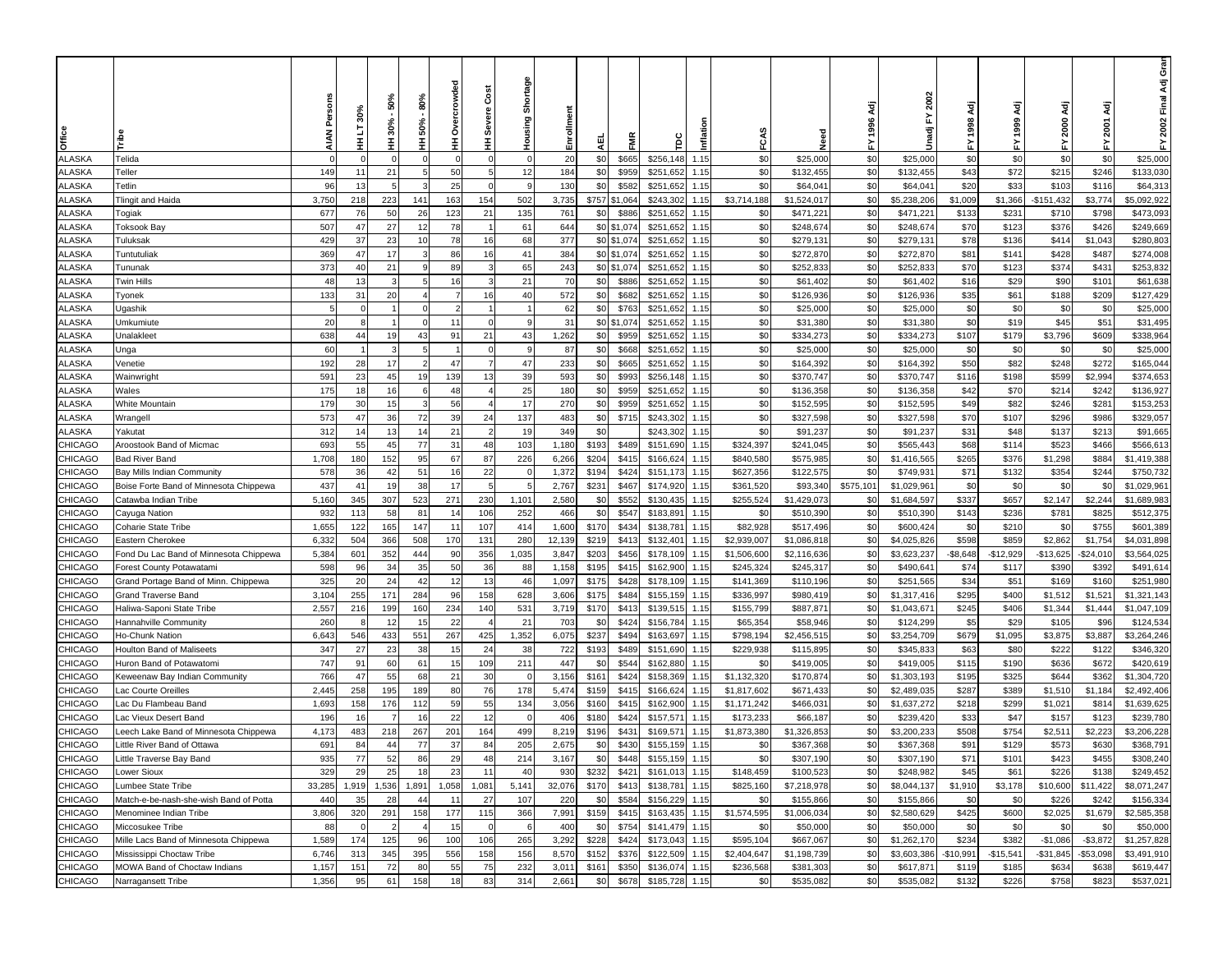| Office                           |                                        |                | ო           | 50%<br>30%     | 80%<br>50% | ó          | Š<br>Severe    | Shortage<br>Housing     | Enrollmen      |                |                            |                        |              |                        | veed<br>Z                | Αä<br>1996 | 2002<br>놊<br>ਵੂ            |                 | ਟ੍ਰੋ<br>1999        | ਟ੍ਰੋ<br>2000            | ਟ੍ਰੋ<br>2001            | ອັ<br>ອັ<br>Ādj<br>2002 Final |
|----------------------------------|----------------------------------------|----------------|-------------|----------------|------------|------------|----------------|-------------------------|----------------|----------------|----------------------------|------------------------|--------------|------------------------|--------------------------|------------|----------------------------|-----------------|---------------------|-------------------------|-------------------------|-------------------------------|
|                                  |                                        |                | Ŧ           | Ξ              | Ξ          | Ŧ          | Ŧ.             |                         |                | 핒              | ENR                        | ξ                      | Inflat       | FCA                    |                          | 놊          | Ŝ                          |                 |                     | ≿                       | 놊                       | 놊                             |
| ALASKA                           | Telida                                 | $\Omega$       |             |                |            |            |                | $\Omega$                | 20             | \$0            | \$665                      | \$256,148              | 1.15         | \$0                    | \$25,000                 | \$0        | \$25,000                   | \$0             | \$0                 | \$0                     | \$0                     | \$25,000                      |
| ALASKA                           | Teller                                 | 149            | 11          | 21             |            | 50         | 5              | 12                      | 184            | \$0            | \$959                      | \$251,652              | 1.15         | \$0                    | \$132,455                | \$0        | \$132,455                  | \$43            | \$72                | \$215                   | \$246                   | \$133,030                     |
| <b>ILASKA</b>                    | Tetlin                                 | 96             | 13          | 5              | -3         | 25         | $\Omega$       | -9                      | 130            | \$0            | \$582                      | \$251,652              | 1.15         | \$0                    | \$64,041                 | \$0        | \$64,041                   | \$20            | \$33                | \$103                   | \$116                   | \$64,313                      |
| <b>LASKA</b>                     | Tlingit and Haida                      | 3,750          | 218         | 223            | 141        | 163        | 154            | 502                     | 3,735          | \$757          | \$1,064                    | \$243,302              | 1.15         | \$3,714,188            | \$1,524,017              | \$0        | \$5,238,206                | \$1,009         | \$1,366             | $-$151,432$             | \$3,774                 | \$5,092,922                   |
| <b>ILASKA</b>                    | Togiak                                 | 677            | 76          | 50             | 26         | 123        | 21             | 135                     | 761            | \$0            | \$886                      | \$251,652              | 1.15         | \$0                    | \$471,221                | \$0        | \$471,221                  | \$133           | \$23'               | \$710                   | \$798                   | \$473,093                     |
| <b>ILASKA</b>                    | Toksook Bay                            | 507            | 47<br>37    | 27             | 12<br>10   | 78<br>78   |                | 61<br>68                | 644<br>377     | \$0            | \$1,074                    | \$251,652              | 1.15         | \$0<br>\$0             | \$248,674                | \$0        | \$248,674                  | \$70            | \$123               | \$376                   | \$426                   | \$249,669                     |
| <b>ILASKA</b><br>ALASKA          | Tuluksak<br>Tuntutuliak                | 429<br>369     | 47          | 23<br>17       |            | 86         | 16<br>16       | 41                      | 384            |                | \$0 \$1,074<br>\$0 \$1,074 | \$251,652<br>\$251,652 | 1.15<br>1.15 | \$0                    | \$279,13'<br>\$272,870   | \$0<br>\$0 | \$279,131<br>\$272,870     | \$78<br>\$81    | \$136<br>\$141      | \$414<br>\$428          | \$1,043<br>\$487        | \$280,803<br>\$274,008        |
| ALASKA                           | Tununak                                | 373            | 40          | 21             |            | 89         |                | 65                      | 243            |                | \$0 \$1,074                | \$251,652              | 1.15         | \$0                    | \$252,833                | \$0        | \$252,833                  | \$70            | \$123               | \$374                   | \$431                   | \$253,832                     |
| ALASKA                           | Twin Hills                             | 48             | 13          |                |            | 16         | 3              | 21                      | 70             | \$0            | \$886                      | \$251,652              | 1.15         | \$0                    | \$61,402                 | \$0        | \$61,402                   | \$16            | \$29                | \$90                    | \$101                   | \$61,638                      |
| ALASKA                           | Tyonek                                 | 133            | 31          | 20             |            | 7          | 16             | 40                      | 572            | \$0            | \$682                      | \$251,652              | 1.15         | \$0                    | \$126,936                | \$0        | \$126,936                  | \$35            | \$61                | \$188                   | \$209                   | \$127,429                     |
| ALASKA                           | Ugashik                                | 5              | $\Omega$    |                |            |            |                |                         | 62             | \$0            | \$763                      | \$251,652              | 1.15         | \$0                    | \$25,000                 | \$0        | \$25,000                   | \$0             | \$0                 | \$0                     | \$0                     | \$25,000                      |
| ALASKA                           | Umkumiute                              | 20             |             |                |            | 11         | $\Omega$       | g                       | 31             | \$0            | \$1,074                    | \$251,652              | 1.15         | \$0                    | \$31,380                 | \$0        | \$31,380                   | \$0             | \$19                | \$45                    | \$51                    | \$31,495                      |
| ALASKA                           | Unalakleet                             | 638            | 44          | 19             | 43         | 91         | 21             | 43                      | 1,262          | \$0            | \$959                      | \$251,652              | 1.15         | \$0                    | \$334,273                | \$0        | \$334,273                  | \$107           | \$179               | \$3,796                 | \$609                   | \$338,964                     |
| ALASKA                           | Jnga                                   | 60             |             | 3              | 5          |            | $\Omega$       | -9                      | 87             | \$0            | \$668                      | \$251,652              | 1.15         | \$0                    | \$25,000                 | \$0        | \$25,000                   | \$0             | \$0                 | \$0                     | \$0                     | \$25,000                      |
| <b>ILASKA</b>                    | Venetie                                | 192            | 28          | 17             | -2         | 47         | $\overline{7}$ | 47                      | 233            | \$0            | \$665                      | \$251,652              | 1.15         | \$0                    | \$164,392                | \$0        | \$164,392                  | \$50            | \$82                | \$248                   | \$272                   | \$165,044                     |
| <b>LASKA</b>                     | Wainwright                             | 591            | 23          | 45             | 19         | 139        | 13             | 39                      | 593            | \$0            | \$993                      | \$256,148              | 1.15         | \$0                    | \$370,747                | \$0        | \$370,747                  | \$116           | \$198               | \$599                   | \$2,994                 | \$374,653                     |
| <b>LASKA</b>                     | Wales                                  | 175            | 18          | 16             |            | 48         |                | 25                      | 180            | \$0            | \$959                      | \$251,652              | 1.15         | \$0                    | \$136,358                | \$0        | \$136,358                  | \$42            | \$70                | \$214                   | \$242                   | \$136,927                     |
| <b>ILASKA</b>                    | White Mountain                         | 179            | 30          | 15             |            | 56         |                | 17                      | 270            | \$0            | \$959                      | \$251,652              | 1.15         | \$0                    | \$152,595                | \$0        | \$152,595                  | \$49            | \$82                | \$246                   | \$281                   | \$153,253                     |
| ALASKA                           | Wrangell                               | 573            | 47          | 36             | 72         | 39         | 24             | 137                     | 483            | \$0            | \$715                      | \$243,302              | 1.15         | \$0                    | \$327,598                | \$0        | \$327,598                  | \$70            | \$107               | \$296                   | \$986                   | \$329,057                     |
| ALASKA                           | Yakutat                                | 312            | 14          | 13             | 14         | 21         |                | 19                      | 349            | \$0            |                            | \$243,302              | 1.15         | \$0                    | \$91,237                 | \$0        | \$91,237                   | \$31            | \$48                | \$137                   | \$213                   | \$91,665                      |
| <b>CHICAGO</b>                   | Aroostook Band of Micmac               | 693            | 55          | 45             | 77         | 31         | 48             | 103                     | 1,180          | \$193          | \$489                      | \$151,690              | 1.15         | \$324,397              | \$241,045                | \$0        | \$565,443                  | \$68            | \$114               | \$523                   | \$466                   | \$566,61                      |
| CHICAGO                          | Bad River Band                         | 1,708          | 180         | 152            | 95         | 67         | 87             | 226                     | 6,266          | \$204          | \$415                      | \$166,62               | 1.15         | \$840,580              | \$575,985                | \$0        | \$1,416,565                | \$265           | \$376               | \$1,298                 | \$884                   | \$1,419,388                   |
| CHICAGO                          | Bay Mills Indian Community             | 578            | 36          | 42             | 51         | 16         | 22             |                         | 1,372          | \$194          | \$424                      | \$151,173              | 1.15         | \$627,356              | \$122,575                | \$0        | \$749,931                  | \$71            | \$132               | \$354                   | \$244                   | \$750,732                     |
| CHICAGO                          | Boise Forte Band of Minnesota Chippewa | 437            | 41          | 19             | 38         | 17         |                |                         | 2,767          | \$231          | \$467                      | \$174,920              | 1.15         | \$361,520              | \$93,340                 | \$575,101  | \$1,029,961                | \$0             | \$0                 | \$0                     | \$0                     | \$1,029,961                   |
| <b>CHICAGO</b>                   | Catawba Indian Tribe                   | 5,160          | 345         | 307            | 523        | 271        | 230            | 1,101                   | 2,580          | \$0            | \$552                      | \$130,435              | 1.15         | \$255,524              | \$1,429,073              | \$0        | \$1,684,597                | \$337           | \$657               | \$2,147                 | \$2,244                 | \$1,689,983                   |
| <b>CHICAGO</b>                   | Cayuga Nation                          | 932            | 113         | 58             | 81         | 14         | 106            | 252                     | 466            | \$0            | \$547                      | \$183,891              | 1.15         | \$0                    | \$510,390                | \$0        | \$510,390                  | \$143           | \$236               | \$781                   | \$825                   | \$512,375                     |
| <b>CHICAGO</b>                   | Coharie State Tribe                    | 1,655          | 122         | 165            | 147        | 11         | 107            | 414                     | 1,600          | \$170          | \$434                      | \$138,781              | 1.15         | \$82,928               | \$517,496                | \$0        | \$600,424                  | \$0             | \$210               | \$0                     | \$755                   | \$601,389                     |
| CHICAGO                          | Eastern Cherokee                       | 6,332          | 504         | 366            | 508        | 170        | 131            | 280                     | 12,139         | \$219          | \$413                      | \$132,401              | 1.15         | \$2,939,007            | \$1,086,818              | \$0        | \$4,025,826                | \$598           | \$859               | \$2,862                 | \$1,754                 | \$4,031,898                   |
| CHICAGO                          | Fond Du Lac Band of Minnesota Chippewa | 5,384          | 601         | 352            | 444        | 90         | 356            | 1,035                   | 3,847          | \$203          | \$456                      | \$178,109              | 1.15         | \$1,506,600            | \$2,116,636              | \$0        | \$3,623,237                | $-$8,648$       | $-$12,929$          | $-$13,625$              | $-$ \$24,010            | \$3,564,025                   |
| CHICAGO                          | Forest County Potawatami               | 598            | 96          | 34             | 35         | 50         | 36             | 88                      | 1,158          | \$195          | \$415                      | \$162,900              | 1.15         | \$245,324              | \$245,317                | \$0        | \$490,641                  | \$74            | \$117               | \$390                   | \$392                   | \$491,614                     |
| CHICAGO                          | Grand Portage Band of Minn. Chippewa   | 325            | 20          | 24             | 42         |            | 13             | 46                      | 1,097          | \$175          | \$428                      | \$178,109              | 1.15         | \$141,369              | \$110,196                | \$0        | \$251,565                  | \$34            | \$51                | \$169                   | \$160                   | \$251,980                     |
| <b>HICAGO</b>                    | Grand Traverse Band                    | 3,104          | 255         | 171            | 284        | 96         | 158            | 628                     | 3,606          | \$175          | \$484                      | \$155,159              | 1.15         | \$336,997              | \$980,419                | \$0        | \$1,317,416                | \$295           | \$400               | \$1,512                 | \$1,521                 | \$1,321,143                   |
| CHICAGO                          | Haliwa-Saponi State Tribe              | 2,557          | 216         | 199            | 160        | 234        | 140            | 531                     | 3,719          | \$170          | \$413                      | \$139,51               | 1.15         | \$155,799              | \$887,87                 | \$0        | \$1,043,671                | \$245           | \$406               | \$1,344                 | \$1,444                 | \$1,047,109                   |
| CHICAGO                          | Hannahville Community                  | 260            |             | 12             | 15         | 22         |                | 21                      | 703            | \$0            | \$424                      | \$156,784              | 1.15         | \$65,35                | \$58,946                 | \$0        | \$124,299                  | \$5             | \$29                | \$105                   | \$96                    | \$124,534                     |
| CHICAGO                          | Ho-Chunk Nation                        | 6,643          | 546         | 433            | 551        | 267        | 425            | 1,352                   | 6,075          | \$237          | \$494                      | \$163,697              | 1.15         | \$798,194              | \$2,456,515              | \$0        | \$3,254,709                | \$679           | \$1,095             | \$3,875                 | \$3,887                 | \$3,264,246                   |
| CHICAGO                          | Houlton Band of Maliseets              | 347            | 27          | 23             | 38         | 15         | 24             | 38                      | 722            | \$193          | \$489                      | \$151,690              | 1.15         | \$229,938              | \$115,895                | \$0        | \$345,833                  | \$63            | \$80                | \$222                   | \$122                   | \$346,320                     |
| <b>CHICAGO</b>                   | Huron Band of Potawatomi               | 747            | 91          | 60             | 61         | 15         | 109            | 211                     | 447            | \$0            | \$544                      | \$162,880              | 1.15         | \$0                    | \$419,005                | \$0        | \$419,005                  | \$115           | \$190               | \$636                   | \$672                   | \$420,619                     |
| CHICAGO                          | Keweenaw Bay Indian Community          | 766            | 47          | 55             | 68         | 21         | 30             | $\overline{\mathbf{0}}$ | 3,156          | \$161          | \$424                      | \$158,369              | 1.15         | \$1,132,320            | \$170,874                | \$0        | \$1,303,193                | \$195           | \$325               | \$644                   | \$362                   | \$1,304,720                   |
| <b>HICAGO</b>                    | ac Courte Oreilles                     | 2,445          | 258         | 195            | 189        | 80         | 76             | 178                     | 5,474          | \$159          | \$415                      | \$166,624              | 1.15         | \$1,817,602            | \$671,433                | \$0        | \$2,489,035                | \$287           | \$389               | \$1,510                 | \$1,184                 | \$2,492,406                   |
| CHICAGO                          | ac Du Flambeau Band                    | 1,693          | 158         | 176            | 112        | 59         | 55             | 134                     | 3,056          | \$160          | \$415                      | \$162,900              | 1.15         | \$1,171,242            | \$466,031                | \$0        | \$1,637,272                | \$218           | \$299               | \$1,021                 | \$814                   | \$1,639,625                   |
| CHICAGO                          | ac Vieux Desert Band.                  | 196            | 16          |                | 16         | 22         | 12             |                         | 406            | \$180          | \$424                      | \$157,571              | 1.15         | \$173,233              | \$66,187                 | \$0        | \$239,420                  | \$33            | \$47                | \$157                   | \$123                   | \$239,780                     |
| CHICAGO                          | eech Lake Band of Minnesota Chippewa.  | 4,173          | 483         | 218            | 267        | 201        | 164            | 499                     | 8,219          | \$196          | \$431                      | \$169,571              | 1.15         | \$1,873,380            | \$1,326,853              | \$0        | \$3,200,233                | \$508           | \$754               | \$2,511                 | \$2,223                 | \$3,206,228                   |
| <b>CHICAGO</b>                   | Little River Band of Ottawa            | 691            | 84          | 44             | 77         | 37         | 84             | 205                     | 2,675          | \$0            | \$430                      | \$155,159              | 1.15         | \$0                    | \$367,368                | \$0        | \$367,368                  | \$91            | \$129               | \$573                   | \$630                   | \$368,791                     |
| <b>CHICAGO</b>                   | Little Traverse Bay Band               | 935<br>329     | 77<br>29    | 52<br>25       | 86<br>18   | 29<br>23   | 48<br>11       | 214<br>40               | 3,167          | \$0            | \$448                      | \$155,159 1.15         |              | \$0                    | \$307,190                | \$0        | \$307,190                  | \$71            | \$101               | \$423                   | \$455                   | \$308,240<br>\$249,452        |
| <b>CHICAGO</b><br><b>CHICAGO</b> | Lower Sioux<br>Lumbee State Tribe      | 33,285         | 1,919       | 1,536          | 1,891      | 1,058      | 1,081          | 5,141                   | 930<br>32,076  | \$232<br>\$170 | \$421                      | \$161,013<br>\$138,781 | 1.15<br>1.15 | \$148,459<br>\$825,160 | \$100,523<br>\$7,218,978 | \$0<br>\$0 | \$248,982<br>\$8,044,137   | \$45<br>\$1,910 | \$61<br>\$3,178     | \$226<br>\$10,600       | \$138<br>\$11,422       |                               |
| <b>CHICAGO</b>                   | Match-e-be-nash-she-wish Band of Potta | 440            | 35          | 28             | 44         | 11         | 27             | 107                     | 220            | \$0            | \$413<br>\$584             | \$156,229              | 1.15         | \$0                    | \$155,866                | \$0        | \$155,866                  | \$0             | \$0                 | \$226                   | \$242                   | \$8,071,247<br>\$156,334      |
| <b>CHICAGO</b>                   | Menominee Indian Tribe                 | 3,806          | 320         | 291            | 158        | 177        | 115            | 366                     | 7,991          | \$159          | \$415                      | \$163,435              | 1.15         | \$1,574,595            | \$1,006,034              | \$0        | \$2,580,629                | \$425           | \$600               | \$2,025                 | \$1,679                 | \$2,585,358                   |
| <b>CHICAGO</b>                   | Miccosukee Tribe                       | 88             | $\mathbf 0$ | $\overline{2}$ |            | 15         | $\Omega$       | 6                       | 400            | \$0            | \$754                      | \$141,479              | 1.15         | \$0                    | \$50,000                 | \$0        | \$50,000                   | \$0             | \$0                 | \$0                     | \$0                     | \$50,000                      |
|                                  | Mille Lacs Band of Minnesota Chippewa  |                |             |                |            |            |                |                         |                |                |                            |                        | 1.15         | \$595,104              |                          |            |                            | \$234           |                     |                         |                         |                               |
| <b>CHICAGO</b><br><b>CHICAGO</b> | Mississippi Choctaw Tribe              | 1,589<br>6,746 | 174<br>313  | 125<br>345     | 96<br>395  | 100<br>556 | 106<br>158     | 265<br>156              | 3,292<br>8,570 | \$228<br>\$152 | \$424<br>\$376             | \$173,043<br>\$122,509 | 1.15         | \$2,404,647            | \$667,067<br>\$1,198,739 | \$0<br>\$0 | \$1,262,170<br>\$3,603,386 | $-$10,991$      | \$382               | $-$1,086$<br>$-$31,845$ | $-$ \$3,872<br>\$53,098 | \$1,257,828<br>\$3,491,910    |
| <b>CHICAGO</b>                   | MOWA Band of Choctaw Indians           | 1,157          | 151         | 72             | 80         | 55         | 75             | 232                     | 3,011          | \$161          | \$350                      | \$136,074              | 1.15         | \$236,568              | \$381,303                | \$0        | \$617,871                  | \$119           | $-$15,541$<br>\$185 | \$634                   | \$638                   | \$619,447                     |
| CHICAGO                          |                                        | 1,356          | 95          | 61             | 158        | 18         | 83             | 314                     | 2,661          | \$0            | \$678                      | \$185,728              | 1.15         | \$0                    | \$535,082                | \$0        | \$535,082                  | \$132           | \$226               | \$758                   | \$823                   | \$537,021                     |
|                                  | Narragansett Tribe                     |                |             |                |            |            |                |                         |                |                |                            |                        |              |                        |                          |            |                            |                 |                     |                         |                         |                               |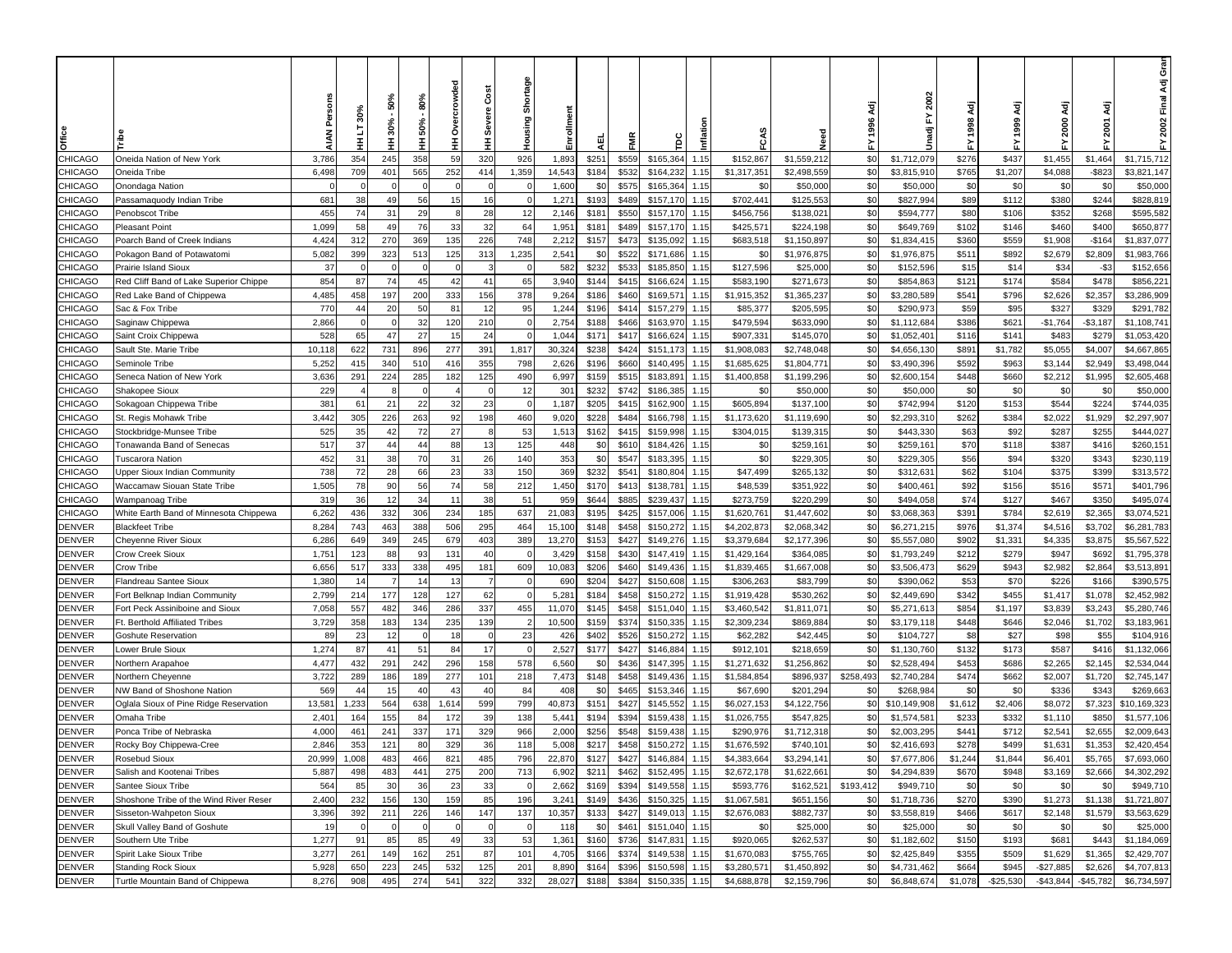|                |                                        |          |                |                |               |                |                |               |                |                |           |           |        |             |             |            |              |         |              |            |             | ອັ<br>ອັ<br>Ādj |
|----------------|----------------------------------------|----------|----------------|----------------|---------------|----------------|----------------|---------------|----------------|----------------|-----------|-----------|--------|-------------|-------------|------------|--------------|---------|--------------|------------|-------------|-----------------|
|                |                                        |          | 30%            | 50%<br>$30% -$ | 80%<br>50%    | owded          | Cost<br>Severe | Shortage      | Enrollmen      |                |           |           |        |             |             | ξā<br>1996 | 2002<br>ŗ    |         | ਟ੍ਰੋ<br>1999 | 3ä<br>2000 | ਟ੍ਰ<br>2001 | 2002 Final      |
| <b>Office</b>  |                                        |          | Ŧ              | Ŧ              | Ξ             | Ò              | Ξ              | Housing       |                | 핒              | FMR       | ξ         | Inflat |             | veed<br>Z   | 놊          | Unadj        |         |              | 놊          |             | 놊               |
| CHICAGO        | Oneida Nation of New York              | 3,786    | 354            | 245            | 358           | 59             | 320            | 926           | 1,893          | \$559<br>\$251 | \$165,364 |           | 1.15   | \$152,867   | \$1,559,212 | \$0        | \$1,712,079  | \$276   | \$437        | \$1,455    | \$1,464     | \$1,715,712     |
| <b>CHICAGO</b> | Oneida Tribe                           | 6,498    | 709            | 401            | 565           | 252            | 414            | 1,359         | 14,543         | \$184<br>\$532 | \$164,232 |           | 1.15   | \$1,317,351 | \$2,498,559 | \$0        | \$3,815,910  | \$765   | \$1,207      | \$4,088    | $-$ \$823   | \$3,821,147     |
| CHICAGO        | Onondaga Nation                        | $\Omega$ |                |                | $\mathcal{C}$ |                | $\Omega$       |               | 1,600          | \$0<br>\$575   |           | \$165,364 | 1.15   | \$0         | \$50,000    | \$0        | \$50,000     | \$0     | \$0          | \$0        | \$0         | \$50,000        |
| CHICAGO        | Passamaquody Indian Tribe              | 681      | 38             | 49             | 56            | 15             | 16             |               | 1,271          | \$193<br>\$489 | \$157,170 |           | 1.15   | \$702,441   | \$125,553   | \$0        | \$827,994    | \$89    | \$112        | \$380      | \$244       | \$828,819       |
| CHICAGO        | Penobscot Tribe                        | 455      | 74             | 31             | 29            |                | 28             | 12            | 2,146          | \$181<br>\$550 | \$157,170 |           | 1.15   | \$456,756   | \$138,021   | \$0        | \$594,777    | \$80    | \$106        | \$352      | \$268       | \$595,582       |
| CHICAGO        | Pleasant Point                         | 1,099    | 58             | 49             | 76            | 33             | 32             | 64            | 1,951          | \$489<br>\$181 | \$157,170 |           | 1.15   | \$425,571   | \$224,198   | \$0        | \$649,769    | \$102   | \$146        | \$460      | \$400       | \$650,877       |
| CHICAGO        | Poarch Band of Creek Indians           | 4,424    | 312            | 270            | 369           | 135            | 226            | 748           | 2,212          | \$473<br>\$157 | \$135,092 |           | 1.15   | \$683,518   | \$1,150,897 | \$0        | \$1,834,415  | \$360   | \$559        | \$1,908    | $-$164$     | \$1,837,077     |
| CHICAGO        | Pokagon Band of Potawatomi             | 5,082    | 399            | 323            | 513           | 125            | 313            | 1,235         | 2,541          | \$0<br>\$522   | \$171,686 |           | 1.15   | \$0         | \$1,976,875 | $$^{(1)}$  | \$1,976,875  | \$511   | \$892        | \$2,679    | \$2,809     | \$1,983,766     |
| CHICAGO        | Prairie Island Sioux                   | 37       |                |                |               |                |                |               | 582            | \$232<br>\$53  | \$185,850 |           | 1.15   | \$127,596   | \$25,000    | \$0        | \$152,596    | \$15    | \$14         | \$34       | $-$ \$3     | \$152,656       |
| CHICAGO        | Red Cliff Band of Lake Superior Chippe | 854      | 87             | 74             | 45            | 42             | 41             | 65            | 3,940          | \$144<br>\$415 | \$166,62  |           | 1.15   | \$583,190   | \$271,67    | \$0        | \$854,863    | \$121   | \$174        | \$584      | \$478       | \$856,22        |
| CHICAGO        | Red Lake Band of Chippewa              | 4,485    | 458            | 197            | 200           | 33             | 156            | 378           | 9,264          | \$186<br>\$460 | \$169,57  |           | 1.15   | \$1,915,352 | \$1,365,237 | \$0        | \$3,280,589  | \$541   | \$796        | \$2,626    | \$2,357     | \$3,286,909     |
| CHICAGO        | Sac & Fox Tribe                        | 770      | 44             | 20             | 50            | 8 <sup>2</sup> | 12             | 95            | 1,244          | \$196<br>\$41  |           | \$157,279 | 1.15   | \$85,377    | \$205,595   | \$0        | \$290,973    | \$59    | \$95         | \$327      | \$329       | \$291,782       |
| CHICAGO        | Saginaw Chippewa                       | 2,866    |                |                | 32            | 120            | 210            | $\mathcal{C}$ | 2,754          | \$466<br>\$188 | \$163,970 |           | 1.15   | \$479,594   | \$633,090   | \$0        | \$1,112,684  | \$386   | \$621        | $-$1,764$  | $- $3,187$  | \$1,108,741     |
| CHICAGO        | Saint Croix Chippewa                   | 528      | 65             | 47             | 27            | 15             | 24             | -0            | 1,044          | \$171<br>\$417 | \$166,624 |           | 1.15   | \$907,331   | \$145,070   | \$0        | \$1,052,401  | \$116   | \$141        | \$483      | \$279       | \$1,053,420     |
| CHICAGO        | Sault Ste. Marie Tribe                 | 10,118   | 622            | 731            | 896           | 277            | 391            | 1,817         | 30,324         | \$238<br>\$424 | \$151,173 |           | 1.15   | \$1,908,083 | \$2,748,048 | \$0        | \$4,656,130  | \$891   | \$1,782      | \$5,055    | \$4,007     | \$4,667,865     |
| CHICAGO        | Seminole Tribe                         | 5,252    | 415            | 340            | 510           | 416            | 355            | 798           | 2,626          | \$196<br>\$660 |           | \$140,495 | 1.15   | \$1,685,625 | \$1,804,771 | \$0        | \$3,490,396  | \$592   | \$963        | \$3,144    | \$2,949     | \$3,498,044     |
| CHICAGO        | Seneca Nation of New York              | 3,636    | 291            | 224            | 285           | 182            | 125            | 490           | 6,997          | \$515<br>\$159 | \$183,89  |           | 1.15   | \$1,400,858 | \$1,199,296 | \$0        | \$2,600,154  | \$448   | \$660        | \$2,212    | \$1,995     | \$2,605,468     |
| CHICAGO        | Shakopee Sioux                         | 229      |                |                |               |                | $\Omega$       | 12            | 301            | \$232<br>\$742 |           | \$186,385 | 1.15   | \$0         | \$50,000    | \$0        | \$50,000     | \$0     | \$0          | \$0        | \$0         | \$50,000        |
| CHICAGO        | Sokagoan Chippewa Tribe                | 381      | 61             | 21             | 22            | 32             | 23             |               | 1,187          | \$415<br>\$205 | \$162,900 |           | 1.15   | \$605,894   | \$137,100   | \$0        | \$742,994    | \$120   | \$153        | \$544      | \$224       | \$744,035       |
| CHICAGO        | St. Regis Mohawk Tribe                 | 3,442    | 305            | 226            | 263           | 92             | 198            | 460           | 9,020          | \$228<br>\$484 | \$166,798 |           | 1.15   | \$1,173,620 | \$1,119,690 | \$0        | \$2,293,310  | \$262   | \$384        | \$2,022    | \$1,929     | \$2,297,907     |
| CHICAGO        | Stockbridge-Munsee Tribe               | 525      | 35             | 42             | 72            | 27             | 8              | 53            | 1,513          | \$162<br>\$415 | \$159,998 |           | 1.15   | \$304,015   | \$139,315   | \$0        | \$443,330    | \$63    | \$92         | \$287      | \$255       | \$444,027       |
| CHICAGO        | Tonawanda Band of Senecas              | 517      | 37             | 44             | 44            | 88             | 13             | 125           | 448            | \$0<br>\$610   | \$184,42  |           | 1.15   | \$0         | \$259,16    | \$0        | \$259,161    | \$70    | \$118        | \$387      | \$416       | \$260,15        |
| CHICAGO        | Fuscarora Nation                       | 452      | 31             | 38             | 70            | 31             | 26             | 140           | 353            | \$0<br>\$54    | \$183,39  |           | 1.15   | \$0         | \$229,305   | \$0        | \$229,305    | \$56    | \$94         | \$320      | \$343       | \$230,119       |
| CHICAGO        | Jpper Sioux Indian Community           | 738      | 72             | 28             | 66            | 23             | 33             | 150           | 369            | \$232<br>\$54  | \$180,804 |           | 1.15   | \$47,499    | \$265,132   | \$0        | \$312,63'    | \$62    | \$104        | \$375      | \$399       | \$313,572       |
| CHICAGO        | Waccamaw Siouan State Tribe            | 1,505    | 78             | 90             | 56            | 74             | 58             | 212           | 1,450          | \$170<br>\$413 | \$138,78  |           | 1.15   | \$48,539    | \$351,922   | \$0        | \$400,461    | \$92    | \$156        | \$516      | \$571       | \$401,796       |
| CHICAGO        | Wampanoag Tribe                        | 319      | 36             | 12             | 34            | 11             | 38             | 51            | 959<br>\$644   | \$885          | \$239,437 |           | 1.15   | \$273,759   | \$220,299   | \$0        | \$494,058    | \$74    | \$127        | \$467      | \$350       | \$495,074       |
| CHICAGO        | White Earth Band of Minnesota Chippewa | 6,262    | 436            | 332            | 306           | 234            | 185            | 637           | 21,083         | \$195<br>\$425 | \$157,006 |           | 1.15   | \$1,620,761 | \$1,447,602 | \$0        | \$3,068,363  | \$391   | \$784        | \$2,619    | \$2,365     | \$3,074,52      |
| DENVER         | <b>Blackfeet Tribe</b>                 | 8,284    | 743            | 463            | 388           | 506            | 295            | 464           | 15,100         | \$148<br>\$458 |           | \$150,272 | 1.15   | \$4,202,873 | \$2,068,342 | \$0        | \$6,271,215  | \$976   | \$1,374      | \$4,516    | \$3,702     | \$6,281,783     |
| <b>DENVER</b>  | Cheyenne River Sioux                   | 6,286    | 649            | 349            | 245           | 679            | 403            | 389           | 13,270         | \$153<br>\$427 | \$149,276 |           | 1.15   | \$3,379,684 | \$2,177,396 | \$0        | \$5,557,080  | \$902   | \$1,331      | \$4,335    | \$3,875     | \$5,567,522     |
| DENVER         | Crow Creek Sioux                       | 1,751    | 123            | 88             | 93            | 13'            | 40             |               | 3,429          | \$158<br>\$430 | \$147,419 |           | 1.15   | \$1,429,164 | \$364,085   | \$0        | \$1,793,249  | \$212   | \$279        | \$947      | \$692       | \$1,795,378     |
| DENVER         | Crow Tribe                             | 6,656    | 517            | 333            | 338           | 495            | 181            | 609           | 10,083         | \$206<br>\$460 | \$149,436 |           | 1.15   | \$1,839,465 | \$1,667,008 | \$0        | \$3,506,473  | \$629   | \$943        | \$2,982    | \$2,864     | \$3,513,891     |
| <b>DENVER</b>  | Flandreau Santee Sioux                 | 1,380    | 14             |                | 14            | $-1.$          |                |               | 690            | \$204<br>\$427 | \$150,608 |           | 1.15   | \$306,263   | \$83,799    | \$0        | \$390,062    | \$53    | \$70         | \$226      | \$166       | \$390,575       |
| <b>DENVER</b>  | Fort Belknap Indian Community          | 2,799    | 214            | 177            | 128           | 127            | 62             |               | 5,28'<br>\$184 | \$458          | \$150,272 |           | 1.15   | \$1,919,428 | \$530,262   | \$0        | \$2,449,69   | \$342   | \$455        | \$1,417    | \$1,078     | \$2,452,982     |
| <b>DENVER</b>  | Fort Peck Assiniboine and Sioux        | 7,058    | 557            | 482            | 346           | 286            | 337            | 455           | 11,070         | \$145<br>\$458 | \$151,040 |           | 1.15   | \$3,460,542 | \$1,811,07  | \$0        | \$5,271,613  | \$854   | \$1,197      | \$3,839    | \$3,243     | \$5,280,746     |
| <b>DENVER</b>  | Ft. Berthold Affiliated Tribes         | 3,729    | 358            | 183            | 134           | 235            | 139            |               | 10,500         | \$159<br>\$374 | \$150,335 |           | 1.15   | \$2,309,234 | \$869,88    | \$0        | \$3,179,118  | \$448   | \$646        | \$2,046    | \$1,702     | \$3,183,96      |
| <b>DENVER</b>  | Goshute Reservation                    | 89       | 23             | 12             | $\sqrt{ }$    | 18             | $\overline{0}$ | 23            | 426            | \$402<br>\$526 | \$150,272 |           | 1.15   | \$62,282    | \$42,445    | \$0        | \$104,727    | \$8     | \$27         | \$98       | \$55        | \$104,916       |
| <b>DENVER</b>  | ower Brule Sioux.                      | 1,274    | 87             | 41             | 51            | 84             | 17             | $\sqrt{ }$    | 2,527          | \$177<br>\$427 | \$146,884 |           | 1.15   | \$912,101   | \$218,659   | \$0        | \$1,130,760  | \$132   | \$173        | \$587      | \$416       | \$1,132,066     |
| <b>DENVER</b>  | Northern Arapahoe                      | 4,477    | 432            | 291            | 242           | 296            | 158            | 578           | 6,560          | \$0<br>\$436   | \$147,395 |           | 1.15   | \$1,271,632 | \$1,256,862 | \$0        | \$2,528,494  | \$453   | \$686        | \$2,265    | \$2,145     | \$2,534,044     |
| <b>DENVER</b>  | Northern Cheyenne                      | 3,722    | 289            | 186            | 189           | 277            | 101            | 218           | 7,473          | \$148<br>\$458 | \$149,436 |           | 1.15   | \$1,584,854 | \$896,937   | \$258,493  | \$2,740,284  | \$474   | \$662        | \$2,007    | \$1,720     | \$2,745,147     |
| DENVER         | <b>VW Band of Shoshone Nation</b>      | 569      | 44             | 15             | 40            | 43             | 40             | 84            | 408            | \$0<br>\$465   |           | \$153,346 | 1.15   | \$67,690    | \$201,294   | \$0        | \$268,984    | \$0     | \$0          | \$336      | \$343       | \$269,663       |
| <b>DENVER</b>  | Oglala Sioux of Pine Ridge Reservation | 13,581   | 1,233          | 564            | 638           | 1,614          | 599            | 799           | 40,873         | \$151<br>\$427 |           | \$145,552 | 1.15   | \$6,027,153 | \$4,122,756 | \$0        | \$10,149,908 | \$1,612 | \$2,406      | \$8,072    | \$7,323     | \$10,169,323    |
| <b>DENVER</b>  | Omaha Tribe                            | 2,40     | 164            | 155            | 84            | 172            | 39             | 138           | 5,441          | \$394<br>\$194 | \$159,438 |           | 1.15   | \$1,026,755 | \$547,825   | \$0        | \$1,574,58   | \$23    | \$332        | \$1,110    | \$850       | \$1,577,106     |
| DENVER         | Ponca Tribe of Nebraska                | 4,000    | 461            | 241            | 337           | 17'            | 329            | 966           | 2,000          | \$256<br>\$548 | \$159,438 |           | 1.15   | \$290,976   | \$1,712,318 | \$0        | \$2,003,295  | \$441   | \$712        | \$2,541    | \$2,655     | \$2,009.643     |
| DENVER         | Rocky Boy Chippewa-Cree                | 2.846    | 353            | 121            | 80            | 329            | 36             | 118           | 5,008<br>\$217 | \$458          | \$150,272 |           | 1.15   | \$1,676,592 | \$740,101   | \$0        | \$2,416,693  | \$278   | \$499        | \$1,63'    | \$1,353     | \$2,420,454     |
| <b>DENVER</b>  | Rosebud Sioux                          | 20,999   | 1,008          | 483            | 466           | 821            | 485            | 796           | 22,870         | \$127<br>\$427 |           | \$146,884 | 1.15   | \$4,383,664 | \$3,294,141 | \$0        | \$7,677,806  | \$1,244 | \$1,844      | \$6,401    | \$5,765     | \$7,693,060     |
| <b>DENVER</b>  | Salish and Kootenai Tribes             | 5,887    | 498            | 483            | 441           | 275            | 200            | 713           | 6,902<br>\$211 | \$462          |           | \$152,495 | 1.15   | \$2,672,178 | \$1,622,661 | \$0        | \$4,294,839  | \$670   | \$948        | \$3,169    | \$2,666     | \$4,302,292     |
| <b>DENVER</b>  | Santee Sioux Tribe                     | 564      | 85             | 30             | 36            | 23             | 33             |               | 2,662          | \$169<br>\$394 | \$149,558 |           | 1.15   | \$593,776   | \$162,521   | \$193,412  | \$949,710    | \$0     | \$0          | \$0        | \$0         | \$949,710       |
| <b>DENVER</b>  | Shoshone Tribe of the Wind River Reser | 2,400    | 232            | 156            | 130           | 159            | 85             | 196           | 3,241<br>\$149 | \$436          | \$150,325 |           | 1.15   | \$1,067,581 | \$651,156   | \$0        | \$1,718,736  | \$270   | \$390        | \$1,273    | \$1,138     | \$1,721,807     |
| <b>DENVER</b>  | Sisseton-Wahpeton Sioux                | 3,396    | 392            | 211            | 226           | 146            | 147            | 137           | 10,357         | \$133<br>\$427 |           | \$149,013 | 1.15   | \$2,676,083 | \$882,737   | \$0        | \$3,558,819  | \$466   | \$617        | \$2,148    | \$1,579     | \$3,563,629     |
| <b>DENVER</b>  | Skull Valley Band of Goshute           | 19       | $\overline{0}$ | $\Omega$       | $\sqrt{ }$    |                | $\mathbf 0$    | $\epsilon$    | 118            | \$461<br>\$0   |           | \$151,040 | 1.15   | \$0         | \$25,000    | \$0        | \$25,000     | \$0     | \$0          | \$0        | \$0         | \$25,000        |
| DENVER         | Southern Ute Tribe                     | 1,277    | 91             | 85             | 85            | 49             | 33             | 53            | 1,361<br>\$160 | \$736          | \$147,831 |           | 1.15   | \$920,065   | \$262,537   | \$0        | \$1,182,602  | \$150   | \$193        | \$681      | \$443       | \$1,184,069     |
| <b>DENVER</b>  | Spirit Lake Sioux Tribe                | 3,277    | 261            | 149            | 162           | 251            | 87             | 101           | 4,705          | \$166<br>\$374 |           | \$149,538 | 1.15   | \$1,670,083 | \$755,765   | \$0        | \$2,425,849  | \$355   | \$509        | \$1,629    | \$1,365     | \$2,429,707     |
| <b>DENVER</b>  | <b>Standing Rock Sioux</b>             | 5,928    | 650            | 223            | 245           | 532            | 125            | 201           | 8,890          | \$164<br>\$396 |           | \$150,598 | 1.15   | \$3,280,571 | \$1,450,892 | \$0        | \$4,731,462  | \$664   | \$945        | $-$27,885$ | \$2,626     | \$4,707,813     |
| <b>DENVER</b>  | Turtle Mountain Band of Chippewa       | 8,276    | 908            | 495            | 274           | 541            | 322            | 332           | 28,027         | \$384<br>\$188 |           | \$150,335 | 1.15   | \$4,688,878 | \$2,159,796 | \$0        | \$6,848,674  | \$1,078 | $-$25,530$   | $-$43,844$ | $-$45,782$  | \$6,734,597     |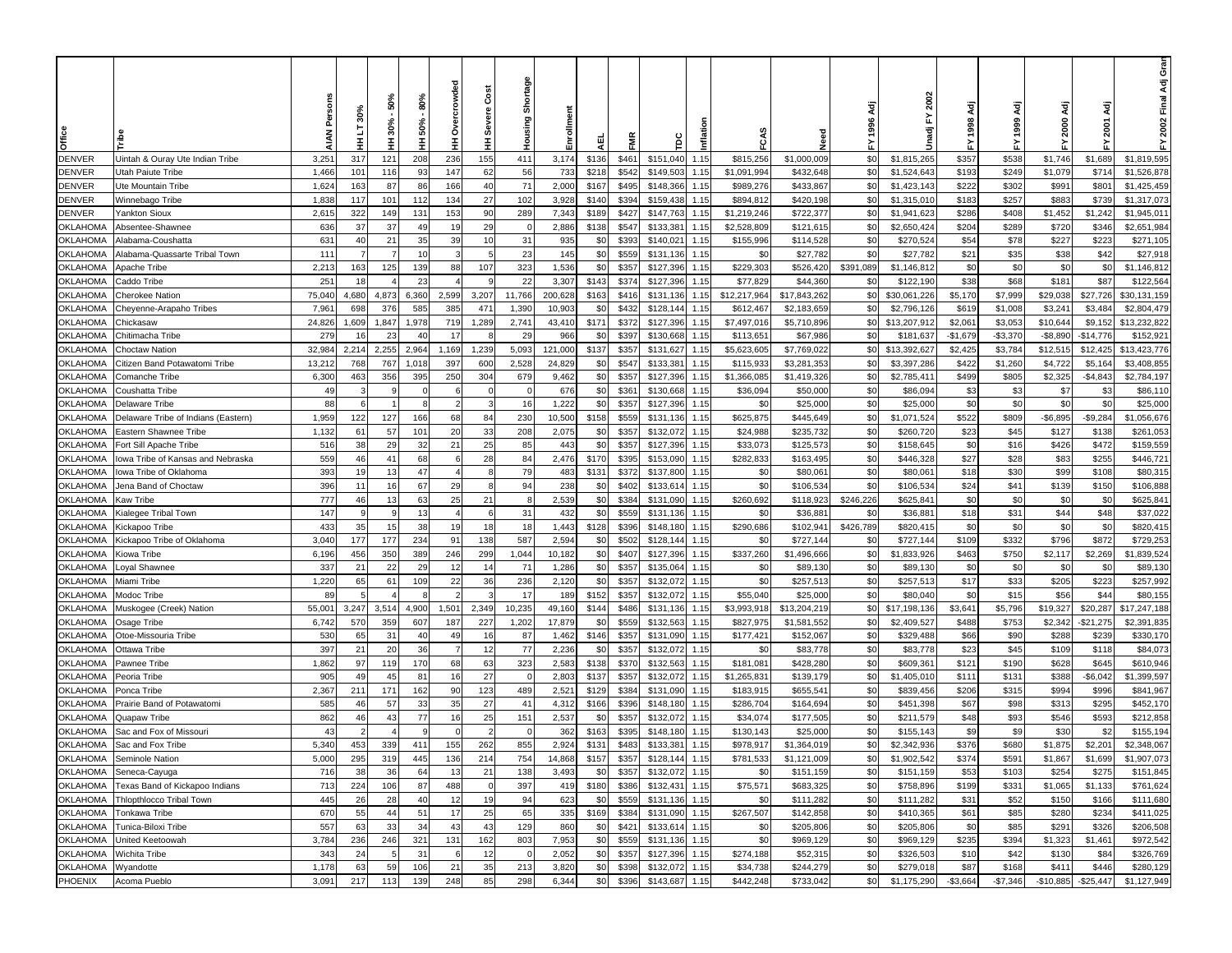|                                    |                                     |                 | ە           | 50%<br>30%  | និច្ច<br>50% | ě<br>e<br>S     | Čost<br>Severe | Shortage<br>Housing | Enrollment     |              |                |                        |              |                         |                         | Αä<br>1996 | 2002<br>놊                 |                     | ਟ੍ਰੋ<br>1999         | ਟ੍ਰੋ<br>2000          | ਟ੍ਰੋ<br>2001         | ar<br>ق<br>Ādj<br>2002 Final |
|------------------------------------|-------------------------------------|-----------------|-------------|-------------|--------------|-----------------|----------------|---------------------|----------------|--------------|----------------|------------------------|--------------|-------------------------|-------------------------|------------|---------------------------|---------------------|----------------------|-----------------------|----------------------|------------------------------|
| Office                             |                                     |                 |             | Ξ           | Ξ            | Ŧ               | Ξ              |                     |                | 핓            | FMR            | ě                      | inflat       | ۴Ć                      |                         | 놊          | Unadj                     |                     |                      | 놊                     |                      | 놊                            |
| <b>DENVER</b>                      | Uintah & Ouray Ute Indian Tribe     | 3,251           | 317         | 121         | 208          | 236             | 155            | 411                 | 3,174          | \$136        | \$461          | \$151,040              | 1.15         | \$815,256               | \$1,000,009             | \$0        | \$1,815,265               | \$357               | \$538                | \$1,746               | \$1,689              | \$1,819,595                  |
| <b>DENVER</b>                      | Utah Paiute Tribe                   | 1,466           | 101         | 116         | 93           | 147             | 62             | 56                  | 733            | \$218        | \$542          | \$149,503              | 1.15         | \$1,091,994             | \$432,648               | \$0        | \$1,524,643               | \$193               | \$249                | \$1,079               | \$714                | \$1,526,878                  |
| <b>DENVER</b>                      | Ute Mountain Tribe                  | 1,624           | 163         | 87          | 86           | 166             | 40             | 71                  | 2,000          | \$167        | \$495          | \$148,366              | 1.15         | \$989,276               | \$433,867               | \$0        | \$1,423,143               | \$222               | \$302                | \$991                 | \$801                | \$1,425,459                  |
| <b>DENVER</b>                      | Winnebago Tribe                     | 1,838           | 117         | 101         | 112          | 134             | 27             | 102                 | 3,928          | \$140        | \$394          | \$159,438              | 1.15         | \$894,812               | \$420,198               | \$0        | \$1,315,010               | \$183               | \$257                | \$883                 | \$739                | \$1,317,073                  |
| <b>DENVER</b>                      | Yankton Sioux                       | 2,615           | 322         | 149         | 131          | 153             | 90             | 289                 | 7,343          | \$189        | \$427          | \$147,763              | 1.15         | \$1,219,246             | \$722,377               | \$0        | \$1,941,623               | \$286               | \$408                | \$1,452               | \$1,242              | \$1,945,01                   |
| <b>OKLAHOMA</b>                    | Absentee-Shawnee                    | 636             | 37          | 37          | 49           | 19              | 29             |                     | 2,886          | \$138        | \$547          | \$133,381              | 1.15         | \$2,528,809             | \$121,615               | \$0        | \$2,650,424               | \$204               | \$289                | \$720                 | \$346                | \$2,651,984                  |
| <b>OKLAHOMA</b>                    | <b>Nabama-Coushatta</b>             | 631             | 40          | 21          | 35           | 39              | 10             | 31                  | 935            | \$0          | \$393          | \$140,021              | 1.15         | \$155,996               | \$114,528               | \$0        | \$270,524                 | \$54                | \$78                 | \$227                 | \$223                | \$271,105                    |
| <b>OKLAHOMA</b>                    | Alabama-Quassarte Tribal Town       | 111             |             |             | 10           |                 |                | 23                  | 145            | \$0          | \$559          | \$131,136              | 1.15         | \$0                     | \$27,782                | \$0        | \$27,782                  | \$21                | \$35                 | \$38                  | \$42                 | \$27,918                     |
| <b>OKLAHOMA</b>                    | Apache Tribe                        | 2,213           | 163         | 125         | 139          | 88              | 107            | 323                 | 1,536          | \$0          | \$357          | \$127,396              | 1.15         | \$229,303               | \$526,420               | \$391,089  | \$1,146,812               | \$0                 | \$0                  | \$0                   | \$0                  | \$1,146,812                  |
| <b>OKLAHOMA</b>                    | Caddo Tribe                         | 251             | 18          |             | 23           |                 |                | 22                  | 3,307          | \$143        | \$374          | \$127,396              | 1.15         | \$77,829                | \$44,360                | \$0        | \$122,190                 | \$38                | \$68                 | \$181                 | \$87                 | \$122,564                    |
| <b>OKLAHOMA</b>                    | Cherokee Nation                     | 75,04           | 4,680       | 4,873       | 6,360        | 2,599           | 3,207          | 11,766              | 200,628        | \$163        | \$416          | \$131,136              | 1.15         | \$12,217,964            | \$17,843,262            | \$0        | \$30,061,226              | \$5,170             | \$7,999              | \$29,038              | \$27,726             | \$30,131,159                 |
| <b>OKLAHOMA</b>                    | Cheyenne-Arapaho Tribes             | 7,96            | 698         | 376         | 585          | 385             | 471            | 1,390               | 10,903         | \$0          | \$432          | \$128,144              | 1.15         | \$612,467               | \$2,183,659             | \$0        | \$2,796,126               | \$619               | \$1,008              | \$3,241               | \$3,484              | \$2,804,479                  |
| <b>OKLAHOMA</b><br><b>OKLAHOMA</b> | Chickasaw                           | 24,826<br>279   | 1,609<br>16 | 1,847<br>23 | 1,978<br>40  | 719<br>-17      | 1,289          | 2,741<br>29         | 43,410<br>966  | \$171<br>\$0 | \$372<br>\$397 | \$127,396<br>\$130,668 | 1.15<br>1.15 | \$7,497,016<br>\$113,65 | \$5,710,896<br>\$67,986 | \$0<br>\$0 | \$13,207,912<br>\$181,637 | \$2,06<br>$-$1,679$ | \$3,053<br>$-$3,370$ | \$10,644<br>$-$8,890$ | \$9,152<br>-\$14,776 | \$13,232,822<br>\$152,92     |
| <b>OKLAHOMA</b>                    | Chitimacha Tribe<br>Choctaw Nation  | 32,984          | 2,214       | 2,255       | 2,964        | 1,169           | 1,239          | 5,093               | 121,000        | \$137        | \$357          | \$131,627              | 1.15         | \$5,623,605             | \$7,769,022             | \$0        | \$13,392,627              | \$2,425             | \$3,784              | \$12,515              | \$12,425             | \$13,423,776                 |
| <b>OKLAHOMA</b>                    | Citizen Band Potawatomi Tribe       | 13,212          | 768         | 767         | 1,018        | 397             | 60C            | 2,528               | 24,829         | \$0          | \$547          | \$133,381              | 1.15         | \$115,933               | \$3,281,353             | \$0        | \$3,397,286               | \$422               | \$1,260              | \$4,722               | \$5,164              | \$3,408,855                  |
| <b>OKLAHOMA</b>                    | Comanche Tribe                      | 6,300           | 463         | 356         | 395          | 25 <sub>C</sub> | 304            | 679                 | 9,462          | \$0          | \$357          | \$127,396              | 1.15         | \$1,366,085             | \$1,419,326             | \$0        | \$2,785,411               | \$499               | \$805                | \$2,325               | $-$4,843$            | \$2,784,197                  |
| <b>OKLAHOMA</b>                    | Coushatta Tribe                     | 49              |             |             |              |                 |                |                     | 676            | \$0          | \$361          | \$130,668              | 1.15         | \$36,094                | \$50,000                | \$0        | \$86,094                  | \$3                 | \$3                  | \$7                   | \$3                  | \$86,110                     |
| <b>OKLAHOMA</b>                    | Delaware Tribe                      | 88              |             |             |              |                 |                | 16                  | 1,222          | \$0          | \$357          | \$127,396              | 1.15         | \$0                     | \$25,000                | \$0        | \$25,000                  | \$0                 | \$0                  | \$0                   | \$0                  | \$25,000                     |
| <b>OKLAHOMA</b>                    | Delaware Tribe of Indians (Eastern) | 1,959           | 122         | 127         | 166          | 68              | 84             | 230                 | 10,500         | \$158        | \$559          | \$131,136              | 1.15         | \$625,875               | \$445,649               | \$0        | \$1,071,524               | \$522               | \$809                | $-$6,895$             | $-$9,284$            | \$1,056,676                  |
| <b>OKLAHOMA</b>                    | Eastern Shawnee Tribe               | 1,132           | 61          | 57          | 101          | 20              | 33             | 208                 | 2,075          | \$0          | \$357          | \$132,072              | 1.15         | \$24,988                | \$235,732               | \$0        | \$260,720                 | \$23                | \$45                 | \$127                 | \$138                | \$261,053                    |
| <b>OKLAHOMA</b>                    | Fort Sill Apache Tribe              | 516             | 38          | 29          | 32           | 21              | 25             | 85                  | 443            | \$0          | \$357          | \$127,396              | 1.15         | \$33,073                | \$125,573               | \$0        | \$158,645                 | \$0                 | \$16                 | \$426                 | \$472                | \$159,559                    |
| <b>OKLAHOMA</b>                    | owa Tribe of Kansas and Nebraska    | 559             | 46          | 41          | 68           |                 | 28             | 84                  | 2,476          | \$170        | \$395          | \$153,090              | 1.15         | \$282,833               | \$163,495               | \$0        | \$446,328                 | \$27                | \$28                 | \$83                  | \$255                | \$446,72                     |
| <b>OKLAHOMA</b>                    | lowa Tribe of Oklahoma              | 393             | 19          | 13          | 47           |                 |                | 79                  | 483            | \$131        | \$372          | \$137,800              | 1.15         | \$0                     | \$80,061                | \$0        | \$80,061                  | \$18                | \$30                 | \$99                  | \$108                | \$80,315                     |
| <b>OKLAHOMA</b>                    | Jena Band of Choctaw                | 396             | 11          | 16          | 67           | 29              |                | 94                  | 238            | \$0          | \$402          | \$133,614              | 1.15         | \$0                     | \$106,534               | \$0        | \$106,534                 | \$24                | \$41                 | \$139                 | \$150                | \$106,888                    |
| <b>OKLAHOMA</b>                    | Kaw Tribe                           | 777             | 46          | 13          | 63           | 25              | 21             | - 8                 | 2,539          | \$0          | \$384          | \$131,090              | 1.15         | \$260,692               | \$118,923               | \$246,226  | \$625,841                 | \$0                 | \$0                  | \$0                   | \$0                  | \$625,84                     |
| <b>OKLAHOMA</b>                    | Gialegee Tribal Town                | 147             | 9           |             | 13           |                 |                | 31                  | 432            | \$0          | \$559          | \$131,136              | 1.15         | \$0                     | \$36,88                 | \$0        | \$36,881                  | \$18                | \$31                 | \$44                  | \$48                 | \$37,022                     |
| <b>OKLAHOMA</b>                    | Kickapoo Tribe                      | 433             | 35          | 15          | 38           | 19              | 18             | 18                  | 1,443          | \$128        | \$396          | \$148,180              | 1.15         | \$290,686               | \$102,941               | \$426,789  | \$820,415                 | \$0                 | \$0                  | \$0                   | \$0                  | \$820,415                    |
| <b>OKLAHOMA</b>                    | Kickapoo Tribe of Oklahoma          | 3,040           | 177         | 177         | 234          | 91              | 138            | 587                 | 2,594          | \$0          | \$502          | \$128,144              | 1.15         | \$0                     | \$727,144               | \$0        | \$727,144                 | \$109               | \$332                | \$796                 | \$872                | \$729,253                    |
| <b>OKLAHOMA</b>                    | Kiowa Tribe                         | 6,196           | 456         | 350         | 389          | 246             | 299            | 1,044               | 10,182         | \$0          | \$407          | \$127,396              | 1.15         | \$337,260               | \$1,496,666             | \$0        | \$1,833,926               | \$463               | \$750                | \$2,117               | \$2,269              | \$1,839,524                  |
| <b>OKLAHOMA</b>                    | oyal Shawnee.                       | 337             | 21          | 22          | 29           | -12             | 14             | 71                  | 1,286          | \$0          | \$357          | \$135,064              | 1.15         | \$0                     | \$89,130                | \$0        | \$89,130                  | \$0                 | \$0                  | \$0                   | \$0                  | \$89,130                     |
| <b>OKLAHOMA</b>                    | vliami Tribe                        | 1,220           | 65          | 61          | 109          | 22              | 36             | 236                 | 2,120          | \$0          | \$357          | \$132,072              | 1.15         | \$0                     | \$257,513               | \$0        | \$257,513                 | \$17                | \$33                 | \$205                 | \$223                | \$257,992                    |
| <b>OKLAHOMA</b>                    | Modoc Tribe                         | 89              |             |             |              |                 |                | 17                  | 189            | \$152        | \$357          | \$132,072              | 1.15         | \$55,040                | \$25,000                | \$0        | \$80,040                  | \$0                 | \$15                 | \$56                  | \$44                 | \$80,155                     |
| <b>OKLAHOMA</b>                    | Muskogee (Creek) Nation             | $55,00^{\circ}$ | 3,247       | 3,514       | 4,900        | 1,501           | 2,349          | 10,235              | 49,160         | \$144        | \$486          | \$131,136              | 1.15         | \$3,993,918             | \$13,204,219            | \$0        | \$17,198,136              | \$3,641             | \$5,796              | \$19,327              | \$20,287             | \$17,247,188                 |
| <b>OKLAHOMA</b>                    | Osage Tribe                         | 6,742           | 570         | 359         | 607          | 187             | 227            | 1,202               | 17,879         | \$0          | \$559          | \$132,563              | 1.15         | \$827,975               | \$1,581,552             | \$0        | \$2,409,527               | \$488               | \$753                | \$2,342               | $-$ \$21,275         | \$2,391,835                  |
| <b>OKLAHOMA</b>                    | Otoe-Missouria Tribe                | 530             | 65          | 31          | 40           | 49              | 16             | 87                  | 1,462          | \$146        | \$357          | \$131,090              | 1.15         | \$177,42                | \$152,067               | \$0        | \$329,488                 | \$66                | \$90                 | \$288                 | \$239                | \$330,170                    |
| <b>OKLAHOMA</b>                    | Ottawa Tribe                        | 397             | 21          | 20          | 36           |                 | 12             | 77                  | 2,236          | \$0<br>\$138 | \$357          | \$132,072              | 1.15         | \$0                     | \$83,778                | \$0        | \$83,778                  | \$23                | \$45                 | \$109                 | \$118                | \$84,073                     |
| <b>OKLAHOMA</b><br><b>OKLAHOMA</b> | Pawnee Tribe<br>Peoria Tribe        | 1,862<br>905    | 97<br>49    | 119<br>45   | 170<br>81    | 68<br>16        | 63<br>27       | 323                 | 2,583<br>2,803 | \$137        | \$370<br>\$357 | \$132,563<br>\$132,072 | 1.15<br>1.15 | \$181,081<br>\$1,265,83 | \$428,280<br>\$139,179  | \$0<br>\$0 | \$609,361<br>\$1,405,010  | \$121<br>\$111      | \$190<br>\$131       | \$628<br>\$388        | \$645<br>$-$6,042$   | \$610,946<br>\$1,399.597     |
| <b>OKLAHOMA</b>                    | Ponca Tribe                         | 2,367           | 211         | 171         | 162          | 90              | 123            | 489                 | 2,521          | \$129        | \$384          | \$131,090              | 1.15         | \$183,915               | \$655,541               | \$0        | \$839,456                 | \$206               | \$315                | \$994                 | \$996                | \$841,967                    |
| <b>OKLAHOMA</b>                    | Prairie Band of Potawatomi          | 585             | 46          | 57          | 33           | 35              | 27             | 41                  | 4,312          | \$166        | \$396          | \$148,180              | 1.15         | \$286,704               | \$164,694               | \$0        | \$451,398                 | \$67                | \$98                 | \$313                 | \$295                | \$452,170                    |
| <b>OKLAHOMA</b>                    | Quapaw Tribe                        | 862             | 46          | 43          | 77           | 16              | 25             | 151                 | 2,53           | \$0          | \$357          | \$132,072              | 1.15         | \$34,074                | \$177,505               | \$0        | \$211,579                 | \$48                | \$93                 | \$546                 | \$593                | \$212,858                    |
| <b>OKLAHOMA</b>                    | Sac and Fox of Missouri             | 43              |             |             |              |                 |                |                     | 362            | \$163        | \$395          | \$148,180              | 1.15         | \$130,143               | \$25,000                | \$0        | \$155,143                 | \$9                 | \$9                  | \$30                  | \$2                  | \$155,194                    |
| OKLAHOMA                           | Sac and Fox Tribe                   | 5.340           | 453         | 339         | 411          | 155             | 262            | 855                 | 2,924          | \$131        | \$483          | \$133,38               | 1.15         | \$978,917               | \$1,364,019             | \$0        | \$2,342,936               | \$376               | \$680                | \$1,875               | \$2,201              | \$2,348,067                  |
|                                    | OKLAHOMA Seminole Nation            | 5,000           | 295         | 319         | 445          | 136             | 214            | 754                 | 14,868         | \$157        |                | \$357 \$128,144 1.15   |              | \$781,533               | \$1,121,009             | \$0        | \$1,902,542               | \$374               | \$591                | \$1,867               | \$1,699              | \$1,907,073                  |
| <b>OKLAHOMA</b>                    | Seneca-Cayuga                       | 716             | 38          | 36          | 64           | 13              | 21             | 138                 | 3,493          | \$0          | \$357          | \$132,072              | 1.15         | \$0                     | \$151,159               | \$0        | \$151,159                 | \$53                | \$103                | \$254                 | \$275                | \$151,845                    |
| <b>OKLAHOMA</b>                    | Texas Band of Kickapoo Indians      | 713             | 224         | 106         | 87           | 488             |                | 397                 | 419            | \$180        | \$386          | \$132,431              | 1.15         | \$75,571                | \$683,325               | \$0        | \$758,896                 | \$199               | \$331                | \$1,065               | \$1,133              | \$761,624                    |
| <b>OKLAHOMA</b>                    | Thlopthlocco Tribal Town            | 445             | 26          | 28          | 40           | 12              | 19             | 94                  | 623            | \$0          | \$559          | \$131,136              | 1.15         | \$0                     | \$111,282               | \$0        | \$111,282                 | \$31                | \$52                 | \$150                 | \$166                | \$111,680                    |
| <b>OKLAHOMA</b>                    | Tonkawa Tribe                       | 670             | 55          | 44          | 51           | 17              | 25             | 65                  | 335            | \$169        | \$384          | \$131,090              | 1.15         | \$267,507               | \$142,858               | \$0        | \$410,365                 | \$61                | \$85                 | \$280                 | \$234                | \$411,025                    |
| <b>OKLAHOMA</b>                    | Tunica-Biloxi Tribe                 | 557             | 63          | 33          | 34           | 43              | 43             | 129                 | 860            | \$0          | \$421          | \$133,614              | 1.15         | \$0                     | \$205,806               | \$0        | \$205,806                 | \$0                 | \$85                 | \$291                 | \$326                | \$206,508                    |
| <b>OKLAHOMA</b>                    | United Keetoowah                    | 3,784           | 236         | 246         | 321          | 131             | 162            | 803                 | 7,953          | \$0          | \$559          | \$131,136              | 1.15         | \$0                     | \$969,129               | \$0        | \$969,129                 | \$235               | \$394                | \$1,323               | \$1,461              | \$972,542                    |
| <b>OKLAHOMA</b>                    | Wichita Tribe                       | 343             | 24          | - 5         | 31           |                 | 12             | - 0                 | 2,052          | \$0          | \$357          | \$127,396              | 1.15         | \$274,188               | \$52,315                | \$0        | \$326,503                 | \$10                | \$42                 | \$130                 | \$84                 | \$326,769                    |
| <b>OKLAHOMA</b>                    | Wyandotte                           | 1,178           | 63          | 59          | 106          | 21              | 35             | 213                 | 3,820          | \$0          | \$398          | \$132,072              | 1.15         | \$34,738                | \$244,279               | \$0        | \$279,018                 | \$87                | \$168                | \$411                 | \$446                | \$280,129                    |
| PHOENIX                            | Acoma Pueblo                        | 3,091           | 217         | 113         | 139          | 248             | 85             | 298                 | 6,344          | \$0          | \$396          | \$143,687 1.15         |              | \$442,248               | \$733,042               | \$0        | \$1,175,290               | $-$3,664$           | $-$7,346$            | $-$10,885$            | $-$25,447$           | \$1,127,949                  |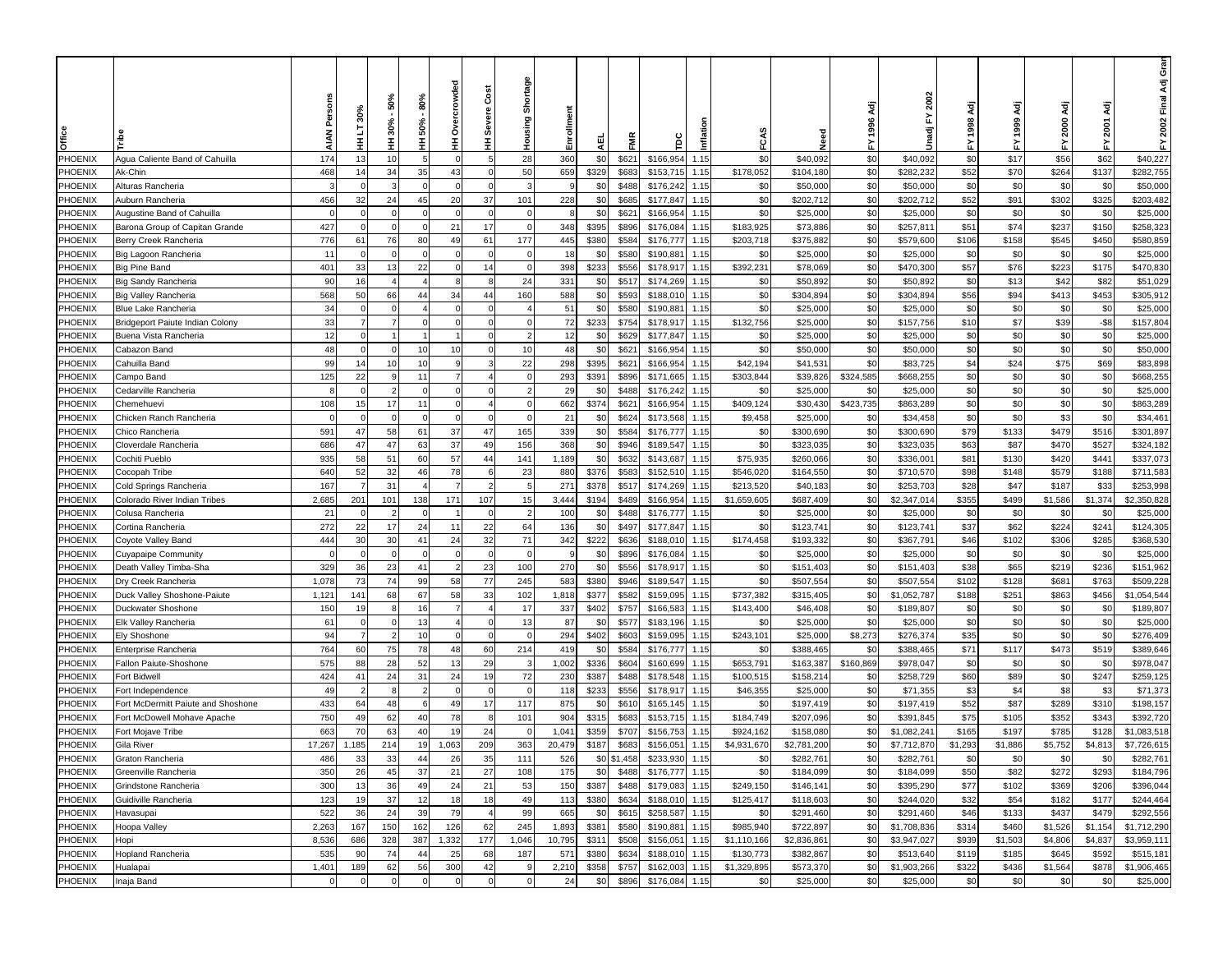|                    |                                                  |             | 30%            | 50%<br>$30% -$ | 80%<br>50% | owded                | Cost<br>Severe | Shortage      | Enrollment               |                |                        |              |                        |                        | <b>Adj</b><br>1996 | 2002<br>ŗ                |               | इ<br>1999      | ζä<br>2000     | इ<br>2001      | Gran<br>2002 Final Adj     |
|--------------------|--------------------------------------------------|-------------|----------------|----------------|------------|----------------------|----------------|---------------|--------------------------|----------------|------------------------|--------------|------------------------|------------------------|--------------------|--------------------------|---------------|----------------|----------------|----------------|----------------------------|
| Office             |                                                  | <b>AIAN</b> | 5<br>Ŧ         | Ŧ              | Ŧ          | Ó<br>Ŧ               | Ξ              | Housing       | 핒                        | FMR            | Ĕ                      | Inflati      | FCAS                   | Need                   | 놊                  | Unadji                   | 놊             |                | 놊              | ᇫ              | 놊                          |
| PHOENIX            | Agua Caliente Band of Cahuilla                   | 174         | 13             | 10             |            |                      | 5              | 28            | 360<br>\$0               | \$621          | \$166,954              | 1.15         | \$0                    | \$40,092               | \$0                | \$40,092                 | \$0           | \$17           | \$56           | \$62           | \$40,227                   |
| PHOENIX            | Ak-Chin                                          | 468         | 14             | 34             | 35         | 43                   | $\mathbf 0$    | 50            | 659<br>\$329             | \$683          | \$153,715              | 1.15         | \$178,052              | \$104,180              | \$0                | \$282,232                | \$52          | \$70           | \$264          | \$137          | \$282,755                  |
| PHOENIX            | Alturas Rancheria                                | 3           | $\Omega$       |                | ſ          |                      | $\Omega$       | ÷.            | \$0<br>9                 | \$488          | \$176,242              | 1.15         | \$0                    | \$50,000               | \$0                | \$50,000                 | \$0           | \$0            | \$0            | \$0            | \$50,000                   |
| PHOENIX            | Auburn Rancheria                                 | 456         | 32             | 24             | 45         | 20                   | 37             | 101           | 228<br>\$0               | \$685          | \$177,847              | 1.15         | \$0                    | \$202,712              | \$0                | \$202,712                | \$52          | \$91           | \$302          | \$325          | \$203,482                  |
| PHOENIX            | Augustine Band of Cahuilla                       | $\Omega$    |                |                |            |                      | $\Omega$       |               | \$0                      | \$621          | \$166,954              | 1.15         | \$0                    | \$25,000               | \$0                | \$25,000                 | \$0           | \$0            | \$0            | \$0            | \$25,000                   |
| PHOENIX            | Barona Group of Capitan Grande                   | 427         |                |                |            | $2^{\circ}$          | 17             |               | 348<br>\$395             | \$896          | \$176,084              | 1.15         | \$183,925              | \$73,886               | \$0                | \$257,81                 | \$51          | \$74           | \$237          | \$150          | \$258,323                  |
| PHOENIX            | Berry Creek Rancheria                            | 776         | 61             | 76             | 80         | 49                   | 61             | 177           | 445<br>\$380             | \$584          | \$176,777              | 1.15         | \$203,718              | \$375,882              | \$0                | \$579,600                | \$106         | \$158          | \$545          | \$450          | \$580,859                  |
| PHOENIX            | Big Lagoon Rancheria                             | 11          |                |                |            |                      | $\Omega$       |               | 18<br>\$0                | \$580          | \$190,88               | 1.15         | \$0                    | \$25,000               | \$0                | \$25,000                 | \$0           | \$0            | \$0            | \$0            | \$25,000                   |
| PHOENIX            | Big Pine Band                                    | 401         | 33             | 13             | 22         |                      | 14             |               | \$233<br>398             | \$556          | \$178,917              | 1.15         | \$392,231              | \$78,069               | \$0                | \$470,300                | \$57          | \$76           | \$223          | \$175          | \$470,830                  |
| PHOENIX            | <b>Big Sandy Rancheria</b>                       | 90          | 16             |                |            |                      | 8              | 24            | 331<br>\$0               | \$51           | \$174,269              | 1.15         | \$0                    | \$50,89                | \$0                | \$50,892                 | \$0           | \$13           | \$42           | \$82           | \$51,029                   |
| PHOENIX            | <b>Big Valley Rancheria</b>                      | 568         | 50             | 66             | 44         | 34                   | 44             | 160           | 588<br>\$0               | \$593          | \$188,01               | 1.15         | \$0                    | \$304,894              | \$0                | \$304,894                | \$56          | \$94           | \$413          | \$453          | \$305,912                  |
| PHOENIX            | <b>Blue Lake Rancheria</b>                       | 34          |                |                |            |                      | $\Omega$       |               | 51<br>\$0                | \$580          | \$190,88               | 1.15         | \$0                    | \$25,000               | \$0                | \$25,000                 | \$0           | \$0            | \$0            | \$0            | \$25,000                   |
| PHOENIX            | Bridgeport Paiute Indian Colony                  | 33          | $\overline{7}$ |                |            |                      | $\Omega$       | $\mathcal{C}$ | 72<br>\$233              | \$754          | \$178,917              | 1.15         | \$132,756              | \$25,000               | \$0                | \$157,756                | \$10          | \$7            | \$39           | $-$ \$8        | \$157,804                  |
| PHOENIX            | Buena Vista Rancheria                            | 12          |                |                |            |                      | $\Omega$       | 2             | 12<br>\$0                | \$629          | \$177,847              | 1.15         | \$0                    | \$25,000               | \$0                | \$25,000                 | \$0           | \$0            | \$0            | \$0            | \$25,000                   |
| PHOENIX            | Cabazon Band                                     | 48          |                | $\Omega$       | 10         | 10                   | $\Omega$       | 10            | 48<br>\$0                | \$621          | \$166,954              | 1.15         | \$0                    | \$50,000               | \$0                | \$50,000                 | \$0           | \$0            | \$0            | \$0            | \$50,000                   |
| PHOENIX            | Cahuilla Band                                    | 99          | 14             | 10             | 10         |                      | 3              | 22            | 298<br>\$395             | \$621          | \$166,954              | 1.15         | \$42,194               | \$41,531               | \$0                | \$83,725                 | \$4           | \$24           | \$75           | \$69           | \$83,898                   |
| PHOENIX            | Campo Band                                       | 125<br>Я    | 22             |                | 11         |                      | $\Omega$       |               | 293<br>\$391<br>29       | \$896<br>\$488 | \$171,665              | 1.15<br>1.15 | \$303,844<br>\$0       | \$39,826               | \$324,585          | \$668,255                | \$0<br>\$0    | \$0            | \$0<br>\$0     | \$0<br>\$0     | \$668,255                  |
| PHOENIX<br>PHOENIX | Cedarville Rancheria<br>Chemehuevi               | 108         | 15             | 17             | 11         |                      |                |               | \$0<br>\$374<br>662      | \$621          | \$176,242<br>\$166,954 | 1.15         | \$409,124              | \$25,000<br>\$30,430   | \$0<br>\$423,735   | \$25,000<br>\$863,289    | \$0           | \$0<br>\$0     | \$0            | \$0            | \$25,000<br>\$863,289      |
| PHOENIX            | Chicken Ranch Rancheria                          |             |                |                |            |                      |                |               | 21<br>\$0                | \$624          | \$173,568              | 1.15         | \$9,458                | \$25,000               | \$0                | \$34,458                 | \$0           | \$0            | \$3            | \$0            | \$34,461                   |
| PHOENIX            | Chico Rancheria                                  | 591         | 47             | 58             | 61         | 37                   | 47             | 165           | 339<br>\$0               | \$584          | \$176,777              | 1.15         | \$0                    | \$300,690              | \$0                | \$300,690                | \$79          | \$133          | \$479          | \$516          | \$301,897                  |
| PHOENIX            | Cloverdale Rancheria                             | 686         | 47             | 47             | 63         | 37                   | 49             | 156           | 368<br>\$0               | \$946          | \$189,547              | 1.15         | \$0                    | \$323,035              | \$0                | \$323,035                | \$63          | \$87           | \$470          | \$527          | \$324,182                  |
| PHOENIX            | Cochiti Pueblo                                   | 935         | 58             | 51             | 60         | 57                   | 44             | 141           | 1,189<br>\$0             | \$632          | \$143,687              | 1.15         | \$75,935               | \$260,066              | \$0                | \$336,001                | \$81          | \$130          | \$420          | \$441          | \$337,073                  |
| PHOENIX            | Cocopah Tribe                                    | 640         | 52             | 32             | 46         | 78                   | 6              | 23            | 880<br>\$376             | \$583          | \$152,510              | 1.15         | \$546,020              | \$164,550              | \$0                | \$710,570                | \$98          | \$148          | \$579          | \$188          | \$711,583                  |
| PHOENIX            | Cold Springs Rancheria                           | 167         |                | 31             |            |                      | $\overline{2}$ |               | 271<br>\$378             | \$517          | \$174,269              | 1.15         | \$213,520              | \$40,183               | \$0                | \$253,703                | \$28          | \$47           | \$187          | \$33           | \$253,998                  |
| PHOENIX            | Colorado River Indian Tribes                     | 2,685       | 201            | 101            | 138        | 171                  | 107            | 15            | 3,444<br>\$194           | \$489          | \$166,954              | 1.15         | \$1,659,605            | \$687,409              | \$0                | \$2,347,014              | \$355         | \$499          | \$1,586        | \$1,374        | \$2,350,828                |
| <b>PHOENIX</b>     | Colusa Rancheria                                 | 21          |                |                | $\sqrt{ }$ |                      | $\Omega$       | -2            | 100<br>\$0               | \$488          | \$176,777              | 1.15         | \$0                    | \$25,000               | \$0                | \$25,000                 | \$0           | \$0            | \$0            | \$0            | \$25,000                   |
| PHOENIX            | Cortina Rancheria                                | 272         | 22             | 17             | 24         | 11                   | 22             | 64            | 136<br>\$0               | \$497          | \$177,847              | 1.15         | \$0                    | \$123,741              | \$0                | \$123,741                | \$37          | \$62           | \$224          | \$241          | \$124,305                  |
| PHOENIX            | Coyote Valley Band                               | 444         | 30             | 30             | 41         | 24                   | 32             | 71            | 342<br>\$222             | \$636          | \$188,010              | 1.15         | \$174,458              | \$193,332              | \$0                | \$367,791                | \$46          | \$102          | \$306          | \$285          | \$368,530                  |
| PHOENIX            | Cuyapaipe Community                              | $\Omega$    |                |                |            |                      | $\Omega$       |               | \$0                      | \$896          | \$176,084              | 1.15         | \$0                    | \$25,000               | \$0                | \$25,000                 | \$0           | \$0            | \$0            | \$0            | \$25,000                   |
| PHOENIX            | Death Valley Timba-Sha                           | 329         | 36             | 23             | 41         |                      | 23             | 100           | 270<br>\$0               | \$556          | \$178,917              | 1.15         | \$0                    | \$151,403              | \$0                | \$151,403                | \$38          | \$65           | \$219          | \$236          | \$151,962                  |
| PHOENIX            | Dry Creek Rancheria                              | 1,078       | 73             | 74             | 99         | 51                   | 77             | 245           | 583<br>\$380             | \$946          | \$189,547              | 1.15         | \$0                    | \$507,554              | \$0                | \$507,554                | \$102         | \$128          | \$681          | \$763          | \$509,228                  |
| PHOENIX            | Duck Valley Shoshone-Paiute                      | 1,121       | 141            | 68             | 67         | 58                   | 33             | 102           | 1,818<br>\$377           | \$582          | \$159,09               | 1.15         | \$737,382              | \$315,405              | \$0                | \$1,052,787              | \$188         | \$251          | \$863          | \$456          | \$1,054,544                |
| PHOENIX            | Duckwater Shoshone                               | 150         | 19             |                | 16         |                      |                | 17            | 337<br>\$402             | \$757          | \$166,58               | 1.15         | \$143,400              | \$46,408               | \$0                | \$189,807                | \$0           | \$0            | \$0            | \$0            | \$189,807                  |
| PHOENIX            | Elk Valley Rancheria                             | 61          |                |                | 13         |                      | $\Omega$       | 13            | 87<br>\$0                | \$57           | \$183,196              | 1.15         | \$0                    | \$25,000               | \$0                | \$25,000                 | \$0           | \$0            | \$0            | \$0            | \$25,000                   |
| PHOENIX            | Ely Shoshone                                     | 94          |                |                | 10         |                      | $\mathbf 0$    | $\epsilon$    | 294<br>\$402             | \$603          | \$159,09               | 1.15         | \$243,101              | \$25,000               | \$8,27             | \$276,374                | \$35          | \$0            | \$0            | \$0            | \$276,409                  |
| PHOENIX            | Enterprise Rancheria                             | 764         | 60             | 75             | 78         | 48                   | 60             | 214           | 419<br>\$0               | \$584          | \$176,777              | 1.15         | \$0                    | \$388,465              | \$0                | \$388,465                | \$71          | \$117          | \$473          | \$519          | \$389,646                  |
| PHOENIX            | Fallon Paiute-Shoshone                           | 575         | 88             | 28             | 52         | 13                   | 29             | -3            | 1,002<br>\$336           | \$604          | \$160,699              | 1.15         | \$653,791              | \$163,387              | \$160,869          | \$978,047                | \$0           | \$0            | \$0            | \$0            | \$978,047                  |
| PHOENIX            | Fort Bidwell                                     | 424         | 41             | 24             | 31         | 24                   | 19             | 72            | 230<br>\$387             | \$488          | \$178,548              | 1.15         | \$100,515              | \$158,214              | \$0                | \$258,729                | \$60          | \$89           | \$0            | \$247          | \$259,125                  |
| <b>PHOENIX</b>     | Fort Independence                                | 49          |                |                | -2         |                      | $\Omega$       | $\epsilon$    | 118<br>\$233             | \$556          | \$178,917              | 1.15         | \$46,355               | \$25,000               | \$0                | \$71,355                 | \$3           | \$4            | \$8            | \$3            | \$71,373                   |
| PHOENIX            | Fort McDermitt Paiute and Shoshone               | 433         | 64             | 48             |            | 49                   | 17             | 117           | 875<br>\$0               | \$610          | \$165,145              | 1.15         | \$0                    | \$197,419              | \$0                | \$197,419                | \$52          | \$87           | \$289          | \$310          | \$198,157                  |
| PHOENIX            | Fort McDowell Mohave Apache<br>Fort Mojave Tribe | 750<br>663  | 49<br>70       | 62             | 40<br>40   | 78<br>1 <sup>c</sup> | -8<br>24       | 101           | 904<br>\$315<br>1,041    | \$683          | \$153,715              | 1.15<br>1.15 | \$184,749<br>\$924,162 | \$207,096<br>\$158,080 | \$0<br>\$0         | \$391,845                | \$75<br>\$165 | \$105<br>\$197 | \$352<br>\$785 | \$343<br>\$128 | \$392,720                  |
| PHOENIX<br>PHOENIX | Gila River                                       | 17,267      | 1.185          | 63<br>214      | 19         | 1,063                | 209            | 363           | \$359<br>20,479<br>\$187 | \$707<br>\$683 | \$156,753<br>\$156,05  | 1.15         | \$4,931,670            | \$2,781,200            | \$0                | \$1,082,24<br>\$7,712,87 | \$1,293       | \$1,886        | \$5,752        | \$4,813        | \$1,083,518<br>\$7,726,615 |
| PHOENIX            | Graton Rancheria                                 | 486         | 33             | 33             | 44         | 26                   | 35             | 111           | 526                      | \$0 \$1,458    | \$233,930              | 1.15         | \$0                    | \$282,761              | \$0                | \$282,761                | \$0           | \$0            | \$0            | \$0            | \$282,761                  |
| PHOENIX            | Greenville Rancheria                             | 350         | 26             | 45             | 37         | 21                   | 27             | 108           | 175<br>\$0               | \$488          | \$176,777              | 1.15         | \$0                    | \$184,099              | \$0                | \$184,099                | \$50          | \$82           | \$272          | \$293          | \$184,796                  |
| PHOENIX            | Grindstone Rancheria                             | 300         | 13             | 36             | 49         | 24                   | 21             | 53            | 150<br>\$387             | \$488          | \$179,083              | 1.15         | \$249,150              | \$146,141              | \$0                | \$395,290                | \$77          | \$102          | \$369          | \$206          | \$396,044                  |
| <b>PHOENIX</b>     | Guidiville Rancheria                             | 123         | 19             | 37             | 12         | 18                   | 18             | 49            | 113<br>\$380             | \$634          | \$188,010              | 1.15         | \$125,417              | \$118,603              | \$0                | \$244,020                | \$32          | \$54           | \$182          | \$177          | \$244,464                  |
| <b>PHOENIX</b>     | Havasupai                                        | 522         | 36             | 24             | 39         | 79                   | $\overline{4}$ | 99            | 665<br>\$0               | \$615          | \$258,587              | 1.15         | \$0                    | \$291,460              | \$0                | \$291,460                | \$46          | \$133          | \$437          | \$479          | \$292,556                  |
| PHOENIX            | Hoopa Valley                                     | 2,263       | 167            | 150            | 162        | 126                  | 62             | 245           | 1,893<br>\$381           | \$580          | \$190,881              | 1.15         | \$985,940              | \$722,897              | \$0                | \$1,708,836              | \$314         | \$460          | \$1,526        | \$1,154        | \$1,712,290                |
| <b>PHOENIX</b>     | Hopi                                             | 8,536       | 686            | 328            | 387        | 1,332                | 177            | 1,046         | 10,795<br>\$311          | \$508          | \$156,051              | 1.15         | \$1,110,166            | \$2,836,861            | \$0                | \$3,947,027              | \$939         | \$1,503        | \$4,806        | \$4,837        | \$3,959,111                |
| <b>PHOENIX</b>     | Hopland Rancheria                                | 535         | 90             | 74             | 44         | 25                   | 68             | 187           | 571<br>\$380             | \$634          | \$188,010              | 1.15         | \$130,773              | \$382,867              | \$0                | \$513,640                | \$119         | \$185          | \$645          | \$592          | \$515,181                  |
| PHOENIX            | Hualapai                                         | 1,401       | 189            | 62             | 56         | 300                  | 42             | ç             | 2,210<br>\$358           | \$757          | \$162,003              | 1.15         | \$1,329,895            | \$573,370              | \$0                | \$1,903,266              | \$322         | \$436          | \$1,564        | \$878          | \$1,906,465                |
| PHOENIX            | Inaja Band                                       | $\mathbf 0$ |                |                |            |                      | $\mathbf 0$    |               | \$0<br>24                | \$896          | \$176,084              | 1.15         | \$0                    | \$25,000               | \$0                | \$25,000                 | \$0           | \$0            | \$0            | \$0            | \$25,000                   |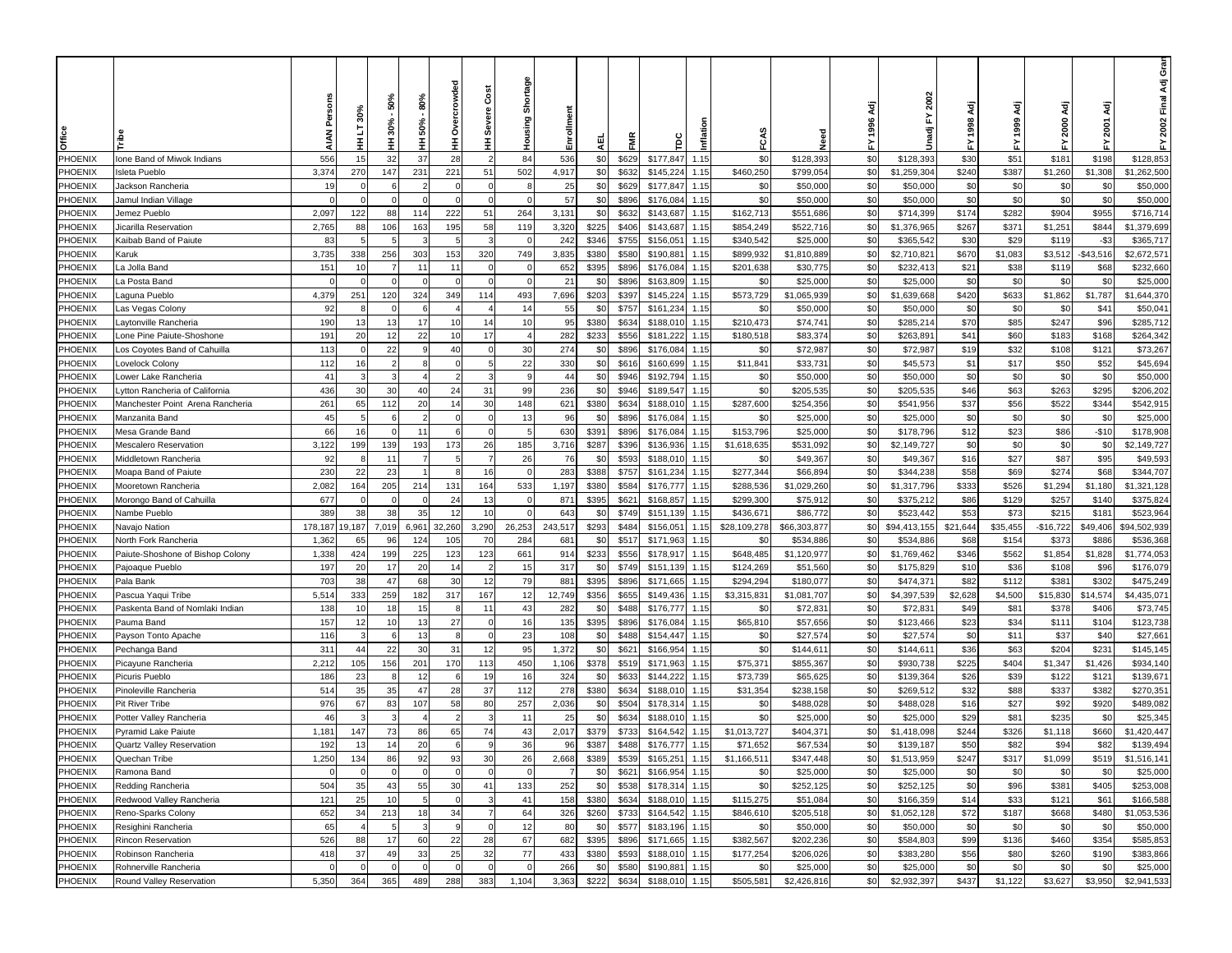|                |                                  |             |          |                |                 |                 |                |               |                  |       |                |        |              |              |           |              |          |          |            |            | ara<br>ق<br>Ādj |
|----------------|----------------------------------|-------------|----------|----------------|-----------------|-----------------|----------------|---------------|------------------|-------|----------------|--------|--------------|--------------|-----------|--------------|----------|----------|------------|------------|-----------------|
|                |                                  |             | 30%      | 50%<br>$30% -$ | 80%             | owded           | Čost<br>Severe | Shortage      |                  |       |                |        |              |              | ξā        | 2002<br>놊    |          | ਟ੍ਰੋ     | ਟ੍ਰ        | ਟ੍ਰ        | 2002 Final      |
| Cifice         |                                  | <b>AIAN</b> | 5<br>Ŧ   | Ŧ              | 50%<br>Ŧ        | Ò<br>Ŧ          | Ξ              | Housing       | Enrollment<br>핒  | FMR   | ξ              | Inflat | FCAS         | veed<br>Need | 1996<br>놊 | ā<br>ŝ       | 값        | 1999     | 2000<br>놊  | 2001<br>r. | 놊               |
| PHOENIX        | Ione Band of Miwok Indians       | 556         | 15       | 32             | 37              | 28              | $\overline{2}$ | 84            | 536<br>\$0       | \$629 | \$177,847      | 1.15   | \$0          | \$128,393    | \$0       | \$128,393    | \$30     | \$51     | \$181      | \$198      | \$128,853       |
| PHOENIX        | Isleta Pueblo                    | 3,374       | 270      | 147            | 231             | 221             | 51             | 502           | \$0<br>4,917     | \$632 | \$145,224      | 1.15   | \$460,250    | \$799,054    | \$0       | \$1,259,304  | \$240    | \$387    | \$1,260    | \$1,308    | \$1,262,500     |
| PHOENIX        | Jackson Rancheria                | 19          |          | -6             |                 |                 | $\mathbf 0$    | -8            | \$0<br>25        | \$629 | \$177,847      | 1.15   | \$0          | \$50,000     | \$0       | \$50,000     | \$0      | \$0      | \$0        | \$0        | \$50,000        |
| PHOENIX        | Jamul Indian Village             | C           |          |                |                 |                 | $\Omega$       |               | 57<br>\$0        | \$896 | \$176,084      | 1.15   | \$0          | \$50,000     | \$0       | \$50,000     | \$0      | \$0      | \$0        | \$0        | \$50,000        |
| PHOENIX        | Jemez Pueblo                     | 2,097       | 122      | 88             | 114             | 222             | 51             | 264           | 3,131<br>\$0     | \$632 | \$143,687      | 1.15   | \$162,713    | \$551,686    | \$0       | \$714,399    | \$174    | \$282    | \$904      | \$955      | \$716,714       |
| PHOENIX        | licarilla Reservation            | 2,765       | 88       | 106            | 163             | 195             | 58             | 119           | 3,320<br>\$225   | \$406 | \$143,687      | 1.15   | \$854,249    | \$522,716    | \$0       | \$1,376,965  | \$267    | \$371    | \$1,251    | \$844      | \$1,379,699     |
| PHOENIX        | Kaibab Band of Paiute            | 83          |          |                |                 |                 |                |               | 242<br>\$346     | \$755 | \$156,05       | 1.15   | \$340,542    | \$25,000     | \$0       | \$365,542    | \$30     | \$29     | \$119      | $-$ \$3    | \$365,717       |
| PHOENIX        | Karuk                            | 3,735       | 338      | 256            | 30 <sup>°</sup> | 15 <sup>°</sup> | 320            | 749           | 3,835<br>\$380   | \$580 | \$190,88       | 1.15   | \$899,932    | \$1,810,889  | \$0       | \$2,710,82   | \$670    | \$1,083  | \$3,512    | -\$43,516  | \$2,672,57'     |
| PHOENIX        | a Jolla Band                     | 151         | 10       |                | 11              | $\cdot$ 1       | $\Omega$       |               | 652<br>\$395     | \$896 | \$176,084      | 1.15   | \$201,638    | \$30,775     | \$0       | \$232,413    | \$21     | \$38     | \$119      | \$68       | \$232,660       |
| PHOENIX        | a Posta Band.                    | $\Omega$    |          |                |                 |                 | $\Omega$       |               | 21<br>\$0        | \$896 | \$163,809      | 1.15   | \$0          | \$25,000     | \$0       | \$25,000     | \$0      | \$0      | \$0        | \$0        | \$25,000        |
| PHOENIX        | aguna Pueblo                     | 4,379       | 251      | 120            | 324             | 349             | 114            | 493           | 7,696<br>\$203   | \$397 | \$145,224      | 1.15   | \$573,729    | \$1,065,939  | \$0       | \$1,639,668  | \$420    | \$633    | \$1,862    | \$1,787    | \$1,644,370     |
| PHOENIX        | .as Vegas Colony                 | 92          |          |                |                 |                 |                | 14            | 55<br>\$0        | \$757 | \$161,234      | 1.15   | \$0          | \$50,000     | \$0       | \$50,000     | \$0      | \$0      | \$0        | \$41       | \$50,04         |
| PHOENIX        | aytonville Rancheria             | 190         | 13       | 13             | 17              | 10              | 14             | 10            | 95<br>\$380      | \$634 | \$188,010      | 1.15   | \$210,473    | \$74,741     | \$0       | \$285,214    | \$70     | \$85     | \$247      | \$96       | \$285,712       |
| PHOENIX        | one Pine Paiute-Shoshone         | 191         | 20       | 12             | 22              | 10              | 17             |               | 282<br>\$233     | \$556 | \$181,222      | 1.15   | \$180,518    | \$83,374     | \$0       | \$263,891    | \$41     | \$60     | \$183      | \$168      | \$264,342       |
| PHOENIX        | os Coyotes Band of Cahuilla.     | 113         |          | 22             |                 | 40              | $\Omega$       | 30            | 274<br>\$0       | \$896 | \$176,084      | 1.15   | \$0          | \$72,987     | \$0       | \$72,987     | \$19     | \$32     | \$108      | \$121      | \$73,267        |
| PHOENIX        | ovelock Colony.                  | 112         | 16       |                | £               |                 | 5              | 22            | \$0<br>330       | \$616 | \$160,699      | 1.15   | \$11,841     | \$33,731     | \$0       | \$45,573     | \$1      | \$17     | \$50       | \$52       | \$45,694        |
| PHOENIX        | ower Lake Rancheria.             | 41          |          |                |                 |                 | 3              |               | \$0<br>44        | \$946 | \$192,794      | 1.15   | \$0          | \$50,000     | \$0       | \$50,000     | \$0      | \$0      | \$0        | \$0        | \$50,000        |
| PHOENIX        | ytton Rancheria of California    | 436         | 30       | 30             | 40              | 24              | 31             | 99            | 236<br>\$0       | \$946 | \$189,547      | 1.15   | \$0          | \$205,535    | \$0       | \$205,535    | \$46     | \$63     | \$263      | \$295      | \$206,202       |
| PHOENIX        | Manchester Point Arena Rancheria | 261         | 65       | 112            | 20              | 1.              | 30             | 148           | 621<br>\$380     | \$634 | \$188,010      | 1.15   | \$287,600    | \$254,356    | \$0       | \$541,956    | \$37     | \$56     | \$522      | \$344      | \$542,915       |
| PHOENIX        | Manzanita Band                   | 45          |          |                |                 |                 |                | 13            | 96<br>\$0        | \$896 | \$176,084      | 1.15   | \$0          | \$25,000     | \$0       | \$25,000     | \$0      | \$0      | \$0        | \$0        | \$25,000        |
| PHOENIX        | Mesa Grande Band                 | 66          | 16       |                | 11              |                 | $\mathbf 0$    |               | 630<br>\$391     | \$896 | \$176,084      | 1.15   | \$153,796    | \$25,000     | \$0       | \$178,796    | \$12     | \$23     | \$86       | $-$10$     | \$178,908       |
| PHOENIX        | Mescalero Reservation            | 3,122       | 199      | 139            | 193             | 173             | 26             | 185           | \$287<br>3,716   | \$396 | \$136,936      | 1.15   | \$1,618,635  | \$531,092    | \$0       | \$2,149,727  | \$0      | \$0      | \$0        | \$0        | \$2,149,727     |
| PHOENIX        | <b>Middletown Rancheria</b>      | 92          |          | 11             |                 |                 | $\overline{7}$ | 26            | 76<br>\$0        | \$593 | \$188,01       | 1.15   | \$0          | \$49,36      | \$0       | \$49,367     | \$16     | \$27     | \$87       | \$95       | \$49,593        |
| PHOENIX        | Moapa Band of Paiute             | 230         | 22       | 23             |                 |                 | 16             | $\sqrt{ }$    | 283<br>\$388     | \$757 | \$161,234      | 1.15   | \$277,344    | \$66,894     | \$0       | \$344,238    | \$58     | \$69     | \$274      | \$68       | \$344,707       |
| PHOENIX        | Mooretown Rancheria              | 2,082       | 164      | 205            | 214             | 131             | 164            | 533           | 1,197<br>\$380   | \$584 | \$176,777      | 1.15   | \$288,536    | \$1,029,260  | \$0       | \$1,317,796  | \$333    | \$526    | \$1,294    | \$1,180    | \$1,321,128     |
| PHOENIX        | Morongo Band of Cahuilla         | 677         | $\Omega$ |                |                 | 24              | 13             | $\mathcal{C}$ | 871<br>\$395     | \$62' | \$168,857      | 1.15   | \$299,300    | \$75,912     | \$0       | \$375,21     | \$86     | \$129    | \$257      | \$140      | \$375,824       |
| <b>PHOENIX</b> | <b>Nambe Pueblo</b>              | 389         | 38       | 38             | 35              | 12              | 10             | $\epsilon$    | \$0<br>643       | \$749 | \$151,139      | 1.15   | \$436,671    | \$86,772     | \$0       | \$523,442    | \$53     | \$73     | \$215      | \$181      | \$523,964       |
| PHOENIX        | √avajo Nation                    | 178,187     | 9,187    | 7,019          | 6,961           | 32,260          | 3,290          | 26,253        | \$293<br>243,517 | \$484 | \$156,05       | 1.15   | \$28,109,278 | \$66,303,877 | \$0       | \$94,413,155 | \$21,644 | \$35,455 | $-$16,722$ | \$49,406   | \$94,502,939    |
| PHOENIX        | Vorth Fork Rancheria             | 1,362       | 65       | 96             | 124             | 105             | 70             | 284           | \$0<br>681       | \$517 | \$171,963      | 1.15   | \$0          | \$534,886    | \$0       | \$534,886    | \$68     | \$154    | \$373      | \$886      | \$536,368       |
| PHOENIX        | Paiute-Shoshone of Bishop Colony | 1,338       | 424      | 199            | 225             | 123             | 123            | 661           | \$233<br>914     | \$556 | \$178,917      | 1.15   | \$648,485    | \$1,120,977  | \$0       | \$1,769,462  | \$346    | \$562    | \$1,854    | \$1,828    | \$1,774,053     |
| PHOENIX        | Pajoaque Pueblo                  | 197         | 20       | 17             | 20              | 14              |                | 15            | 317<br>\$0       | \$749 | \$151,139      | 1.15   | \$124,269    | \$51,560     | \$0       | \$175,829    | \$10     | \$36     | \$108      | \$96       | \$176,079       |
| PHOENIX        | Pala Bank                        | 703         | 38       | 47             | 68              | 30              | 12             | 79            | 881<br>\$395     | \$896 | \$171,665      | 1.15   | \$294,294    | \$180,077    | \$0       | \$474,37     | \$82     | \$112    | \$381      | \$302      | \$475,249       |
| PHOENIX        | Pascua Yaqui Tribe               | 5,514       | 333      | 259            | 182             | 317             | 167            | 12            | 12,749<br>\$356  | \$655 | \$149,436      | 1.15   | \$3,315,83   | \$1,081,707  | \$0       | \$4,397,539  | \$2,628  | \$4,500  | \$15,830   | \$14,574   | \$4,435,07      |
| PHOENIX        | Paskenta Band of Nomlaki Indian  | 138         | 10       | 18             | 15              |                 | 11             | 43            | 282<br>\$0       | \$488 | \$176,777      | 1.15   | \$0          | \$72,83'     | \$0       | \$72,83'     | \$49     | \$81     | \$378      | \$406      | \$73,745        |
| PHOENIX        | Pauma Band                       | 157         | 12       | 10             | 13              | 27              | $\mathbf 0$    | 16            | 135<br>\$395     | \$896 | \$176,084      | 1.15   | \$65,810     | \$57,656     | \$0       | \$123,466    | \$23     | \$34     | \$111      | \$104      | \$123,738       |
| PHOENIX        | Payson Tonto Apache              | 116         |          |                | 13              |                 | $\mathbf 0$    | 23            | 108<br>\$0       | \$488 | \$154,447      | 1.15   | \$0          | \$27,57      | \$0       | \$27,574     | \$0      | \$11     | \$37       | \$40       | \$27,66         |
| PHOENIX        | Pechanga Band                    | 311         | 44       | 22             | 30              | 31              | 12             | 95            | 1,372<br>\$0     | \$62' | \$166,954      | 1.15   | \$0          | \$144,61     | \$0       | \$144,61     | \$36     | \$63     | \$204      | \$231      | \$145,145       |
| PHOENIX        | Picayune Rancheria               | 2,212       | 105      | 156            | 201             | 170             | 113            | 450           | \$378<br>1,106   | \$519 | \$171,963      | 1.15   | \$75,371     | \$855,367    | \$0       | \$930,738    | \$225    | \$404    | \$1,347    | \$1,426    | \$934,140       |
| PHOENIX        | Picuris Pueblo                   | 186         | 23       |                | 12              |                 | 19             | 16            | 324<br>\$0       | \$633 | \$144,222      | 1.15   | \$73,739     | \$65,625     | \$0       | \$139,364    | \$26     | \$39     | \$122      | \$121      | \$139,67        |
| <b>PHOENIX</b> | Pinoleville Rancheria            | 514         | 35       | 35             | 47              | 28              | 37             | 112           | 278<br>\$380     | \$634 | \$188,01       | 1.15   | \$31,354     | \$238,158    | \$0       | \$269,512    | \$32     | \$88     | \$337      | \$382      | \$270,351       |
| PHOENIX        | Pit River Tribe                  | 976         | 67       | 83             | 107             | 58              | 80             | 257           | 2,036<br>\$0     | \$504 | \$178,314      | 1.15   | \$0          | \$488,028    | \$0       | \$488,028    | \$16     | \$27     | \$92       | \$920      | \$489,082       |
| PHOENIX        | Potter Valley Rancheria          | 46          |          |                |                 |                 |                | 11            | \$0<br>25        | \$634 | \$188,01       | 1.15   | \$0          | \$25,000     | \$0       | \$25,000     | \$29     | \$81     | \$235      | \$0        | \$25,345        |
| PHOENIX        | Pyramid Lake Paiute              | 1,181       | 147      | 73             | 86              | 65              | 74             | 43            | 2,017<br>\$379   | \$733 | \$164,542      | 1.15   | \$1,013,727  | \$404,37     | \$0       | \$1,418,098  | \$244    | \$326    | \$1,118    | \$660      | \$1,420,447     |
| PHOENIX        | Quartz Valley Reservation        | 192         | 13       | 14             | 20              |                 |                | 36            | 96<br>\$387      | \$488 | \$176,777      | 1.15   | \$71,652     | \$67,534     | \$0       | \$139,187    | \$50     | \$82     | \$94       | \$82       | \$139,494       |
| PHOENIX        | Quechan Tribe                    | 1,250       | 134      | 86             | 92              | 93              | 30             | 26            | 2,668<br>\$389   | \$539 | \$165,251 1.15 |        | \$1,166,511  | \$347,448    | \$0       | \$1,513,959  | \$247    | \$317    | \$1,099    | \$519      | \$1,516,141     |
| PHOENIX        | Ramona Band                      | $\Omega$    |          |                | $\epsilon$      |                 | $\Omega$       |               | \$0              | \$621 | \$166,954      | 1.15   | \$0          | \$25,000     | \$0       | \$25,000     | \$0      | \$0      | \$0        | \$0        | \$25,000        |
| PHOENIX        | Redding Rancheria                | 504         | 35       | 43             | 55              | 30              | 41             | 133           | 252<br>\$0       | \$538 | \$178,314      | 1.15   | \$0          | \$252,125    | \$0       | \$252,125    | \$0      | \$96     | \$381      | \$405      | \$253,008       |
| <b>PHOENIX</b> | Redwood Valley Rancheria         | 121         | 25       | 10             |                 |                 | -3             | 41            | 158<br>\$380     | \$634 | \$188,010      | 1.15   | \$115,275    | \$51,084     | \$0       | \$166,359    | \$14     | \$33     | \$121      | \$61       | \$166,588       |
| PHOENIX        | Reno-Sparks Colony               | 652         | 34       | 213            | 18              | 34              | $\overline{7}$ | 64            | 326<br>\$260     | \$733 | \$164,542      | 1.15   | \$846,610    | \$205,518    | \$0       | \$1,052,128  | \$72     | \$187    | \$668      | \$480      | \$1,053,536     |
| PHOENIX        | Resighini Rancheria              | 65          |          |                |                 |                 | $\mathbf 0$    | 12            | 80<br>\$0        | \$577 | \$183,196      | 1.15   | \$0          | \$50,000     | \$0       | \$50,000     | \$0      | \$0      | \$0        | \$0        | \$50,000        |
| <b>PHOENIX</b> | Rincon Reservation               | 526         | 88       | 17             | 60              | 22              | 28             | 67            | 682<br>\$395     | \$896 | \$171,665      | 1.15   | \$382,567    | \$202,236    | \$0       | \$584,803    | \$99     | \$136    | \$460      | \$354      | \$585,853       |
| <b>PHOENIX</b> | Robinson Rancheria               | 418         | 37       | 49             | 33              | 25              | 32             | 77            | 433<br>\$380     | \$593 | \$188,010      | 1.15   | \$177,254    | \$206,026    | \$0       | \$383,280    | \$56     | \$80     | \$260      | \$190      | \$383,866       |
| <b>PHOENIX</b> | Rohnerville Rancheria            | $\mathbf 0$ | $\Omega$ | - 0            | - 0             |                 | 0              | $\epsilon$    | 266<br>\$0       | \$580 | \$190,881      | 1.15   | \$0          | \$25,000     | \$0       | \$25,000     | \$0      | \$0      | \$0        | \$0        | \$25,000        |
| PHOENIX        | Round Valley Reservation         | 5,350       | 364      | 365            | 489             | 288             | 383            | 1,104         | 3,363<br>\$222   | \$634 | \$188,010      | 1.15   | \$505,581    | \$2,426,816  | \$0       | \$2,932,397  | \$437    | \$1,122  | \$3,627    | \$3,950    | \$2,941,533     |
|                |                                  |             |          |                |                 |                 |                |               |                  |       |                |        |              |              |           |              |          |          |            |            |                 |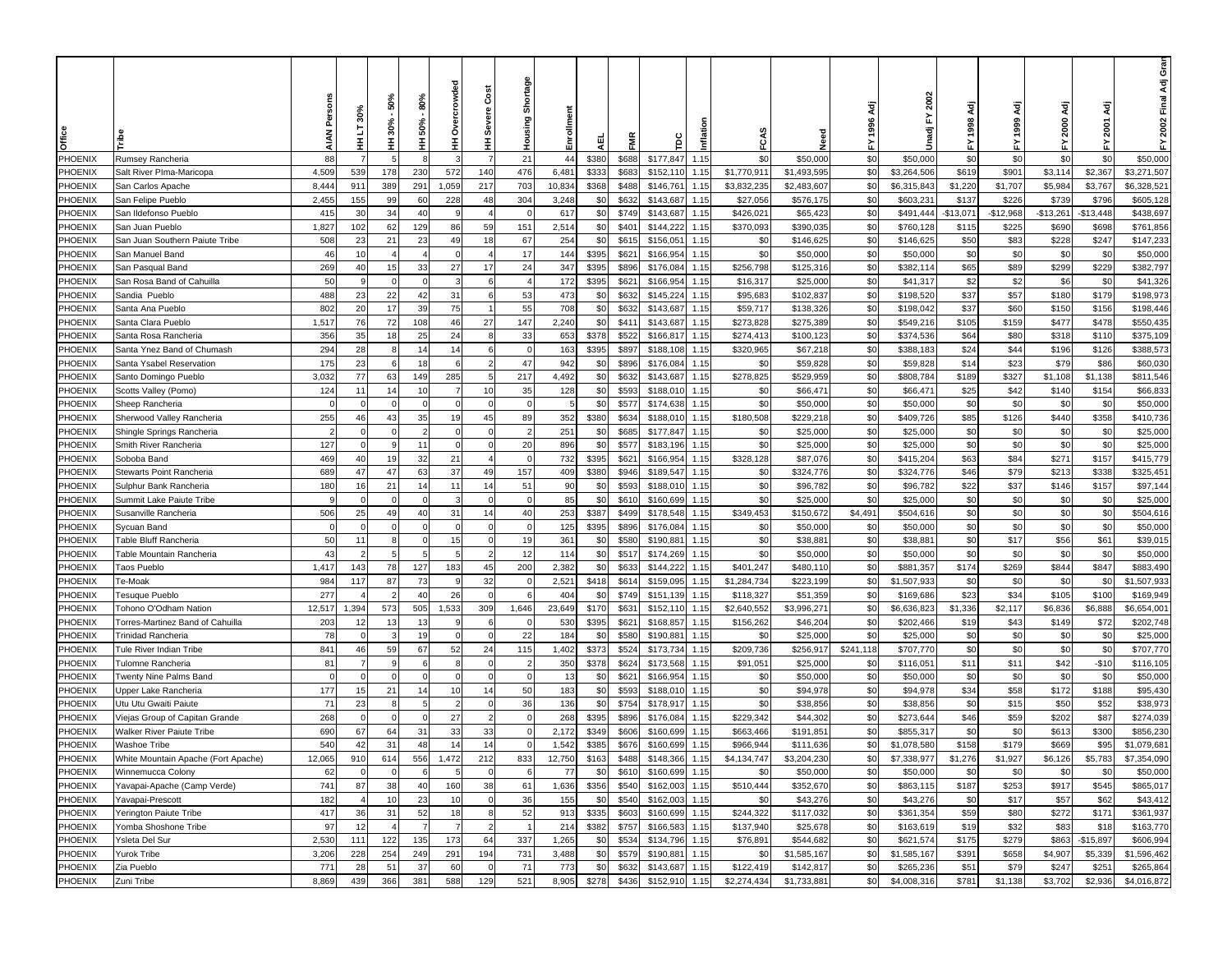|                    |                                                        |                | 30%            | 50%          | 80%       | owded  | Cost             | Shortage      |                            |                |                        |              |                      |                       | ξā         | 2002<br>놊             |             | ਟ੍ਰ         | ζä           | इ            | ອັ<br>ອັ<br>Ādj<br>2002 Final |
|--------------------|--------------------------------------------------------|----------------|----------------|--------------|-----------|--------|------------------|---------------|----------------------------|----------------|------------------------|--------------|----------------------|-----------------------|------------|-----------------------|-------------|-------------|--------------|--------------|-------------------------------|
| Office             |                                                        | <b>AIAN</b>    | 5<br>Ŧ         | $30% -$<br>Ŧ | 50%<br>Ξ  | Ó<br>Ŧ | Severe<br>Ξ      | Housing       | Enrollment<br>핒            | FMR            | ξ                      | Inflat       | FCAS                 | veed<br>Z             | 1996<br>놊  | Unadj                 | 놊           | 1999        | 2000<br>놊    | 2001<br>놊    | 놊                             |
| PHOENIX            | Rumsey Rancheria                                       | 88             |                |              |           |        | $\overline{7}$   | 21            | 44<br>\$380                | \$688          | \$177,847              | 1.15         | \$0                  | \$50,000              | \$0        | \$50,000              | \$0         | \$0         | \$0          | \$0          | \$50,000                      |
| PHOENIX            | Salt River Plma-Maricopa                               | 4,509          | 539            | 178          | 230       | 572    | 140              | 476           | 6,481<br>\$333             | \$683          | \$152,110              | 1.15         | \$1,770,911          | \$1,493,595           | \$0        | \$3,264,506           | \$619       | \$901       | \$3,114      | \$2,367      | \$3,271,507                   |
| PHOENIX            | San Carlos Apache                                      | 8,444          | 911            | 389          | 291       | 1,059  | 217              | 703           | 10,834<br>\$368            | \$488          | \$146,761              | 1.15         | \$3,832,235          | \$2,483,607           | \$0        | \$6,315,843           | \$1,220     | \$1,707     | \$5,984      | \$3,767      | \$6,328,521                   |
| PHOENIX            | San Felipe Pueblo                                      | 2,455          | 155            | 99           | 60        | 228    | 48               | 304           | \$0<br>3,248               | \$632          | \$143,687              | 1.15         | \$27,056             | \$576,175             | \$0        | \$603,23              | \$137       | \$226       | \$739        | \$796        | \$605,128                     |
| PHOENIX            | San Ildefonso Pueblo                                   | 415            | 30             | 34           | 40        |        |                  |               | 617<br>\$0                 | \$749          | \$143,687              | 1.15         | \$426,021            | \$65,423              | \$0        | \$491,444             | $-$13,071$  | $-$12,968$  | $-$13,261$   | $-$13,448$   | \$438,697                     |
| PHOENIX            | San Juan Pueblo                                        | 1,827          | 102            | 62           | 129       | 86     | 59               | 151           | 2,514<br>\$0               | \$401          | \$144,222              | 1.15         | \$370,093            | \$390,035             | \$0        | \$760,128             | \$115       | \$225       | \$690        | \$698        | \$761,856                     |
| PHOENIX            | San Juan Southern Paiute Tribe                         | 508            | 23             | 21           | 23        | 49     | 18               | 67            | 254<br>\$0                 | \$615          | \$156,05               | 1.15         | \$0                  | \$146,625             | \$0        | \$146,625             | \$50        | \$83        | \$228        | \$247        | \$147,233                     |
| PHOENIX            | San Manuel Band                                        | 46             | 10             |              |           |        |                  | 17            | 144<br>\$395               | \$621          | \$166,954              | 1.15         | \$0                  | \$50,000              | \$0        | \$50,000              | \$0         | \$0         | \$0          | \$0          | \$50,000                      |
| PHOENIX            | San Pasqual Band                                       | 269            | 40             | 15           | 33        | 27     | 17<br>6          | 24            | 347<br>\$395               | \$896          | \$176,084              | 1.15         | \$256,798            | \$125,316             | \$0        | \$382,114             | \$65        | \$89        | \$299        | \$229        | \$382,797                     |
| PHOENIX<br>PHOENIX | San Rosa Band of Cahuilla                              | 50<br>488      | 23             | 22           | 42        | 31     | 6                | 53            | 172<br>\$395<br>473<br>\$0 | \$62'<br>\$632 | \$166,954<br>\$145,224 | 1.15<br>1.15 | \$16,317<br>\$95,683 | \$25,000<br>\$102,837 | \$0<br>\$0 | \$41,317<br>\$198,520 | \$2<br>\$37 | \$2<br>\$57 | \$6<br>\$180 | \$0<br>\$179 | \$41,326<br>\$198,973         |
| PHOENIX            | Sandia Pueblo                                          | 802            | 20             | 17           | 39        | 75     | $\mathbf{1}$     | 55            | 708<br>\$0                 | \$632          | \$143,687              | 1.15         | \$59,717             | \$138,326             | \$0        | \$198,042             | \$37        | \$60        | \$150        | \$156        | \$198,446                     |
| PHOENIX            | Santa Ana Pueblo<br>Santa Clara Pueblo                 | 1,517          | 76             | 72           | 108       | 46     | 27               | 147           | 2,240<br>\$0               | \$411          | \$143,687              | 1.15         | \$273,828            | \$275,389             | \$0        | \$549,216             | \$105       | \$159       | \$477        | \$478        | \$550,435                     |
| PHOENIX            | Santa Rosa Rancheria                                   | 356            | 35             | 18           | 25        | 24     | 8                | 33            | 653<br>\$378               | \$522          | \$166,817              | 1.15         | \$274,413            | \$100,123             | \$0        | \$374,536             | \$64        | \$80        | \$318        | \$110        | \$375,109                     |
| PHOENIX            | Santa Ynez Band of Chumash                             | 294            | 28             |              | 14        | 14     | 6                | $\epsilon$    | 163<br>\$395               | \$897          | \$188,108              | 1.15         | \$320,965            | \$67,218              | \$0        | \$388,183             | \$24        | \$44        | \$196        | \$126        | \$388,573                     |
| PHOENIX            | Santa Ysabel Reservation                               | 175            | 23             | -6           | 18        |        | $\overline{2}$   | 47            | \$0<br>942                 | \$896          | \$176,084              | 1.15         | \$0                  | \$59,828              | \$0        | \$59,828              | \$14        | \$23        | \$79         | \$86         | \$60,030                      |
| PHOENIX            | Santo Domingo Pueblo                                   | 3,032          | 77             | 63           | 149       | 285    | 5                | 217           | \$0<br>4,492               | \$632          | \$143,687              | 1.15         | \$278,825            | \$529,959             | \$0        | \$808,784             | \$189       | \$327       | \$1,108      | \$1,138      | \$811,546                     |
| PHOENIX            | Scotts Valley (Pomo)                                   | 124            | 11             | 14           | 10        |        | 10               | 35            | \$0<br>128                 | \$593          | \$188,010              | 1.15         | \$0                  | \$66,471              | \$0        | \$66,471              | \$25        | \$42        | \$140        | \$154        | \$66,833                      |
| PHOENIX            | Sheep Rancheria                                        | C              |                |              |           |        |                  |               | \$0                        | \$577          | \$174,638              | 1.15         | \$0                  | \$50,000              | \$0        | \$50,000              | \$0         | \$0         | \$0          | \$0          | \$50,000                      |
| PHOENIX            | Sherwood Valley Rancheria                              | 255            | 46             | 43           | 35        |        | 45               | 89            | 352<br>\$380               | \$634          | \$188,010              | 1.15         | \$180,508            | \$229,218             | \$0        | \$409,726             | \$85        | \$126       | \$440        | \$358        | \$410,736                     |
| PHOENIX            | Shingle Springs Rancheria                              | $\overline{2}$ |                |              |           |        | $\Omega$         |               | 251<br>\$0                 | \$685          | \$177,847              | 1.15         | \$0                  | \$25,000              | \$0        | \$25,000              | \$0         | \$0         | \$0          | \$0          | \$25,000                      |
| PHOENIX            | Smith River Rancheria                                  | 127            |                |              | 11        |        | $\mathbf 0$      | 20            | 896<br>\$0                 | \$577          | \$183,196              | 1.15         | \$0                  | \$25,000              | \$0        | \$25,000              | \$0         | \$0         | \$0          | \$0          | \$25,000                      |
| PHOENIX            | Soboba Band                                            | 469            | 40             | 19           | 32        | 21     |                  |               | 732<br>\$395               | \$62'          | \$166,954              | 1.15         | \$328,128            | \$87,076              | \$0        | \$415,204             | \$63        | \$84        | \$271        | \$157        | \$415,779                     |
| PHOENIX            | Stewarts Point Rancheria                               | 689            | 47             | 47           | 63        | 37     | 49               | 157           | 409<br>\$380               | \$946          | \$189,547              | 1.15         | \$0                  | \$324,776             | \$0        | \$324,776             | \$46        | \$79        | \$213        | \$338        | \$325,45                      |
| PHOENIX            | Sulphur Bank Rancheria                                 | 180            | 16             | 21           | 14        | 11     | 14               | 51            | 90<br>\$0                  | \$593          | \$188,010              | 1.15         | \$0                  | \$96,782              | \$0        | \$96,782              | \$22        | \$37        | \$146        | \$157        | \$97,144                      |
| PHOENIX            | Summit Lake Paiute Tribe                               | 9              |                |              |           |        | $\Omega$         | $\mathcal{C}$ | 85<br>\$0                  | \$610          | \$160,699              | 1.15         | \$0                  | \$25,000              | \$0        | \$25,000              | \$0         | \$0         | \$0          | \$0          | \$25,000                      |
| PHOENIX            | Susanville Rancheria                                   | 506            | 25             | 49           | 40        | 31     | 14               | 40            | 253<br>\$387               | \$499          | \$178,548              | 1.15         | \$349,453            | \$150,672             | \$4,491    | \$504,616             | \$0         | \$0         | \$0          | \$0          | \$504,616                     |
| PHOENIX            | Sycuan Band                                            | $\mathbf 0$    |                |              |           |        | $\mathbf 0$      | $\epsilon$    | \$395<br>125               | \$896          | \$176,084              | 1.15         | \$0                  | \$50,000              | \$0        | \$50,000              | \$0         | \$0         | \$0          | \$0          | \$50,000                      |
| PHOENIX            | Fable Bluff Rancheria                                  | 50             | 11             |              |           | 15     | $\Omega$         | 19            | \$0<br>361                 | \$580          | \$190,88               | 1.15         | \$0                  | \$38,881              | \$0        | \$38,881              | \$0         | \$17        | \$56         | \$61         | \$39,015                      |
| PHOENIX            | Fable Mountain Rancheria                               | 43             |                |              |           |        | $\overline{2}$   | 12            | 114<br>\$0                 | \$517          | \$174,269              | 1.15         | \$0                  | \$50,000              | \$0        | \$50,000              | \$0         | \$0         | \$0          | \$0          | \$50,000                      |
| PHOENIX            | Taos Pueblo                                            | 1,417          | 143            | 78           | 127       | 183    | 45               | 200           | 2,382<br>\$0               | \$633          | \$144,222              | 1.15         | \$401,247            | \$480,110             | \$0        | \$881,357             | \$174       | \$269       | \$844        | \$847        | \$883,490                     |
| PHOENIX            | Ге-Moak                                                | 984            | 117            | 87           | 73        |        | 32               |               | 2,521<br>\$418             | \$614          | \$159,09               | 1.15         | \$1,284,734          | \$223,199             | \$0        | \$1,507,933           | \$0         | \$0         | \$0          | \$0          | \$1,507,933                   |
| PHOENIX            | <sup>r</sup> esuque Pueblo                             | 277            |                |              | 40        | 26     |                  |               | 404<br>\$0                 | \$749          | \$151,139              | 1.15         | \$118,327            | \$51,359              | \$0        | \$169,686             | \$23        | \$34        | \$105        | \$100        | \$169,949                     |
| PHOENIX            | Fohono O'Odham Nation                                  | 12,517         | 1,394          | 573          | 505<br>13 | 1,53   | 309              | 1,646         | 23,649<br>\$170            | \$63           | \$152,11               | 1.15         | \$2,640,552          | \$3,996,27'           | \$0        | \$6,636,823           | \$1,336     | \$2,117     | \$6,836      | \$6,888      | \$6,654,00                    |
| PHOENIX<br>PHOENIX | Forres-Martinez Band of Cahuilla<br>Frinidad Rancheria | 203<br>78      | 12             | 13           | 19        |        | 6<br>$\mathbf 0$ | 22            | 530<br>\$395<br>184<br>\$0 | \$62<br>\$580  | \$168,857<br>\$190,88  | 1.15<br>1.15 | \$156,262<br>\$0     | \$46,204<br>\$25,000  | \$0<br>\$0 | \$202,466<br>\$25,000 | \$19<br>\$0 | \$43<br>\$0 | \$149<br>\$0 | \$72<br>\$0  | \$202,748<br>\$25,000         |
| PHOENIX            | Fule River Indian Tribe                                | 841            | 46             | 59           | 67        | 52     | 24               | 115           | 1,402<br>\$373             | \$524          | \$173,734              | 1.15         | \$209,736            | \$256,917             | \$241,118  | \$707,770             | \$0         | \$0         | \$0          | \$0          | \$707,770                     |
| PHOENIX            | Tulomne Rancheria                                      | 81             | $\overline{7}$ |              |           |        | $\Omega$         |               | 350<br>\$378               | \$624          | \$173,568              | 1.15         | \$91,051             | \$25,000              | \$0        | \$116,051             | \$11        | \$11        | \$42         | $-$10$       | \$116,105                     |
| PHOENIX            | <b>Twenty Nine Palms Band</b>                          | $\Omega$       |                |              |           |        | $\Omega$         | -0            | 13<br>\$0                  | \$621          | \$166,954              | 1.15         | \$0                  | \$50,000              | \$0        | \$50,000              | \$0         | \$0         | \$0          | \$0          | \$50,000                      |
| PHOENIX            | Jpper Lake Rancheria                                   | 177            | 15             | 21           | 14        | 10     | 14               | 50            | \$0<br>183                 | \$593          | \$188,01               | 1.15         | \$0                  | \$94,978              | \$0        | \$94,978              | \$34        | \$58        | \$172        | \$188        | \$95,430                      |
| PHOENIX            | Utu Utu Gwaiti Paiute                                  | 71             | 23             |              |           |        | $\mathbf 0$      | 36            | 136<br>\$0                 | \$754          | \$178,917              | 1.15         | \$0                  | \$38,856              | \$0        | \$38,856              | \$0         | \$15        | \$50         | \$52         | \$38,973                      |
| PHOENIX            | liejas Group of Capitan Grande                         | 268            |                |              |           | 27     |                  |               | 268<br>\$395               | \$896          | \$176,084              | 1.15         | \$229,342            | \$44,302              | \$0        | \$273,644             | \$46        | \$59        | \$202        | \$87         | \$274,039                     |
| PHOENIX            | Walker River Paiute Tribe                              | 690            | 67             | 64           | 31        | 33     | 33               |               | 2,172<br>\$349             | \$606          | \$160,699              | 1.15         | \$663,466            | \$191,85              | \$C        | \$855,317             | \$0         | \$0         | \$613        | \$300        | \$856,230                     |
| PHOENIX            | Washoe Tribe                                           | 540            | 42             | 31           | 48        |        | 14               |               | 1,542<br>\$385             | \$676          | \$160,699              | 1.15         | \$966,944            | \$111,636             | \$0        | \$1,078,580           | \$158       | \$179       | \$669        | \$95         | \$1,079,681                   |
| PHOENIX            | White Mountain Apache (Fort Apache)                    | 12,065         | 910            | 614          | 556       | 1,472  | 212              | 833           | 12,750<br>\$163            | \$488          | \$148,366 1.15         |              | \$4,134,747          | \$3,204,230           | \$0        | \$7,338,977           | \$1,276     | \$1,927     | \$6,126      | \$5,783      | \$7,354,090                   |
| PHOENIX            | Winnemucca Colony                                      | 62             |                |              |           |        | $\mathbf 0$      |               | 77<br>\$0                  | \$610          | \$160,699              | 1.15         | \$0                  | \$50,000              | \$0        | \$50,000              | \$0         | \$0         | \$0          | \$0          | \$50,000                      |
| PHOENIX            | Yavapai-Apache (Camp Verde)                            | 741            | 87             | 38           | 40        | 160    | 38               | 61            | 1,636<br>\$356             | \$540          | \$162,003              | 1.15         | \$510,444            | \$352,670             | \$0        | \$863,115             | \$187       | \$253       | \$917        | \$545        | \$865,017                     |
| PHOENIX            | Yavapai-Prescott                                       | 182            |                | 10           | 23        | 10     | $\mathbf 0$      | 36            | 155<br>\$0                 | \$540          | \$162,003              | 1.15         | \$0                  | \$43,276              | \$0        | \$43,276              | \$0         | \$17        | \$57         | \$62         | \$43,412                      |
| <b>PHOENIX</b>     | Yerington Paiute Tribe                                 | 417            | 36             | 31           | 52        | 18     | 8                | 52            | 913<br>\$335               | \$603          | \$160,699              | 1.15         | \$244,322            | \$117,032             | \$0        | \$361,354             | \$59        | \$80        | \$272        | \$171        | \$361,937                     |
| PHOENIX            | Yomba Shoshone Tribe                                   | 97             | 12             |              |           |        | $\overline{2}$   |               | 214<br>\$382               | \$757          | \$166,583              | 1.15         | \$137,940            | \$25,678              | \$0        | \$163,619             | \$19        | \$32        | \$83         | \$18         | \$163,770                     |
| <b>PHOENIX</b>     | Ysleta Del Sur                                         | 2,530          | 111            | 122          | 135       | 173    | 64               | 337           | 1,265<br>\$0               | \$534          | \$134,796              | 1.15         | \$76,891             | \$544,682             | \$0        | \$621,574             | \$175       | \$279       | \$863        | $-$15,897$   | \$606,994                     |
| <b>PHOENIX</b>     | Yurok Tribe                                            | 3,206          | 228            | 254          | 249       | 291    | 194              | 731           | 3,488<br>\$0               | \$579          | \$190,881              | 1.15         | \$0                  | \$1,585,167           | \$0        | \$1,585,167           | \$391       | \$658       | \$4,907      | \$5,339      | \$1,596,462                   |
| PHOENIX            | Zia Pueblo                                             | 771            | 28             | 51           | 37        | 60     | 0                | 71            | 773<br>\$0                 | \$632          | \$143,687              | 1.15         | \$122,419            | \$142,817             | \$0        | \$265,236             | \$51        | \$79        | \$247        | \$251        | \$265,864                     |
| PHOENIX            | Zuni Tribe                                             | 8,869          | 439            | 366          | 381       | 588    | 129              | 521           | 8,905<br>\$278             | \$436          | \$152,910              | 1.15         | \$2,274,434          | \$1,733,881           | \$0        | \$4,008,316           | \$781       | \$1,138     | \$3,702      | \$2,936      | \$4,016,872                   |